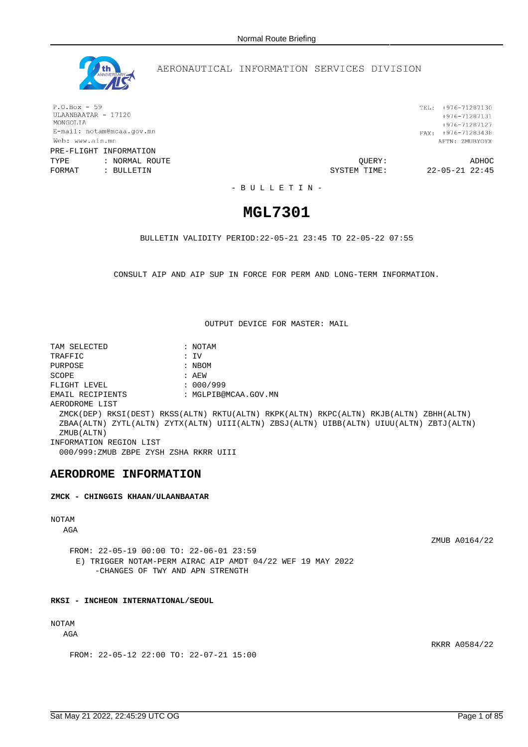

## AERONAUTICAL INFORMATION SERVICES DIVISION

 $P.O.Box - 59$ ULAANBAATAR - 17120 MONGOLIA E-mail: notam@mcaa.gov.mn Web: www.ais.mn PRE-FLIGHT INFORMATION

TYPE : NORMAL ROUTE QUERY: ADHOC FORMAT : BULLETIN SYSTEM TIME: 22-05-21 22:45

TEL: +976-71287130  $+976 - 71287131$ +976-71287127 FAX:  $+976-71283438$ AFTN: ZMUBYOYX

- B U L L E T I N -

# **MGL7301**

BULLETIN VALIDITY PERIOD:22-05-21 23:45 TO 22-05-22 07:55

CONSULT AIP AND AIP SUP IN FORCE FOR PERM AND LONG-TERM INFORMATION.

OUTPUT DEVICE FOR MASTER: MAIL

TAM SELECTED : NOTAM TRAFFIC : IV PURPOSE : NBOM SCOPE : AEW FLIGHT LEVEL : 000/999 EMAIL RECIPIENTS : MGLPIB@MCAA.GOV.MN AERODROME LIST ZMCK(DEP) RKSI(DEST) RKSS(ALTN) RKTU(ALTN) RKPK(ALTN) RKPC(ALTN) RKJB(ALTN) ZBHH(ALTN) ZBAA(ALTN) ZYTL(ALTN) ZYTX(ALTN) UIII(ALTN) ZBSJ(ALTN) UIBB(ALTN) UIUU(ALTN) ZBTJ(ALTN) ZMUB(ALTN) INFORMATION REGION LIST 000/999:ZMUB ZBPE ZYSH ZSHA RKRR UIII

## **AERODROME INFORMATION**

**ZMCK - CHINGGIS KHAAN/ULAANBAATAR**

## NOTAM

AGA

ZMUB A0164/22

RKRR A0584/22

FROM: 22-05-19 00:00 TO: 22-06-01 23:59 E) TRIGGER NOTAM-PERM AIRAC AIP AMDT 04/22 WEF 19 MAY 2022 -CHANGES OF TWY AND APN STRENGTH

### **RKSI - INCHEON INTERNATIONAL/SEOUL**

## NOTAM

AGA

FROM: 22-05-12 22:00 TO: 22-07-21 15:00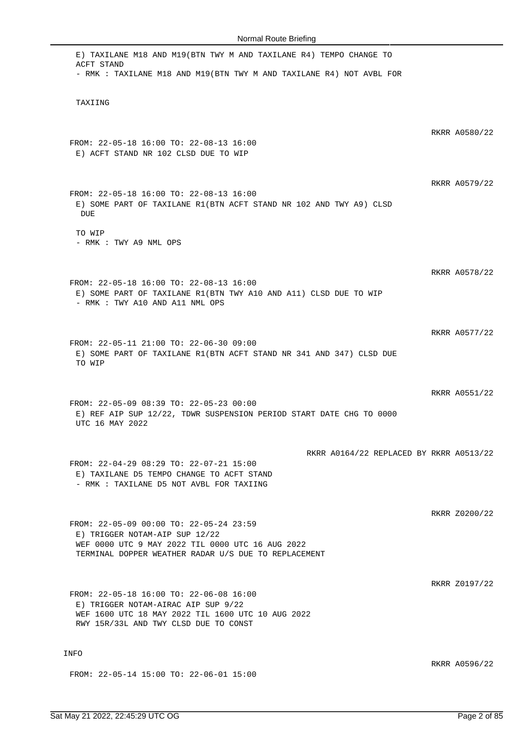| E) TAXILANE M18 AND M19(BTN TWY M AND TAXILANE R4) TEMPO CHANGE TO<br>ACFT STAND<br>- RMK : TAXILANE M18 AND M19(BTN TWY M AND TAXILANE R4) NOT AVBL FOR                              |               |
|---------------------------------------------------------------------------------------------------------------------------------------------------------------------------------------|---------------|
| TAXIING                                                                                                                                                                               |               |
| FROM: 22-05-18 16:00 TO: 22-08-13 16:00<br>E) ACFT STAND NR 102 CLSD DUE TO WIP                                                                                                       | RKRR A0580/22 |
| FROM: 22-05-18 16:00 TO: 22-08-13 16:00<br>E) SOME PART OF TAXILANE R1(BTN ACFT STAND NR 102 AND TWY A9) CLSD<br>DUE                                                                  | RKRR A0579/22 |
| TO WIP<br>- RMK : TWY A9 NML OPS                                                                                                                                                      |               |
| FROM: 22-05-18 16:00 TO: 22-08-13 16:00<br>E) SOME PART OF TAXILANE R1(BTN TWY A10 AND A11) CLSD DUE TO WIP<br>- RMK : TWY A10 AND A11 NML OPS                                        | RKRR A0578/22 |
| FROM: 22-05-11 21:00 TO: 22-06-30 09:00<br>E) SOME PART OF TAXILANE R1(BTN ACFT STAND NR 341 AND 347) CLSD DUE<br>TO WIP                                                              | RKRR A0577/22 |
| FROM: 22-05-09 08:39 TO: 22-05-23 00:00<br>E) REF AIP SUP 12/22, TDWR SUSPENSION PERIOD START DATE CHG TO 0000<br>UTC 16 MAY 2022                                                     | RKRR A0551/22 |
| RKRR A0164/22 REPLACED BY RKRR A0513/22<br>FROM: 22-04-29 08:29 TO: 22-07-21 15:00<br>E) TAXILANE D5 TEMPO CHANGE TO ACFT STAND<br>- RMK : TAXILANE D5 NOT AVBL FOR TAXIING           |               |
| FROM: 22-05-09 00:00 TO: 22-05-24 23:59<br>E) TRIGGER NOTAM-AIP SUP 12/22<br>WEF 0000 UTC 9 MAY 2022 TIL 0000 UTC 16 AUG 2022<br>TERMINAL DOPPER WEATHER RADAR U/S DUE TO REPLACEMENT | RKRR Z0200/22 |
| FROM: 22-05-18 16:00 TO: 22-06-08 16:00<br>E) TRIGGER NOTAM-AIRAC AIP SUP 9/22<br>WEF 1600 UTC 18 MAY 2022 TIL 1600 UTC 10 AUG 2022<br>RWY 15R/33L AND TWY CLSD DUE TO CONST          | RKRR Z0197/22 |
| <b>INFO</b>                                                                                                                                                                           | RKRR A0596/22 |
| FROM: 22-05-14 15:00 TO: 22-06-01 15:00                                                                                                                                               |               |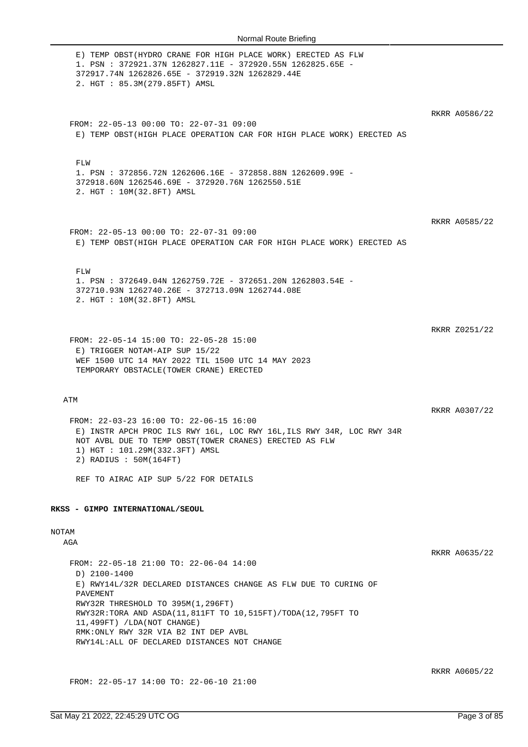| E) TEMP OBST (HYDRO CRANE FOR HIGH PLACE WORK) ERECTED AS FLW<br>1. PSN: 372921.37N 1262827.11E - 372920.55N 1262825.65E -<br>372917.74N 1262826.65E - 372919.32N 1262829.44E<br>2. HGT : 85.3M(279.85FT) AMSL                         |               |
|----------------------------------------------------------------------------------------------------------------------------------------------------------------------------------------------------------------------------------------|---------------|
|                                                                                                                                                                                                                                        | RKRR A0586/22 |
| FROM: 22-05-13 00:00 TO: 22-07-31 09:00<br>E) TEMP OBST(HIGH PLACE OPERATION CAR FOR HIGH PLACE WORK) ERECTED AS                                                                                                                       |               |
| FLW<br>1. PSN : 372856.72N 1262606.16E - 372858.88N 1262609.99E -<br>372918.60N 1262546.69E - 372920.76N 1262550.51E<br>2. HGT : 10M(32.8FT) AMSL                                                                                      |               |
| FROM: 22-05-13 00:00 TO: 22-07-31 09:00<br>E) TEMP OBST(HIGH PLACE OPERATION CAR FOR HIGH PLACE WORK) ERECTED AS                                                                                                                       | RKRR A0585/22 |
| FLW<br>1. PSN: 372649.04N 1262759.72E - 372651.20N 1262803.54E -<br>372710.93N 1262740.26E - 372713.09N 1262744.08E<br>2. HGT : 10M(32.8FT) AMSL                                                                                       |               |
|                                                                                                                                                                                                                                        |               |
| FROM: 22-05-14 15:00 TO: 22-05-28 15:00<br>E) TRIGGER NOTAM-AIP SUP 15/22<br>WEF 1500 UTC 14 MAY 2022 TIL 1500 UTC 14 MAY 2023<br>TEMPORARY OBSTACLE (TOWER CRANE) ERECTED                                                             | RKRR Z0251/22 |
| ATM                                                                                                                                                                                                                                    |               |
|                                                                                                                                                                                                                                        | RKRR A0307/22 |
| FROM: 22-03-23 16:00 TO: 22-06-15 16:00<br>E) INSTR APCH PROC ILS RWY 16L, LOC RWY 16L, ILS RWY 34R, LOC RWY 34R<br>NOT AVBL DUE TO TEMP OBST(TOWER CRANES) ERECTED AS FLW<br>1) HGT : 101.29M(332.3FT) AMSL<br>2) RADIUS : 50M(164FT) |               |
| REF TO AIRAC AIP SUP 5/22 FOR DETAILS                                                                                                                                                                                                  |               |
| RKSS - GIMPO INTERNATIONAL/SEOUL                                                                                                                                                                                                       |               |
| NOTAM                                                                                                                                                                                                                                  |               |
| AGA                                                                                                                                                                                                                                    |               |
| FROM: 22-05-18 21:00 TO: 22-06-04 14:00                                                                                                                                                                                                | RKRR A0635/22 |
| D) 2100-1400<br>E) RWY14L/32R DECLARED DISTANCES CHANGE AS FLW DUE TO CURING OF                                                                                                                                                        |               |
| PAVEMENT<br>RWY32R THRESHOLD TO 395M(1,296FT)<br>RWY32R:TORA AND ASDA(11,811FT TO 10,515FT)/TODA(12,795FT TO                                                                                                                           |               |
| 11,499FT) /LDA(NOT CHANGE)<br>RMK: ONLY RWY 32R VIA B2 INT DEP AVBL<br>RWY14L: ALL OF DECLARED DISTANCES NOT CHANGE                                                                                                                    |               |
|                                                                                                                                                                                                                                        | RKRR A0605/22 |

FROM: 22-05-17 14:00 TO: 22-06-10 21:00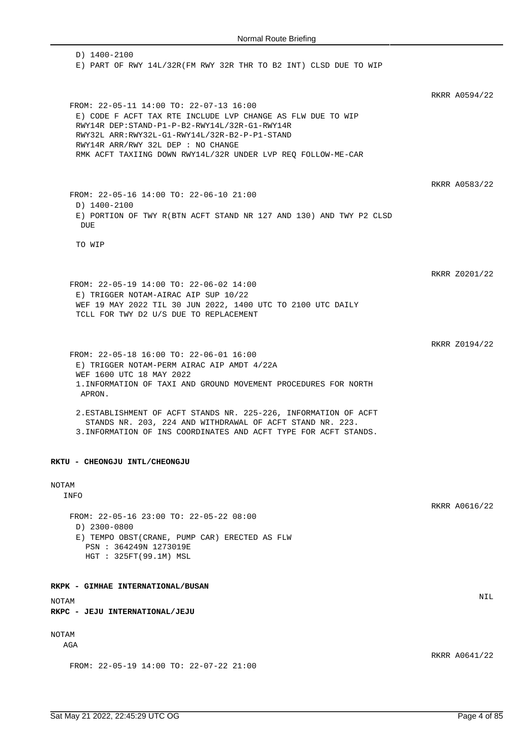D) 1400-2100 E) PART OF RWY 14L/32R(FM RWY 32R THR TO B2 INT) CLSD DUE TO WIP RKRR A0594/22 FROM: 22-05-11 14:00 TO: 22-07-13 16:00 E) CODE F ACFT TAX RTE INCLUDE LVP CHANGE AS FLW DUE TO WIP RWY14R DEP:STAND-P1-P-B2-RWY14L/32R-G1-RWY14R RWY32L ARR:RWY32L-G1-RWY14L/32R-B2-P-P1-STAND RWY14R ARR/RWY 32L DEP : NO CHANGE RMK ACFT TAXIING DOWN RWY14L/32R UNDER LVP REQ FOLLOW-ME-CAR RKRR A0583/22 FROM: 22-05-16 14:00 TO: 22-06-10 21:00 D) 1400-2100 E) PORTION OF TWY R(BTN ACFT STAND NR 127 AND 130) AND TWY P2 CLSD DUE TO WIP RKRR Z0201/22 FROM: 22-05-19 14:00 TO: 22-06-02 14:00 E) TRIGGER NOTAM-AIRAC AIP SUP 10/22 WEF 19 MAY 2022 TIL 30 JUN 2022, 1400 UTC TO 2100 UTC DAILY TCLL FOR TWY D2 U/S DUE TO REPLACEMENT RKRR Z0194/22 FROM: 22-05-18 16:00 TO: 22-06-01 16:00 E) TRIGGER NOTAM-PERM AIRAC AIP AMDT 4/22A WEF 1600 UTC 18 MAY 2022 1.INFORMATION OF TAXI AND GROUND MOVEMENT PROCEDURES FOR NORTH APRON. 2.ESTABLISHMENT OF ACFT STANDS NR. 225-226, INFORMATION OF ACFT STANDS NR. 203, 224 AND WITHDRAWAL OF ACFT STAND NR. 223. 3.INFORMATION OF INS COORDINATES AND ACFT TYPE FOR ACFT STANDS. **RKTU - CHEONGJU INTL/CHEONGJU** NOTAM INFO RKRR A0616/22 FROM: 22-05-16 23:00 TO: 22-05-22 08:00 D) 2300-0800 E) TEMPO OBST(CRANE, PUMP CAR) ERECTED AS FLW PSN : 364249N 1273019E HGT : 325FT(99.1M) MSL **RKPK - GIMHAE INTERNATIONAL/BUSAN** NOTAM NIL **RKPC - JEJU INTERNATIONAL/JEJU** NOTAM AGA RKRR A0641/22 FROM: 22-05-19 14:00 TO: 22-07-22 21:00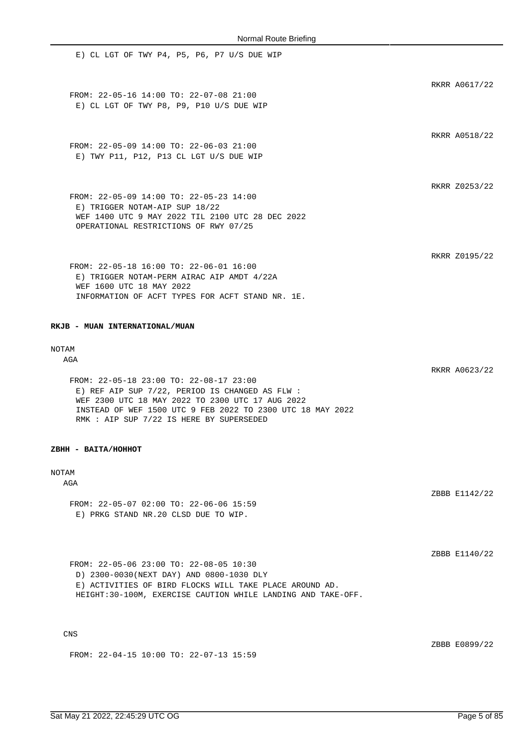E) CL LGT OF TWY P4, P5, P6, P7 U/S DUE WIP RKRR A0617/22 FROM: 22-05-16 14:00 TO: 22-07-08 21:00 E) CL LGT OF TWY P8, P9, P10 U/S DUE WIP RKRR A0518/22 FROM: 22-05-09 14:00 TO: 22-06-03 21:00 E) TWY P11, P12, P13 CL LGT U/S DUE WIP RKRR Z0253/22 FROM: 22-05-09 14:00 TO: 22-05-23 14:00 E) TRIGGER NOTAM-AIP SUP 18/22 WEF 1400 UTC 9 MAY 2022 TIL 2100 UTC 28 DEC 2022 OPERATIONAL RESTRICTIONS OF RWY 07/25 RKRR Z0195/22 FROM: 22-05-18 16:00 TO: 22-06-01 16:00 E) TRIGGER NOTAM-PERM AIRAC AIP AMDT 4/22A WEF 1600 UTC 18 MAY 2022 INFORMATION OF ACFT TYPES FOR ACFT STAND NR. 1E.

**RKJB - MUAN INTERNATIONAL/MUAN**

# NOTAM

AGA

FROM: 22-05-18 23:00 TO: 22-08-17 23:00 E) REF AIP SUP 7/22, PERIOD IS CHANGED AS FLW : WEF 2300 UTC 18 MAY 2022 TO 2300 UTC 17 AUG 2022 INSTEAD OF WEF 1500 UTC 9 FEB 2022 TO 2300 UTC 18 MAY 2022 RMK : AIP SUP 7/22 IS HERE BY SUPERSEDED

#### **ZBHH - BAITA/HOHHOT**

#### NOTAM

**AGA** 

FROM: 22-05-07 02:00 TO: 22-06-06 15:59 E) PRKG STAND NR.20 CLSD DUE TO WIP.

FROM: 22-05-06 23:00 TO: 22-08-05 10:30 D) 2300-0030(NEXT DAY) AND 0800-1030 DLY E) ACTIVITIES OF BIRD FLOCKS WILL TAKE PLACE AROUND AD. HEIGHT:30-100M, EXERCISE CAUTION WHILE LANDING AND TAKE-OFF.

CNS

ZBBB E0899/22

RKRR A0623/22

ZBBB E1142/22

ZBBB E1140/22

FROM: 22-04-15 10:00 TO: 22-07-13 15:59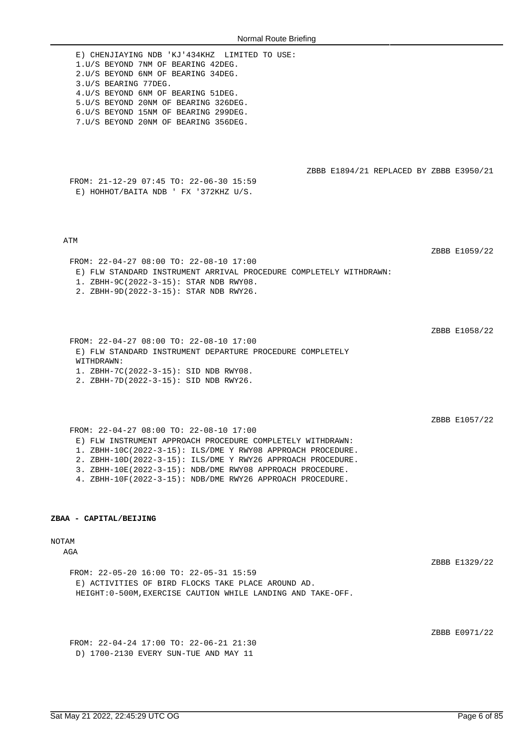| Normal Route Briefing                                                                                                                                                                                                                                                                                                                                                                   |               |
|-----------------------------------------------------------------------------------------------------------------------------------------------------------------------------------------------------------------------------------------------------------------------------------------------------------------------------------------------------------------------------------------|---------------|
| E) CHENJIAYING NDB 'KJ'434KHZ LIMITED TO USE:<br>1.U/S BEYOND 7NM OF BEARING 42DEG.<br>2.U/S BEYOND 6NM OF BEARING 34DEG.<br>3.U/S BEARING 77DEG.<br>4. U/S BEYOND 6NM OF BEARING 51DEG.<br>5.U/S BEYOND 20NM OF BEARING 326DEG.<br>6.U/S BEYOND 15NM OF BEARING 299DEG.<br>7.U/S BEYOND 20NM OF BEARING 356DEG.                                                                        |               |
| ZBBB E1894/21 REPLACED BY ZBBB E3950/21<br>FROM: 21-12-29 07:45 TO: 22-06-30 15:59<br>E) HOHHOT/BAITA NDB ' FX '372KHZ U/S.                                                                                                                                                                                                                                                             |               |
| ATM<br>FROM: 22-04-27 08:00 TO: 22-08-10 17:00<br>E) FLW STANDARD INSTRUMENT ARRIVAL PROCEDURE COMPLETELY WITHDRAWN:<br>1. ZBHH-9C(2022-3-15): STAR NDB RWY08.<br>2. ZBHH-9D(2022-3-15): STAR NDB RWY26.                                                                                                                                                                                | ZBBB E1059/22 |
| FROM: 22-04-27 08:00 TO: 22-08-10 17:00<br>E) FLW STANDARD INSTRUMENT DEPARTURE PROCEDURE COMPLETELY<br>WITHDRAWN:<br>1. ZBHH-7C(2022-3-15): SID NDB RWY08.<br>2. ZBHH-7D(2022-3-15): SID NDB RWY26.                                                                                                                                                                                    | ZBBB E1058/22 |
| FROM: 22-04-27 08:00 TO: 22-08-10 17:00<br>E) FLW INSTRUMENT APPROACH PROCEDURE COMPLETELY WITHDRAWN:<br>1. ZBHH-10C(2022-3-15): ILS/DME Y RWY08 APPROACH PROCEDURE.<br>2. ZBHH-10D(2022-3-15): ILS/DME Y RWY26 APPROACH PROCEDURE.<br>3. ZBHH-10E(2022-3-15): NDB/DME RWY08 APPROACH PROCEDURE.<br>4. ZBHH-10F(2022-3-15): NDB/DME RWY26 APPROACH PROCEDURE.<br>ZBAA - CAPITAL/BEIJING | ZBBB E1057/22 |
|                                                                                                                                                                                                                                                                                                                                                                                         |               |
| NOTAM<br>AGA                                                                                                                                                                                                                                                                                                                                                                            | ZBBB E1329/22 |
| FROM: 22-05-20 16:00 TO: 22-05-31 15:59                                                                                                                                                                                                                                                                                                                                                 |               |
| E) ACTIVITIES OF BIRD FLOCKS TAKE PLACE AROUND AD.<br>HEIGHT: 0-500M, EXERCISE CAUTION WHILE LANDING AND TAKE-OFF.                                                                                                                                                                                                                                                                      |               |

ZBBB E0971/22

FROM: 22-04-24 17:00 TO: 22-06-21 21:30 D) 1700-2130 EVERY SUN-TUE AND MAY 11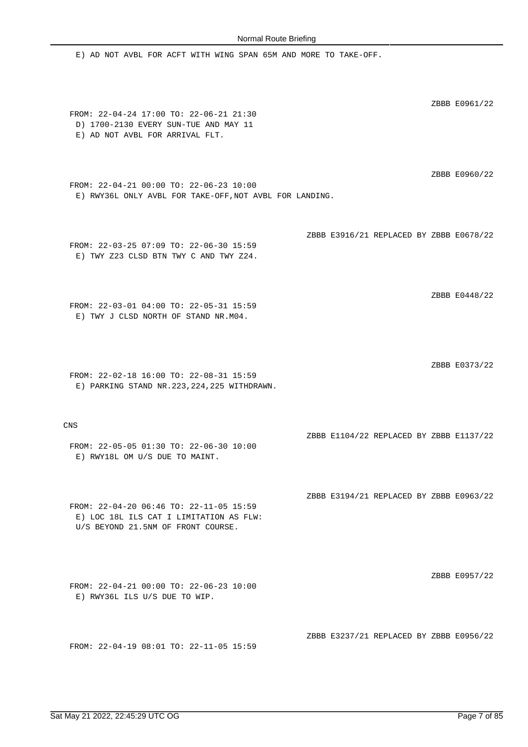E) AD NOT AVBL FOR ACFT WITH WING SPAN 65M AND MORE TO TAKE-OFF. ZBBB E0961/22 FROM: 22-04-24 17:00 TO: 22-06-21 21:30 D) 1700-2130 EVERY SUN-TUE AND MAY 11 E) AD NOT AVBL FOR ARRIVAL FLT. ZBBB E0960/22 FROM: 22-04-21 00:00 TO: 22-06-23 10:00 E) RWY36L ONLY AVBL FOR TAKE-OFF,NOT AVBL FOR LANDING. ZBBB E3916/21 REPLACED BY ZBBB E0678/22 FROM: 22-03-25 07:09 TO: 22-06-30 15:59 E) TWY Z23 CLSD BTN TWY C AND TWY Z24. ZBBB E0448/22 FROM: 22-03-01 04:00 TO: 22-05-31 15:59 E) TWY J CLSD NORTH OF STAND NR.M04. ZBBB E0373/22 FROM: 22-02-18 16:00 TO: 22-08-31 15:59 E) PARKING STAND NR.223,224,225 WITHDRAWN. CNS ZBBB E1104/22 REPLACED BY ZBBB E1137/22 FROM: 22-05-05 01:30 TO: 22-06-30 10:00 E) RWY18L OM U/S DUE TO MAINT. ZBBB E3194/21 REPLACED BY ZBBB E0963/22 FROM: 22-04-20 06:46 TO: 22-11-05 15:59 E) LOC 18L ILS CAT I LIMITATION AS FLW: U/S BEYOND 21.5NM OF FRONT COURSE. ZBBB E0957/22 FROM: 22-04-21 00:00 TO: 22-06-23 10:00 E) RWY36L ILS U/S DUE TO WIP. ZBBB E3237/21 REPLACED BY ZBBB E0956/22 FROM: 22-04-19 08:01 TO: 22-11-05 15:59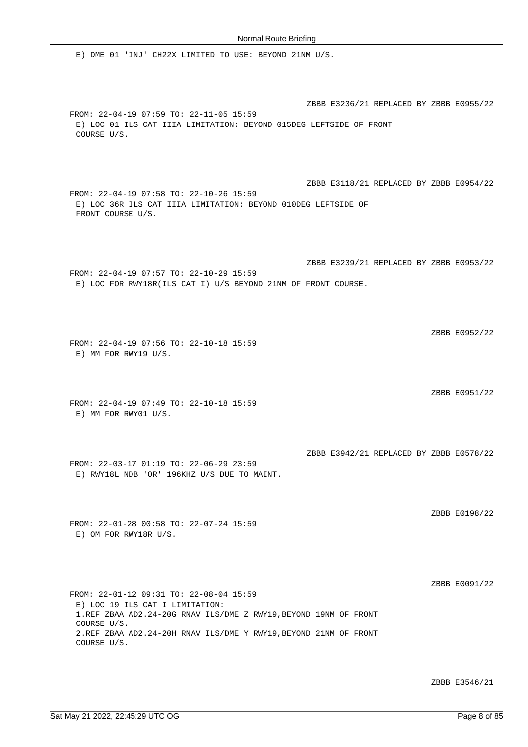COURSE U/S.

COURSE U/S.

FROM: 22-01-12 09:31 TO: 22-08-04 15:59 E) LOC 19 ILS CAT I LIMITATION:

1.REF ZBAA AD2.24-20G RNAV ILS/DME Z RWY19,BEYOND 19NM OF FRONT

2.REF ZBAA AD2.24-20H RNAV ILS/DME Y RWY19,BEYOND 21NM OF FRONT

E) DME 01 'INJ' CH22X LIMITED TO USE: BEYOND 21NM U/S.

ZBBB E3236/21 REPLACED BY ZBBB E0955/22 FROM: 22-04-19 07:59 TO: 22-11-05 15:59 E) LOC 01 ILS CAT IIIA LIMITATION: BEYOND 015DEG LEFTSIDE OF FRONT COURSE U/S. ZBBB E3118/21 REPLACED BY ZBBB E0954/22 FROM: 22-04-19 07:58 TO: 22-10-26 15:59 E) LOC 36R ILS CAT IIIA LIMITATION: BEYOND 010DEG LEFTSIDE OF FRONT COURSE U/S. ZBBB E3239/21 REPLACED BY ZBBB E0953/22 FROM: 22-04-19 07:57 TO: 22-10-29 15:59 E) LOC FOR RWY18R(ILS CAT I) U/S BEYOND 21NM OF FRONT COURSE. ZBBB E0952/22 FROM: 22-04-19 07:56 TO: 22-10-18 15:59 E) MM FOR RWY19 U/S. ZBBB E0951/22 FROM: 22-04-19 07:49 TO: 22-10-18 15:59 E) MM FOR RWY01 U/S. ZBBB E3942/21 REPLACED BY ZBBB E0578/22 FROM: 22-03-17 01:19 TO: 22-06-29 23:59 E) RWY18L NDB 'OR' 196KHZ U/S DUE TO MAINT. ZBBB E0198/22 FROM: 22-01-28 00:58 TO: 22-07-24 15:59 E) OM FOR RWY18R U/S.

ZBBB E3546/21

ZBBB E0091/22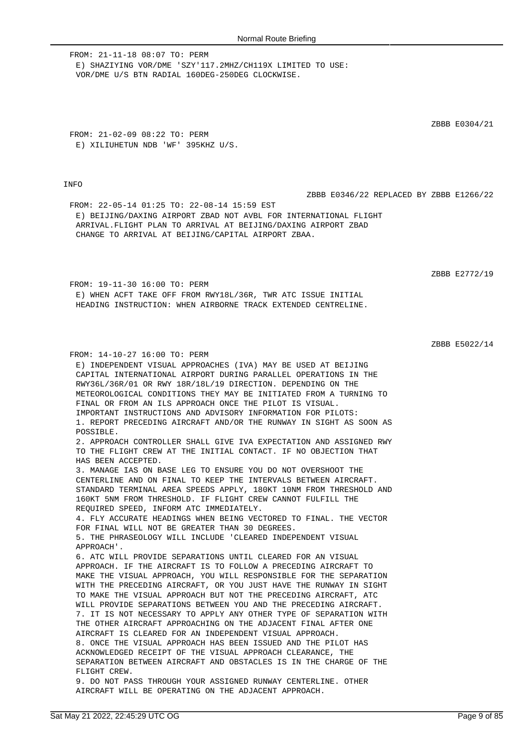FROM: 21-11-18 08:07 TO: PERM E) SHAZIYING VOR/DME 'SZY'117.2MHZ/CH119X LIMITED TO USE: VOR/DME U/S BTN RADIAL 160DEG-250DEG CLOCKWISE.

FROM: 21-02-09 08:22 TO: PERM E) XILIUHETUN NDB 'WF' 395KHZ U/S.

FROM: 14-10-27 16:00 TO: PERM

### **TNFO**

ZBBB E0346/22 REPLACED BY ZBBB E1266/22

FROM: 22-05-14 01:25 TO: 22-08-14 15:59 EST E) BEIJING/DAXING AIRPORT ZBAD NOT AVBL FOR INTERNATIONAL FLIGHT ARRIVAL.FLIGHT PLAN TO ARRIVAL AT BEIJING/DAXING AIRPORT ZBAD CHANGE TO ARRIVAL AT BEIJING/CAPITAL AIRPORT ZBAA.

ZBBB E2772/19

FROM: 19-11-30 16:00 TO: PERM E) WHEN ACFT TAKE OFF FROM RWY18L/36R, TWR ATC ISSUE INITIAL HEADING INSTRUCTION: WHEN AIRBORNE TRACK EXTENDED CENTRELINE.

E) INDEPENDENT VISUAL APPROACHES (IVA) MAY BE USED AT BEIJING

ZBBB E5022/14

CAPITAL INTERNATIONAL AIRPORT DURING PARALLEL OPERATIONS IN THE RWY36L/36R/01 OR RWY 18R/18L/19 DIRECTION. DEPENDING ON THE METEOROLOGICAL CONDITIONS THEY MAY BE INITIATED FROM A TURNING TO FINAL OR FROM AN ILS APPROACH ONCE THE PILOT IS VISUAL. IMPORTANT INSTRUCTIONS AND ADVISORY INFORMATION FOR PILOTS: 1. REPORT PRECEDING AIRCRAFT AND/OR THE RUNWAY IN SIGHT AS SOON AS POSSIBLE. 2. APPROACH CONTROLLER SHALL GIVE IVA EXPECTATION AND ASSIGNED RWY TO THE FLIGHT CREW AT THE INITIAL CONTACT. IF NO OBJECTION THAT HAS BEEN ACCEPTED. 3. MANAGE IAS ON BASE LEG TO ENSURE YOU DO NOT OVERSHOOT THE CENTERLINE AND ON FINAL TO KEEP THE INTERVALS BETWEEN AIRCRAFT. STANDARD TERMINAL AREA SPEEDS APPLY, 180KT 10NM FROM THRESHOLD AND 160KT 5NM FROM THRESHOLD. IF FLIGHT CREW CANNOT FULFILL THE REQUIRED SPEED, INFORM ATC IMMEDIATELY. 4. FLY ACCURATE HEADINGS WHEN BEING VECTORED TO FINAL. THE VECTOR FOR FINAL WILL NOT BE GREATER THAN 30 DEGREES. 5. THE PHRASEOLOGY WILL INCLUDE 'CLEARED INDEPENDENT VISUAL APPROACH'. 6. ATC WILL PROVIDE SEPARATIONS UNTIL CLEARED FOR AN VISUAL APPROACH. IF THE AIRCRAFT IS TO FOLLOW A PRECEDING AIRCRAFT TO MAKE THE VISUAL APPROACH, YOU WILL RESPONSIBLE FOR THE SEPARATION WITH THE PRECEDING AIRCRAFT, OR YOU JUST HAVE THE RUNWAY IN SIGHT TO MAKE THE VISUAL APPROACH BUT NOT THE PRECEDING AIRCRAFT, ATC WILL PROVIDE SEPARATIONS BETWEEN YOU AND THE PRECEDING AIRCRAFT. 7. IT IS NOT NECESSARY TO APPLY ANY OTHER TYPE OF SEPARATION WITH THE OTHER AIRCRAFT APPROACHING ON THE ADJACENT FINAL AFTER ONE AIRCRAFT IS CLEARED FOR AN INDEPENDENT VISUAL APPROACH. 8. ONCE THE VISUAL APPROACH HAS BEEN ISSUED AND THE PILOT HAS ACKNOWLEDGED RECEIPT OF THE VISUAL APPROACH CLEARANCE, THE SEPARATION BETWEEN AIRCRAFT AND OBSTACLES IS IN THE CHARGE OF THE FLIGHT CREW. 9. DO NOT PASS THROUGH YOUR ASSIGNED RUNWAY CENTERLINE. OTHER AIRCRAFT WILL BE OPERATING ON THE ADJACENT APPROACH.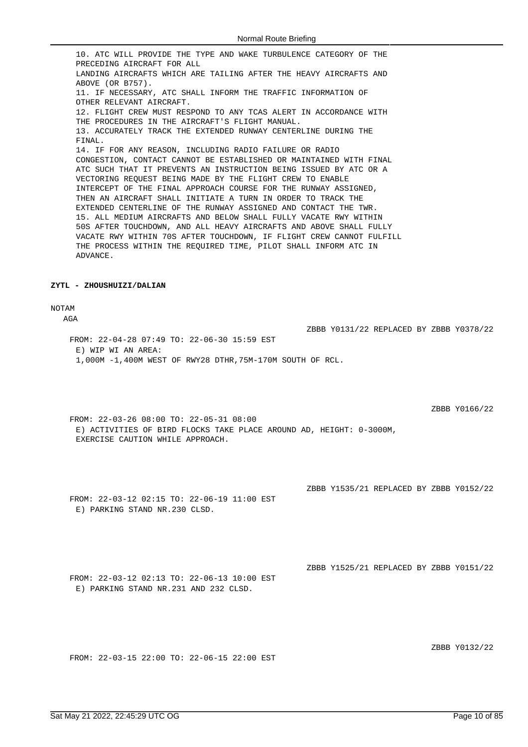10. ATC WILL PROVIDE THE TYPE AND WAKE TURBULENCE CATEGORY OF THE PRECEDING AIRCRAFT FOR ALL LANDING AIRCRAFTS WHICH ARE TAILING AFTER THE HEAVY AIRCRAFTS AND ABOVE (OR B757). 11. IF NECESSARY, ATC SHALL INFORM THE TRAFFIC INFORMATION OF OTHER RELEVANT AIRCRAFT. 12. FLIGHT CREW MUST RESPOND TO ANY TCAS ALERT IN ACCORDANCE WITH THE PROCEDURES IN THE AIRCRAFT'S FLIGHT MANUAL. 13. ACCURATELY TRACK THE EXTENDED RUNWAY CENTERLINE DURING THE FINAL. 14. IF FOR ANY REASON, INCLUDING RADIO FAILURE OR RADIO CONGESTION, CONTACT CANNOT BE ESTABLISHED OR MAINTAINED WITH FINAL ATC SUCH THAT IT PREVENTS AN INSTRUCTION BEING ISSUED BY ATC OR A VECTORING REQUEST BEING MADE BY THE FLIGHT CREW TO ENABLE INTERCEPT OF THE FINAL APPROACH COURSE FOR THE RUNWAY ASSIGNED, THEN AN AIRCRAFT SHALL INITIATE A TURN IN ORDER TO TRACK THE EXTENDED CENTERLINE OF THE RUNWAY ASSIGNED AND CONTACT THE TWR. 15. ALL MEDIUM AIRCRAFTS AND BELOW SHALL FULLY VACATE RWY WITHIN 50S AFTER TOUCHDOWN, AND ALL HEAVY AIRCRAFTS AND ABOVE SHALL FULLY VACATE RWY WITHIN 70S AFTER TOUCHDOWN, IF FLIGHT CREW CANNOT FULFILL THE PROCESS WITHIN THE REQUIRED TIME, PILOT SHALL INFORM ATC IN ADVANCE.

#### **ZYTL - ZHOUSHUIZI/DALIAN**

### NOTAM

 $\Delta G \Delta$ 

FROM: 22-04-28 07:49 TO: 22-06-30 15:59 EST E) WIP WI AN AREA: 1,000M -1,400M WEST OF RWY28 DTHR,75M-170M SOUTH OF RCL.

ZBBB Y0166/22

FROM: 22-03-26 08:00 TO: 22-05-31 08:00 E) ACTIVITIES OF BIRD FLOCKS TAKE PLACE AROUND AD, HEIGHT: 0-3000M, EXERCISE CAUTION WHILE APPROACH.

ZBBB Y1535/21 REPLACED BY ZBBB Y0152/22

ZBBB Y0131/22 REPLACED BY ZBBB Y0378/22

FROM: 22-03-12 02:15 TO: 22-06-19 11:00 EST E) PARKING STAND NR.230 CLSD.

ZBBB Y1525/21 REPLACED BY ZBBB Y0151/22

FROM: 22-03-12 02:13 TO: 22-06-13 10:00 EST E) PARKING STAND NR.231 AND 232 CLSD.

ZBBB Y0132/22

FROM: 22-03-15 22:00 TO: 22-06-15 22:00 EST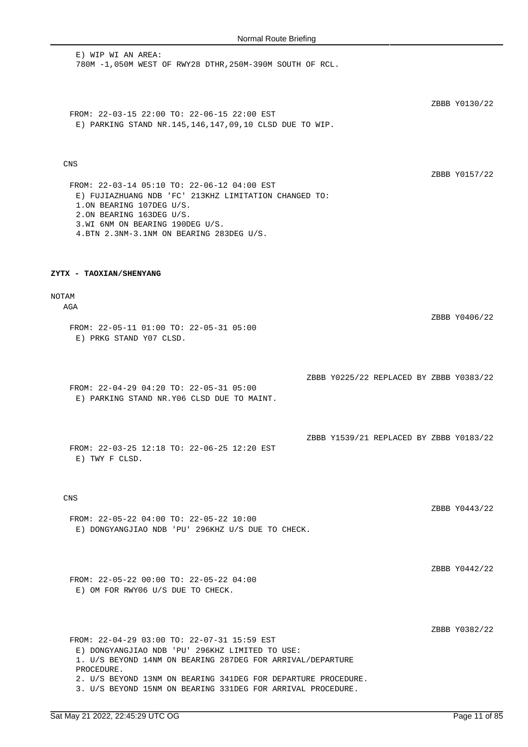E) WIP WI AN AREA: 780M -1,050M WEST OF RWY28 DTHR,250M-390M SOUTH OF RCL.

ZBBB Y0130/22

FROM: 22-03-15 22:00 TO: 22-06-15 22:00 EST E) PARKING STAND NR.145,146,147,09,10 CLSD DUE TO WIP.

### CNS

ZBBB Y0157/22

ZBBB Y0406/22

FROM: 22-03-14 05:10 TO: 22-06-12 04:00 EST E) FUJIAZHUANG NDB 'FC' 213KHZ LIMITATION CHANGED TO: 1.ON BEARING 107DEG U/S. 2.ON BEARING 163DEG U/S. 3.WI 6NM ON BEARING 190DEG U/S. 4.BTN 2.3NM-3.1NM ON BEARING 283DEG U/S.

#### **ZYTX - TAOXIAN/SHENYANG**

### NOTAM

AGA

FROM: 22-05-11 01:00 TO: 22-05-31 05:00 E) PRKG STAND Y07 CLSD.

ZBBB Y0225/22 REPLACED BY ZBBB Y0383/22

ZBBB Y1539/21 REPLACED BY ZBBB Y0183/22

FROM: 22-04-29 04:20 TO: 22-05-31 05:00 E) PARKING STAND NR.Y06 CLSD DUE TO MAINT.

FROM: 22-03-25 12:18 TO: 22-06-25 12:20 EST E) TWY F CLSD.

### CNS

FROM: 22-05-22 04:00 TO: 22-05-22 10:00 E) DONGYANGJIAO NDB 'PU' 296KHZ U/S DUE TO CHECK. ZBBB Y0443/22

ZBBB Y0442/22

FROM: 22-05-22 00:00 TO: 22-05-22 04:00 E) OM FOR RWY06 U/S DUE TO CHECK.

ZBBB Y0382/22

FROM: 22-04-29 03:00 TO: 22-07-31 15:59 EST E) DONGYANGJIAO NDB 'PU' 296KHZ LIMITED TO USE: 1. U/S BEYOND 14NM ON BEARING 287DEG FOR ARRIVAL/DEPARTURE PROCEDURE. 2. U/S BEYOND 13NM ON BEARING 341DEG FOR DEPARTURE PROCEDURE. 3. U/S BEYOND 15NM ON BEARING 331DEG FOR ARRIVAL PROCEDURE.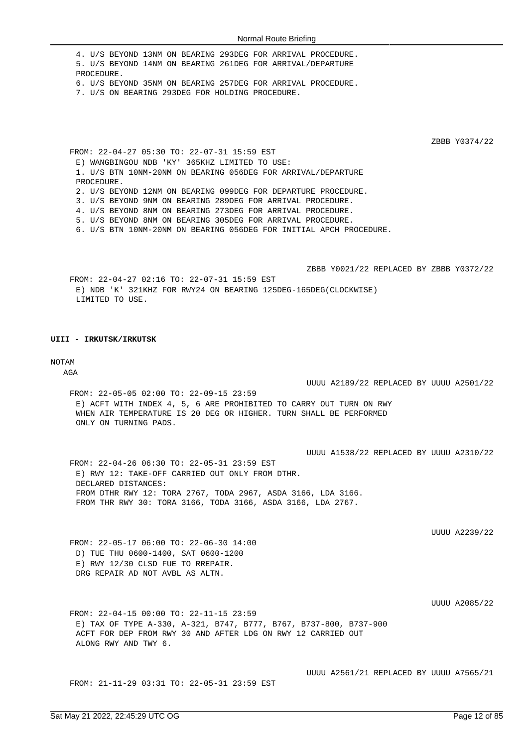4. U/S BEYOND 13NM ON BEARING 293DEG FOR ARRIVAL PROCEDURE. 5. U/S BEYOND 14NM ON BEARING 261DEG FOR ARRIVAL/DEPARTURE PROCEDURE. 6. U/S BEYOND 35NM ON BEARING 257DEG FOR ARRIVAL PROCEDURE. 7. U/S ON BEARING 293DEG FOR HOLDING PROCEDURE.

ZBBB Y0374/22

FROM: 22-04-27 05:30 TO: 22-07-31 15:59 EST E) WANGBINGOU NDB 'KY' 365KHZ LIMITED TO USE: 1. U/S BTN 10NM-20NM ON BEARING 056DEG FOR ARRIVAL/DEPARTURE PROCEDURE. 2. U/S BEYOND 12NM ON BEARING 099DEG FOR DEPARTURE PROCEDURE. 3. U/S BEYOND 9NM ON BEARING 289DEG FOR ARRIVAL PROCEDURE. 4. U/S BEYOND 8NM ON BEARING 273DEG FOR ARRIVAL PROCEDURE. 5. U/S BEYOND 8NM ON BEARING 305DEG FOR ARRIVAL PROCEDURE. 6. U/S BTN 10NM-20NM ON BEARING 056DEG FOR INITIAL APCH PROCEDURE.

ZBBB Y0021/22 REPLACED BY ZBBB Y0372/22 FROM: 22-04-27 02:16 TO: 22-07-31 15:59 EST E) NDB 'K' 321KHZ FOR RWY24 ON BEARING 125DEG-165DEG(CLOCKWISE) LIMITED TO USE.

### **UIII - IRKUTSK/IRKUTSK**

#### NOTAM

**AGA** 

UUUU A2189/22 REPLACED BY UUUU A2501/22

FROM: 22-05-05 02:00 TO: 22-09-15 23:59 E) ACFT WITH INDEX 4, 5, 6 ARE PROHIBITED TO CARRY OUT TURN ON RWY WHEN AIR TEMPERATURE IS 20 DEG OR HIGHER. TURN SHALL BE PERFORMED ONLY ON TURNING PADS.

UUUU A1538/22 REPLACED BY UUUU A2310/22

FROM: 22-04-26 06:30 TO: 22-05-31 23:59 EST E) RWY 12: TAKE-OFF CARRIED OUT ONLY FROM DTHR. DECLARED DISTANCES: FROM DTHR RWY 12: TORA 2767, TODA 2967, ASDA 3166, LDA 3166. FROM THR RWY 30: TORA 3166, TODA 3166, ASDA 3166, LDA 2767.

UUUU A2239/22

FROM: 22-05-17 06:00 TO: 22-06-30 14:00 D) TUE THU 0600-1400, SAT 0600-1200 E) RWY 12/30 CLSD FUE TO RREPAIR. DRG REPAIR AD NOT AVBL AS ALTN.

UUUU A2085/22

FROM: 22-04-15 00:00 TO: 22-11-15 23:59 E) TAX OF TYPE A-330, A-321, B747, B777, B767, B737-800, B737-900 ACFT FOR DEP FROM RWY 30 AND AFTER LDG ON RWY 12 CARRIED OUT ALONG RWY AND TWY 6.

FROM: 21-11-29 03:31 TO: 22-05-31 23:59 EST

UUUU A2561/21 REPLACED BY UUUU A7565/21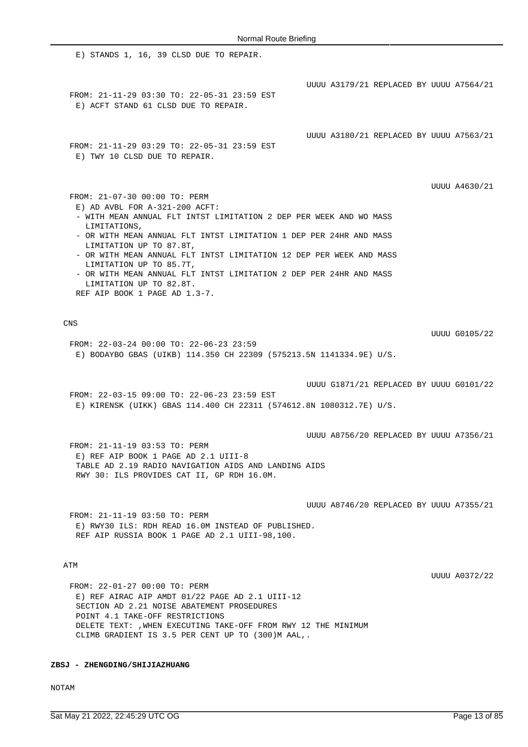E) STANDS 1, 16, 39 CLSD DUE TO REPAIR. UUUU A3179/21 REPLACED BY UUUU A7564/21 FROM: 21-11-29 03:30 TO: 22-05-31 23:59 EST E) ACFT STAND 61 CLSD DUE TO REPAIR. UUUU A3180/21 REPLACED BY UUUU A7563/21 FROM: 21-11-29 03:29 TO: 22-05-31 23:59 EST E) TWY 10 CLSD DUE TO REPAIR. UUUU A4630/21 FROM: 21-07-30 00:00 TO: PERM E) AD AVBL FOR A-321-200 ACFT: - WITH MEAN ANNUAL FLT INTST LIMITATION 2 DEP PER WEEK AND WO MASS LIMITATIONS, - OR WITH MEAN ANNUAL FLT INTST LIMITATION 1 DEP PER 24HR AND MASS LIMITATION UP TO 87.8T, - OR WITH MEAN ANNUAL FLT INTST LIMITATION 12 DEP PER WEEK AND MASS LIMITATION UP TO 85.7T, - OR WITH MEAN ANNUAL FLT INTST LIMITATION 2 DEP PER 24HR AND MASS LIMITATION UP TO 82.8T. REF AIP BOOK 1 PAGE AD 1.3-7. CNS UUUU G0105/22 FROM: 22-03-24 00:00 TO: 22-06-23 23:59 E) BODAYBO GBAS (UIKB) 114.350 CH 22309 (575213.5N 1141334.9E) U/S. UUUU G1871/21 REPLACED BY UUUU G0101/22 FROM: 22-03-15 09:00 TO: 22-06-23 23:59 EST E) KIRENSK (UIKK) GBAS 114.400 CH 22311 (574612.8N 1080312.7E) U/S. UUUU A8756/20 REPLACED BY UUUU A7356/21 FROM: 21-11-19 03:53 TO: PERM E) REF AIP BOOK 1 PAGE AD 2.1 UIII-8 TABLE AD 2.19 RADIO NAVIGATION AIDS AND LANDING AIDS RWY 30: ILS PROVIDES CAT II, GP RDH 16.0M. UUUU A8746/20 REPLACED BY UUUU A7355/21 FROM: 21-11-19 03:50 TO: PERM E) RWY30 ILS: RDH READ 16.0M INSTEAD OF PUBLISHED. REF AIP RUSSIA BOOK 1 PAGE AD 2.1 UIII-98,100. ATM UUUU A0372/22

FROM: 22-01-27 00:00 TO: PERM E) REF AIRAC AIP AMDT 01/22 PAGE AD 2.1 UIII-12 SECTION AD 2.21 NOISE ABATEMENT PROSEDURES POINT 4.1 TAKE-OFF RESTRICTIONS DELETE TEXT: ,WHEN EXECUTING TAKE-OFF FROM RWY 12 THE MINIMUM CLIMB GRADIENT IS 3.5 PER CENT UP TO (300)M AAL,.

**ZBSJ - ZHENGDING/SHIJIAZHUANG**

NOTAM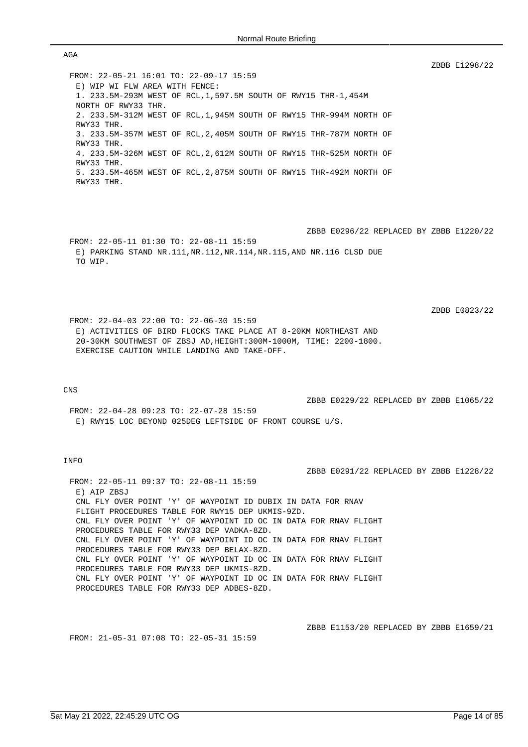FROM: 22-05-21 16:01 TO: 22-09-17 15:59 E) WIP WI FLW AREA WITH FENCE: 1. 233.5M-293M WEST OF RCL,1,597.5M SOUTH OF RWY15 THR-1,454M NORTH OF RWY33 THR. 2. 233.5M-312M WEST OF RCL,1,945M SOUTH OF RWY15 THR-994M NORTH OF RWY33 THR. 3. 233.5M-357M WEST OF RCL,2,405M SOUTH OF RWY15 THR-787M NORTH OF RWY33 THR. 4. 233.5M-326M WEST OF RCL,2,612M SOUTH OF RWY15 THR-525M NORTH OF RWY33 THR. 5. 233.5M-465M WEST OF RCL,2,875M SOUTH OF RWY15 THR-492M NORTH OF RWY33 THR.

ZBBB E0296/22 REPLACED BY ZBBB E1220/22 FROM: 22-05-11 01:30 TO: 22-08-11 15:59 E) PARKING STAND NR.111,NR.112,NR.114,NR.115,AND NR.116 CLSD DUE TO WIP.

FROM: 22-04-03 22:00 TO: 22-06-30 15:59 E) ACTIVITIES OF BIRD FLOCKS TAKE PLACE AT 8-20KM NORTHEAST AND 20-30KM SOUTHWEST OF ZBSJ AD,HEIGHT:300M-1000M, TIME: 2200-1800. EXERCISE CAUTION WHILE LANDING AND TAKE-OFF.

#### CNS

AGA

ZBBB E0229/22 REPLACED BY ZBBB E1065/22

ZBBB E0291/22 REPLACED BY ZBBB E1228/22

ZBBB E1298/22

ZBBB E0823/22

FROM: 22-04-28 09:23 TO: 22-07-28 15:59 E) RWY15 LOC BEYOND 025DEG LEFTSIDE OF FRONT COURSE U/S.

### INFO

FROM: 22-05-11 09:37 TO: 22-08-11 15:59 E) ATP ZBSJ CNL FLY OVER POINT 'Y' OF WAYPOINT ID DUBIX IN DATA FOR RNAV FLIGHT PROCEDURES TABLE FOR RWY15 DEP UKMIS-9ZD. CNL FLY OVER POINT 'Y' OF WAYPOINT ID OC IN DATA FOR RNAV FLIGHT PROCEDURES TABLE FOR RWY33 DEP VADKA-8ZD. CNL FLY OVER POINT 'Y' OF WAYPOINT ID OC IN DATA FOR RNAV FLIGHT PROCEDURES TABLE FOR RWY33 DEP BELAX-8ZD. CNL FLY OVER POINT 'Y' OF WAYPOINT ID OC IN DATA FOR RNAV FLIGHT PROCEDURES TABLE FOR RWY33 DEP UKMIS-8ZD. CNL FLY OVER POINT 'Y' OF WAYPOINT ID OC IN DATA FOR RNAV FLIGHT PROCEDURES TABLE FOR RWY33 DEP ADBES-8ZD.

FROM: 21-05-31 07:08 TO: 22-05-31 15:59

ZBBB E1153/20 REPLACED BY ZBBB E1659/21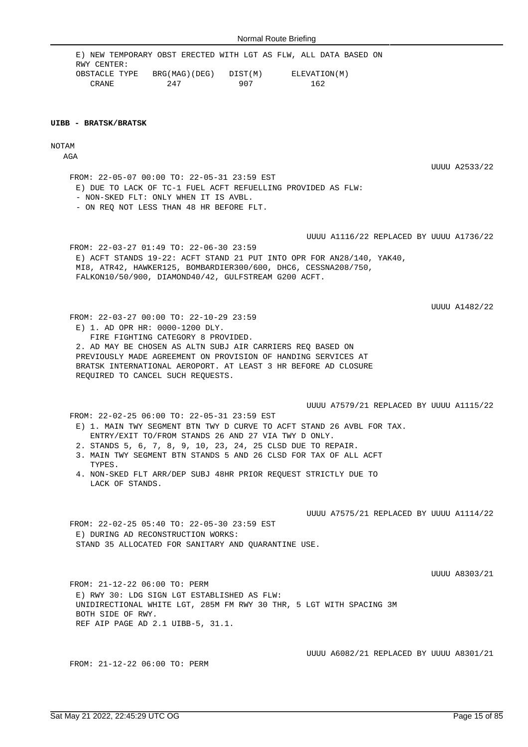E) NEW TEMPORARY OBST ERECTED WITH LGT AS FLW, ALL DATA BASED ON RWY CENTER: OBSTACLE TYPE BRG(MAG)(DEG) DIST(M) ELEVATION(M) CRANE 247 907 162

#### **UIBB - BRATSK/BRATSK**

NOTAM

AGA

UUUU A2533/22

FROM: 22-05-07 00:00 TO: 22-05-31 23:59 EST E) DUE TO LACK OF TC-1 FUEL ACFT REFUELLING PROVIDED AS FLW: - NON-SKED FLT: ONLY WHEN IT IS AVBL.

- ON REQ NOT LESS THAN 48 HR BEFORE FLT.

UUUU A1116/22 REPLACED BY UUUU A1736/22

FROM: 22-03-27 01:49 TO: 22-06-30 23:59 E) ACFT STANDS 19-22: ACFT STAND 21 PUT INTO OPR FOR AN28/140, YAK40, MI8, ATR42, HAWKER125, BOMBARDIER300/600, DHC6, CESSNA208/750, FALKON10/50/900, DIAMOND40/42, GULFSTREAM G200 ACFT.

UUUU A1482/22

FROM: 22-03-27 00:00 TO: 22-10-29 23:59 E) 1. AD OPR HR: 0000-1200 DLY. FIRE FIGHTING CATEGORY 8 PROVIDED. 2. AD MAY BE CHOSEN AS ALTN SUBJ AIR CARRIERS REQ BASED ON PREVIOUSLY MADE AGREEMENT ON PROVISION OF HANDING SERVICES AT BRATSK INTERNATIONAL AEROPORT. AT LEAST 3 HR BEFORE AD CLOSURE REQUIRED TO CANCEL SUCH REQUESTS.

UUUU A7579/21 REPLACED BY UUUU A1115/22

FROM: 22-02-25 06:00 TO: 22-05-31 23:59 EST E) 1. MAIN TWY SEGMENT BTN TWY D CURVE TO ACFT STAND 26 AVBL FOR TAX. ENTRY/EXIT TO/FROM STANDS 26 AND 27 VIA TWY D ONLY.

- 2. STANDS 5, 6, 7, 8, 9, 10, 23, 24, 25 CLSD DUE TO REPAIR.
- 3. MAIN TWY SEGMENT BTN STANDS 5 AND 26 CLSD FOR TAX OF ALL ACFT TYPES.
- 4. NON-SKED FLT ARR/DEP SUBJ 48HR PRIOR REQUEST STRICTLY DUE TO LACK OF STANDS.

UUUU A7575/21 REPLACED BY UUUU A1114/22

FROM: 22-02-25 05:40 TO: 22-05-30 23:59 EST E) DURING AD RECONSTRUCTION WORKS: STAND 35 ALLOCATED FOR SANITARY AND QUARANTINE USE.

UUUU A8303/21

FROM: 21-12-22 06:00 TO: PERM E) RWY 30: LDG SIGN LGT ESTABLISHED AS FLW: UNIDIRECTIONAL WHITE LGT, 285M FM RWY 30 THR, 5 LGT WITH SPACING 3M BOTH SIDE OF RWY. REF AIP PAGE AD 2.1 UIBB-5, 31.1.

FROM: 21-12-22 06:00 TO: PERM

UUUU A6082/21 REPLACED BY UUUU A8301/21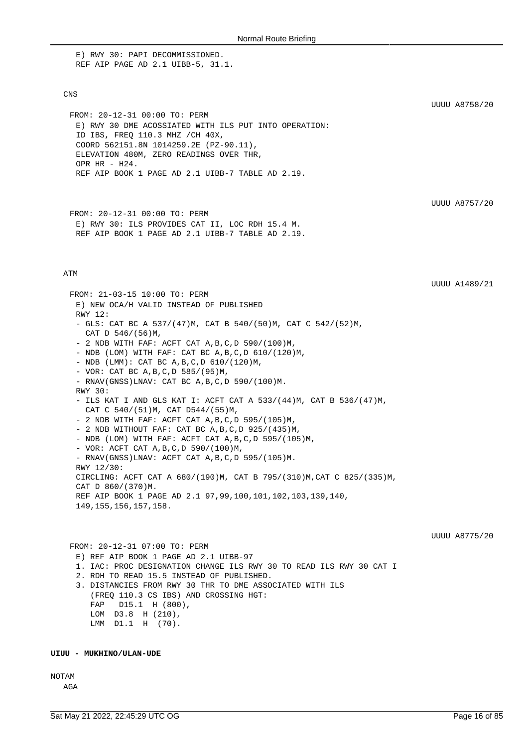E) RWY 30: PAPI DECOMMISSIONED. REF AIP PAGE AD 2.1 UIBB-5, 31.1.

### CNS

FROM: 20-12-31 00:00 TO: PERM E) RWY 30 DME ACOSSIATED WITH ILS PUT INTO OPERATION: ID IBS, FREQ 110.3 MHZ /CH 40X, COORD 562151.8N 1014259.2E (PZ-90.11), ELEVATION 480M, ZERO READINGS OVER THR, OPR HR - H24. REF AIP BOOK 1 PAGE AD 2.1 UIBB-7 TABLE AD 2.19.

UUUU A8757/20

UUUU A1489/21

UUUU A8758/20

```
FROM: 20-12-31 00:00 TO: PERM
E) RWY 30: ILS PROVIDES CAT II, LOC RDH 15.4 M.
REF AIP BOOK 1 PAGE AD 2.1 UIBB-7 TABLE AD 2.19.
```
#### ATM

FROM: 21-03-15 10:00 TO: PERM E) NEW OCA/H VALID INSTEAD OF PUBLISHED RWY 12: - GLS: CAT BC A 537/(47)M, CAT B 540/(50)M, CAT C 542/(52)M, CAT D 546/(56)M, - 2 NDB WITH FAF: ACFT CAT A,B,C,D 590/(100)M, - NDB (LOM) WITH FAF: CAT BC A,B,C,D 610/(120)M, - NDB (LMM): CAT BC A, B, C, D 610/(120)M, - VOR: CAT BC A,B,C,D 585/(95)M, - RNAV(GNSS)LNAV: CAT BC A,B,C,D 590/(100)M. RWY 30: - ILS KAT I AND GLS KAT I: ACFT CAT A 533/(44)M, CAT B 536/(47)M, CAT C 540/(51)M, CAT D544/(55)M, - 2 NDB WITH FAF: ACFT CAT A,B,C,D 595/(105)M, - 2 NDB WITHOUT FAF: CAT BC  $A, B, C, D$  925/(435)M, - NDB (LOM) WITH FAF: ACFT CAT A,B,C,D 595/(105)M, - VOR: ACFT CAT A,B,C,D 590/(100)M, - RNAV(GNSS)LNAV: ACFT CAT A,B,C,D 595/(105)M. RWY 12/30: CIRCLING: ACFT CAT A 680/(190)M, CAT B 795/(310)M,CAT C 825/(335)M, CAT D 860/(370)M. REF AIP BOOK 1 PAGE AD 2.1 97,99,100,101,102,103,139,140, 149,155,156,157,158. UUUU A8775/20 FROM: 20-12-31 07:00 TO: PERM E) REF AIP BOOK 1 PAGE AD 2.1 UIBB-97 1. IAC: PROC DESIGNATION CHANGE ILS RWY 30 TO READ ILS RWY 30 CAT I 2. RDH TO READ 15.5 INSTEAD OF PUBLISHED. 3. DISTANCIES FROM RWY 30 THR TO DME ASSOCIATED WITH ILS (FREQ 110.3 CS IBS) AND CROSSING HGT:

LMM D1.1 H (70).

 FAP D15.1 H (800), LOM D3.8 H (210),

### **UIUU - MUKHINO/ULAN-UDE**

NOTAM

AGA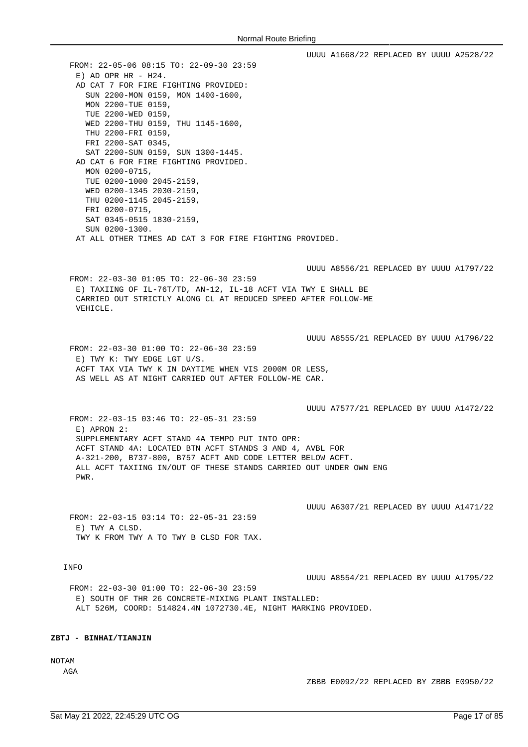UUUU A1668/22 REPLACED BY UUUU A2528/22 FROM: 22-05-06 08:15 TO: 22-09-30 23:59  $E)$  AD OPR HR - H24. AD CAT 7 FOR FIRE FIGHTING PROVIDED: SUN 2200-MON 0159, MON 1400-1600, MON 2200-TUE 0159, TUE 2200-WED 0159, WED 2200-THU 0159, THU 1145-1600, THU 2200-FRI 0159, FRI 2200-SAT 0345, SAT 2200-SUN 0159, SUN 1300-1445. AD CAT 6 FOR FIRE FIGHTING PROVIDED. MON 0200-0715, TUE 0200-1000 2045-2159, WED 0200-1345 2030-2159, THU 0200-1145 2045-2159, FRI 0200-0715, SAT 0345-0515 1830-2159, SUN 0200-1300. AT ALL OTHER TIMES AD CAT 3 FOR FIRE FIGHTING PROVIDED. UUUU A8556/21 REPLACED BY UUUU A1797/22 FROM: 22-03-30 01:05 TO: 22-06-30 23:59 E) TAXIING OF IL-76T/TD, AN-12, IL-18 ACFT VIA TWY E SHALL BE CARRIED OUT STRICTLY ALONG CL AT REDUCED SPEED AFTER FOLLOW-ME VEHICLE. UUUU A8555/21 REPLACED BY UUUU A1796/22 FROM: 22-03-30 01:00 TO: 22-06-30 23:59 E) TWY K: TWY EDGE LGT U/S. ACFT TAX VIA TWY K IN DAYTIME WHEN VIS 2000M OR LESS, AS WELL AS AT NIGHT CARRIED OUT AFTER FOLLOW-ME CAR. UUUU A7577/21 REPLACED BY UUUU A1472/22 FROM: 22-03-15 03:46 TO: 22-05-31 23:59 E) APRON 2: SUPPLEMENTARY ACFT STAND 4A TEMPO PUT INTO OPR: ACFT STAND 4A: LOCATED BTN ACFT STANDS 3 AND 4, AVBL FOR A-321-200, B737-800, B757 ACFT AND CODE LETTER BELOW ACFT. ALL ACFT TAXIING IN/OUT OF THESE STANDS CARRIED OUT UNDER OWN ENG PWR. UUUU A6307/21 REPLACED BY UUUU A1471/22 FROM: 22-03-15 03:14 TO: 22-05-31 23:59 E) TWY A CLSD. TWY K FROM TWY A TO TWY B CLSD FOR TAX. INFO UUUU A8554/21 REPLACED BY UUUU A1795/22 FROM: 22-03-30 01:00 TO: 22-06-30 23:59 E) SOUTH OF THR 26 CONCRETE-MIXING PLANT INSTALLED: ALT 526M, COORD: 514824.4N 1072730.4E, NIGHT MARKING PROVIDED.

## **ZBTJ - BINHAI/TIANJIN**

NOTAM

AGA

ZBBB E0092/22 REPLACED BY ZBBB E0950/22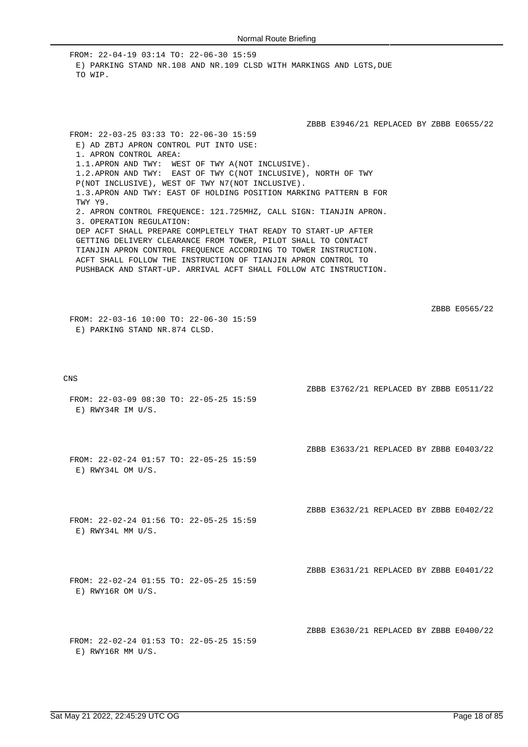FROM: 22-04-19 03:14 TO: 22-06-30 15:59 E) PARKING STAND NR.108 AND NR.109 CLSD WITH MARKINGS AND LGTS.DUE TO WIP.

ZBBB E3946/21 REPLACED BY ZBBB E0655/22

ZBBB E3762/21 REPLACED BY ZBBB E0511/22

ZBBB E3633/21 REPLACED BY ZBBB E0403/22

ZBBB E3632/21 REPLACED BY ZBBB E0402/22

ZBBB E3631/21 REPLACED BY ZBBB E0401/22

ZBBB E3630/21 REPLACED BY ZBBB E0400/22

E) AD ZBTJ APRON CONTROL PUT INTO USE: 1. APRON CONTROL AREA: 1.1.APRON AND TWY: WEST OF TWY A(NOT INCLUSIVE). 1.2.APRON AND TWY: EAST OF TWY C(NOT INCLUSIVE), NORTH OF TWY P(NOT INCLUSIVE), WEST OF TWY N7(NOT INCLUSIVE). 1.3.APRON AND TWY: EAST OF HOLDING POSITION MARKING PATTERN B FOR TWY Y9. 2. APRON CONTROL FREQUENCE: 121.725MHZ, CALL SIGN: TIANJIN APRON. 3. OPERATION REGULATION: DEP ACFT SHALL PREPARE COMPLETELY THAT READY TO START-UP AFTER GETTING DELIVERY CLEARANCE FROM TOWER, PILOT SHALL TO CONTACT TIANJIN APRON CONTROL FREQUENCE ACCORDING TO TOWER INSTRUCTION. ACFT SHALL FOLLOW THE INSTRUCTION OF TIANJIN APRON CONTROL TO PUSHBACK AND START-UP. ARRIVAL ACFT SHALL FOLLOW ATC INSTRUCTION.

ZBBB E0565/22

FROM: 22-03-16 10:00 TO: 22-06-30 15:59 E) PARKING STAND NR.874 CLSD.

FROM: 22-03-25 03:33 TO: 22-06-30 15:59

CNS

- FROM: 22-03-09 08:30 TO: 22-05-25 15:59 E) RWY34R IM U/S.
- FROM: 22-02-24 01:57 TO: 22-05-25 15:59 E) RWY34L OM U/S.
- FROM: 22-02-24 01:56 TO: 22-05-25 15:59 E) RWY34L MM U/S.
- FROM: 22-02-24 01:55 TO: 22-05-25 15:59 E) RWY16R OM U/S.
- FROM: 22-02-24 01:53 TO: 22-05-25 15:59 E) RWY16R MM U/S.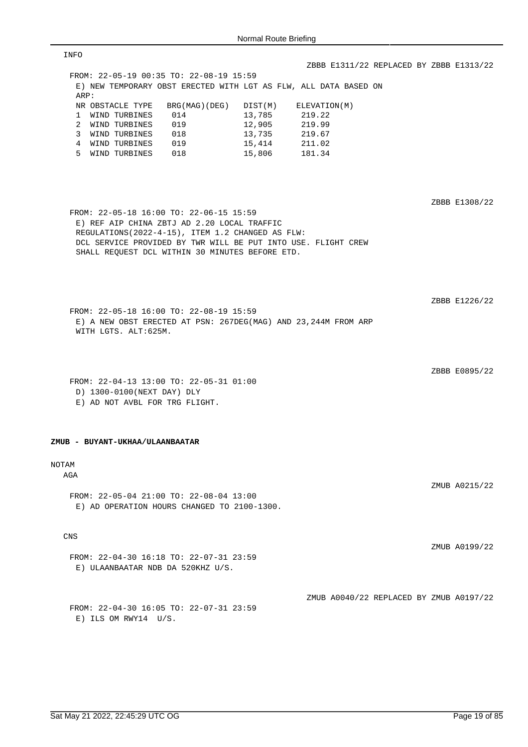| INFO                                                                                                                                                                                                                                                            |                                         |
|-----------------------------------------------------------------------------------------------------------------------------------------------------------------------------------------------------------------------------------------------------------------|-----------------------------------------|
|                                                                                                                                                                                                                                                                 | ZBBB E1311/22 REPLACED BY ZBBB E1313/22 |
| FROM: 22-05-19 00:35 TO: 22-08-19 15:59                                                                                                                                                                                                                         |                                         |
| E) NEW TEMPORARY OBST ERECTED WITH LGT AS FLW, ALL DATA BASED ON<br>ARP:                                                                                                                                                                                        |                                         |
| NR OBSTACLE TYPE<br>BRG(MAG)(DEG)<br>DIST(M)                                                                                                                                                                                                                    | ELEVATION(M)                            |
| 13,785<br>1 WIND TURBINES<br>014                                                                                                                                                                                                                                | 219.22                                  |
| 12,905<br>2 WIND TURBINES<br>019                                                                                                                                                                                                                                | 219.99                                  |
| 3 WIND TURBINES<br>018<br>13,735                                                                                                                                                                                                                                | 219.67                                  |
| 4 WIND TURBINES<br>019<br>15,414                                                                                                                                                                                                                                | 211.02                                  |
| 5 WIND TURBINES 018<br>15,806                                                                                                                                                                                                                                   | 181.34                                  |
| FROM: 22-05-18 16:00 TO: 22-06-15 15:59<br>E) REF AIP CHINA ZBTJ AD 2.20 LOCAL TRAFFIC<br>REGULATIONS (2022-4-15), ITEM 1.2 CHANGED AS FLW:<br>DCL SERVICE PROVIDED BY TWR WILL BE PUT INTO USE. FLIGHT CREW<br>SHALL REQUEST DCL WITHIN 30 MINUTES BEFORE ETD. | ZBBB E1308/22<br>ZBBB E1226/22          |
| FROM: 22-05-18 16:00 TO: 22-08-19 15:59<br>E) A NEW OBST ERECTED AT PSN: 267DEG(MAG) AND 23,244M FROM ARP<br>WITH LGTS. ALT:625M.                                                                                                                               | ZBBB E0895/22                           |
| FROM: 22-04-13 13:00 TO: 22-05-31 01:00                                                                                                                                                                                                                         |                                         |
| D) 1300-0100(NEXT DAY) DLY                                                                                                                                                                                                                                      |                                         |
| E) AD NOT AVBL FOR TRG FLIGHT.                                                                                                                                                                                                                                  |                                         |
| ZMUB - BUYANT-UKHAA/ULAANBAATAR                                                                                                                                                                                                                                 |                                         |
| <b>NOTAM</b>                                                                                                                                                                                                                                                    |                                         |
| AGA                                                                                                                                                                                                                                                             |                                         |
| FROM: 22-05-04 21:00 TO: 22-08-04 13:00<br>E) AD OPERATION HOURS CHANGED TO 2100-1300.                                                                                                                                                                          | ZMUB A0215/22                           |
| <b>CNS</b>                                                                                                                                                                                                                                                      |                                         |
| FROM: 22-04-30 16:18 TO: 22-07-31 23:59<br>E) ULAANBAATAR NDB DA 520KHZ U/S.                                                                                                                                                                                    | ZMUB A0199/22                           |
| FROM: 22-04-30 16:05 TO: 22-07-31 23:59<br>$E)$ ILS OM RWY14 U/S.                                                                                                                                                                                               | ZMUB A0040/22 REPLACED BY ZMUB A0197/22 |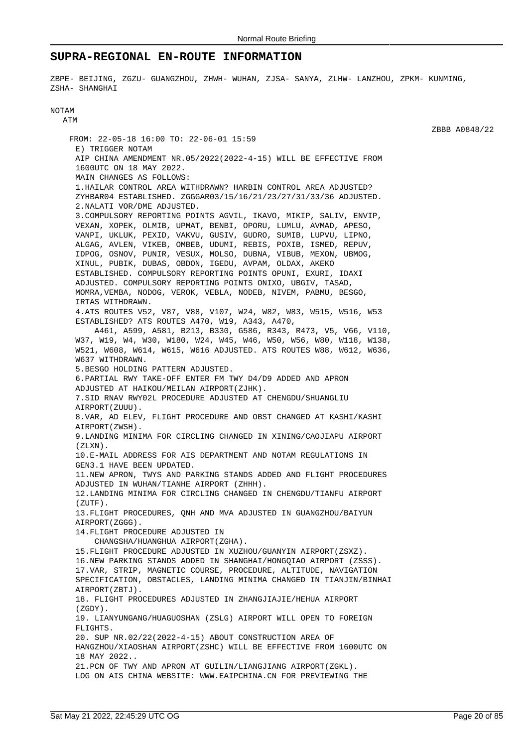### **SUPRA-REGIONAL EN-ROUTE INFORMATION**

ZBPE- BEIJING, ZGZU- GUANGZHOU, ZHWH- WUHAN, ZJSA- SANYA, ZLHW- LANZHOU, ZPKM- KUNMING, ZSHA- SHANGHAI

#### NOTAM ATM

FROM: 22-05-18 16:00 TO: 22-06-01 15:59 E) TRIGGER NOTAM AIP CHINA AMENDMENT NR.05/2022(2022-4-15) WILL BE EFFECTIVE FROM 1600UTC ON 18 MAY 2022. MAIN CHANGES AS FOLLOWS: 1.HAILAR CONTROL AREA WITHDRAWN? HARBIN CONTROL AREA ADJUSTED? ZYHBAR04 ESTABLISHED. ZGGGAR03/15/16/21/23/27/31/33/36 ADJUSTED. 2.NALATI VOR/DME ADJUSTED. 3.COMPULSORY REPORTING POINTS AGVIL, IKAVO, MIKIP, SALIV, ENVIP, VEXAN, XOPEK, OLMIB, UPMAT, BENBI, OPORU, LUMLU, AVMAD, APESO, VANPI, UKLUK, PEXID, VAKVU, GUSIV, GUDRO, SUMIB, LUPVU, LIPNO, ALGAG, AVLEN, VIKEB, OMBEB, UDUMI, REBIS, POXIB, ISMED, REPUV, IDPOG, OSNOV, PUNIR, VESUX, MOLSO, DUBNA, VIBUB, MEXON, UBMOG, XINUL, PUBIK, DUBAS, OBDON, IGEDU, AVPAM, OLDAX, AKEKO ESTABLISHED. COMPULSORY REPORTING POINTS OPUNI, EXURI, IDAXI ADJUSTED. COMPULSORY REPORTING POINTS ONIXO, UBGIV, TASAD, MOMRA,VEMBA, NODOG, VEROK, VEBLA, NODEB, NIVEM, PABMU, BESGO, IRTAS WITHDRAWN. 4.ATS ROUTES V52, V87, V88, V107, W24, W82, W83, W515, W516, W53 ESTABLISHED? ATS ROUTES A470, W19, A343, A470, A461, A599, A581, B213, B330, G586, R343, R473, V5, V66, V110, W37, W19, W4, W30, W180, W24, W45, W46, W50, W56, W80, W118, W138, W521, W608, W614, W615, W616 ADJUSTED. ATS ROUTES W88, W612, W636, W637 WITHDRAWN. 5.BESGO HOLDING PATTERN ADJUSTED. 6.PARTIAL RWY TAKE-OFF ENTER FM TWY D4/D9 ADDED AND APRON ADJUSTED AT HAIKOU/MEILAN AIRPORT(ZJHK). 7.SID RNAV RWY02L PROCEDURE ADJUSTED AT CHENGDU/SHUANGLIU AIRPORT(ZUUU). 8.VAR, AD ELEV, FLIGHT PROCEDURE AND OBST CHANGED AT KASHI/KASHI AIRPORT(ZWSH). 9.LANDING MINIMA FOR CIRCLING CHANGED IN XINING/CAOJIAPU AIRPORT  $(7.7 \times N)$ 10.E-MAIL ADDRESS FOR AIS DEPARTMENT AND NOTAM REGULATIONS IN GEN3.1 HAVE BEEN UPDATED. 11.NEW APRON, TWYS AND PARKING STANDS ADDED AND FLIGHT PROCEDURES ADJUSTED IN WUHAN/TIANHE AIRPORT (ZHHH). 12.LANDING MINIMA FOR CIRCLING CHANGED IN CHENGDU/TIANFU AIRPORT  $(ZIITF)$ . 13.FLIGHT PROCEDURES, QNH AND MVA ADJUSTED IN GUANGZHOU/BAIYUN AIRPORT(ZGGG). 14.FLIGHT PROCEDURE ADJUSTED IN CHANGSHA/HUANGHUA AIRPORT(ZGHA). 15.FLIGHT PROCEDURE ADJUSTED IN XUZHOU/GUANYIN AIRPORT(ZSXZ). 16.NEW PARKING STANDS ADDED IN SHANGHAI/HONGQIAO AIRPORT (ZSSS). 17.VAR, STRIP, MAGNETIC COURSE, PROCEDURE, ALTITUDE, NAVIGATION SPECIFICATION, OBSTACLES, LANDING MINIMA CHANGED IN TIANJIN/BINHAI AIRPORT(ZBTJ). 18. FLIGHT PROCEDURES ADJUSTED IN ZHANGJIAJIE/HEHUA AIRPORT  $(7GDY)$ 19. LIANYUNGANG/HUAGUOSHAN (ZSLG) AIRPORT WILL OPEN TO FOREIGN FLIGHTS. 20. SUP NR.02/22(2022-4-15) ABOUT CONSTRUCTION AREA OF HANGZHOU/XIAOSHAN AIRPORT(ZSHC) WILL BE EFFECTIVE FROM 1600UTC ON 18 MAY 2022.. 21.PCN OF TWY AND APRON AT GUILIN/LIANGJIANG AIRPORT(ZGKL). LOG ON AIS CHINA WEBSITE: WWW.EAIPCHINA.CN FOR PREVIEWING THE

ZBBB A0848/22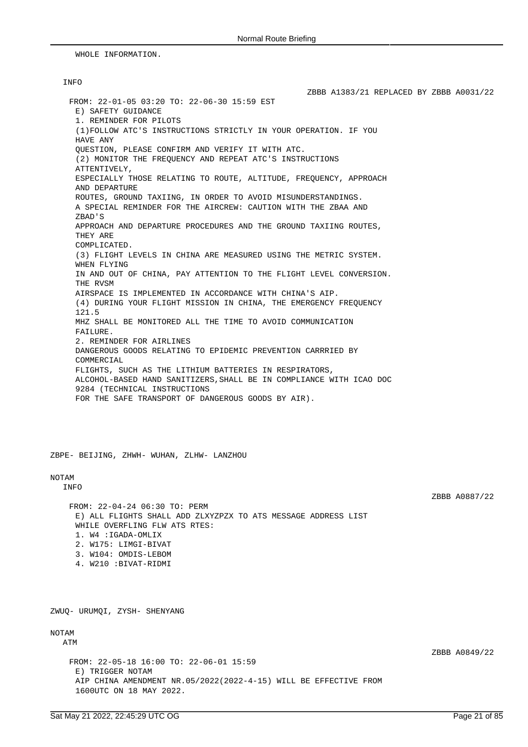WHOLE INFORMATION.

### INFO

ZBBB A1383/21 REPLACED BY ZBBB A0031/22 FROM: 22-01-05 03:20 TO: 22-06-30 15:59 EST E) SAFETY GUIDANCE 1. REMINDER FOR PILOTS (1)FOLLOW ATC'S INSTRUCTIONS STRICTLY IN YOUR OPERATION. IF YOU HAVE ANY QUESTION, PLEASE CONFIRM AND VERIFY IT WITH ATC. (2) MONITOR THE FREQUENCY AND REPEAT ATC'S INSTRUCTIONS ATTENTIVELY, ESPECIALLY THOSE RELATING TO ROUTE, ALTITUDE, FREQUENCY, APPROACH AND DEPARTURE ROUTES, GROUND TAXIING, IN ORDER TO AVOID MISUNDERSTANDINGS. A SPECIAL REMINDER FOR THE AIRCREW: CAUTION WITH THE ZBAA AND ZBAD'S APPROACH AND DEPARTURE PROCEDURES AND THE GROUND TAXIING ROUTES, THEY ARE COMPLICATED. (3) FLIGHT LEVELS IN CHINA ARE MEASURED USING THE METRIC SYSTEM. WHEN FLYING IN AND OUT OF CHINA, PAY ATTENTION TO THE FLIGHT LEVEL CONVERSION. THE RVSM AIRSPACE IS IMPLEMENTED IN ACCORDANCE WITH CHINA'S AIP. (4) DURING YOUR FLIGHT MISSION IN CHINA, THE EMERGENCY FREQUENCY 121.5 MHZ SHALL BE MONITORED ALL THE TIME TO AVOID COMMUNICATION FAILURE. 2. REMINDER FOR AIRLINES DANGEROUS GOODS RELATING TO EPIDEMIC PREVENTION CARRRIED BY COMMERCIAL FLIGHTS, SUCH AS THE LITHIUM BATTERIES IN RESPIRATORS, ALCOHOL-BASED HAND SANITIZERS,SHALL BE IN COMPLIANCE WITH ICAO DOC 9284 (TECHNICAL INSTRUCTIONS FOR THE SAFE TRANSPORT OF DANGEROUS GOODS BY AIR).

ZBPE- BEIJING, ZHWH- WUHAN, ZLHW- LANZHOU

#### NOTAM

INFO

ZBBB A0887/22

FROM: 22-04-24 06:30 TO: PERM E) ALL FLIGHTS SHALL ADD ZLXYZPZX TO ATS MESSAGE ADDRESS LIST WHILE OVERFLING FLW ATS RTES: 1. W4 :IGADA-OMLIX 2. W175: LIMGI-BIVAT 3. W104: OMDIS-LEBOM 4. W210 :BIVAT-RIDMI

ZWUQ- URUMQI, ZYSH- SHENYANG

### NOTAM

ATM

FROM: 22-05-18 16:00 TO: 22-06-01 15:59 E) TRIGGER NOTAM AIP CHINA AMENDMENT NR.05/2022(2022-4-15) WILL BE EFFECTIVE FROM 1600UTC ON 18 MAY 2022.

ZBBB A0849/22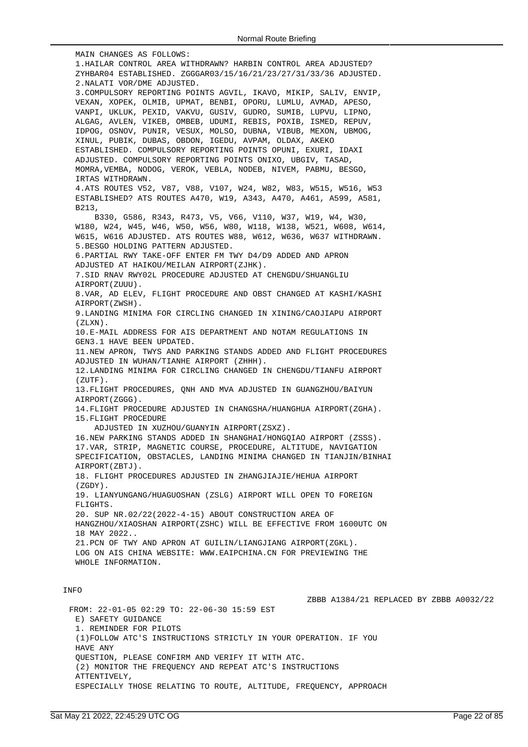MAIN CHANGES AS FOLLOWS: 1.HAILAR CONTROL AREA WITHDRAWN? HARBIN CONTROL AREA ADJUSTED? ZYHBAR04 ESTABLISHED. ZGGGAR03/15/16/21/23/27/31/33/36 ADJUSTED. 2.NALATI VOR/DME ADJUSTED. 3.COMPULSORY REPORTING POINTS AGVIL, IKAVO, MIKIP, SALIV, ENVIP, VEXAN, XOPEK, OLMIB, UPMAT, BENBI, OPORU, LUMLU, AVMAD, APESO, VANPI, UKLUK, PEXID, VAKVU, GUSIV, GUDRO, SUMIB, LUPVU, LIPNO, ALGAG, AVLEN, VIKEB, OMBEB, UDUMI, REBIS, POXIB, ISMED, REPUV, IDPOG, OSNOV, PUNIR, VESUX, MOLSO, DUBNA, VIBUB, MEXON, UBMOG, XINUL, PUBIK, DUBAS, OBDON, IGEDU, AVPAM, OLDAX, AKEKO ESTABLISHED. COMPULSORY REPORTING POINTS OPUNI, EXURI, IDAXI ADJUSTED. COMPULSORY REPORTING POINTS ONIXO, UBGIV, TASAD, MOMRA,VEMBA, NODOG, VEROK, VEBLA, NODEB, NIVEM, PABMU, BESGO, IRTAS WITHDRAWN. 4.ATS ROUTES V52, V87, V88, V107, W24, W82, W83, W515, W516, W53 ESTABLISHED? ATS ROUTES A470, W19, A343, A470, A461, A599, A581, B213, B330, G586, R343, R473, V5, V66, V110, W37, W19, W4, W30, W180, W24, W45, W46, W50, W56, W80, W118, W138, W521, W608, W614, W615, W616 ADJUSTED. ATS ROUTES W88, W612, W636, W637 WITHDRAWN. 5.BESGO HOLDING PATTERN ADJUSTED. 6.PARTIAL RWY TAKE-OFF ENTER FM TWY D4/D9 ADDED AND APRON ADJUSTED AT HAIKOU/MEILAN AIRPORT(ZJHK). 7.SID RNAV RWY02L PROCEDURE ADJUSTED AT CHENGDU/SHUANGLIU AIRPORT(ZUUU). 8.VAR, AD ELEV, FLIGHT PROCEDURE AND OBST CHANGED AT KASHI/KASHI AIRPORT(ZWSH). 9.LANDING MINIMA FOR CIRCLING CHANGED IN XINING/CAOJIAPU AIRPORT (ZLXN). 10.E-MAIL ADDRESS FOR AIS DEPARTMENT AND NOTAM REGULATIONS IN GEN3.1 HAVE BEEN UPDATED. 11.NEW APRON, TWYS AND PARKING STANDS ADDED AND FLIGHT PROCEDURES ADJUSTED IN WUHAN/TIANHE AIRPORT (ZHHH). 12.LANDING MINIMA FOR CIRCLING CHANGED IN CHENGDU/TIANFU AIRPORT (ZUTF). 13.FLIGHT PROCEDURES, QNH AND MVA ADJUSTED IN GUANGZHOU/BAIYUN AIRPORT(ZGGG). 14.FLIGHT PROCEDURE ADJUSTED IN CHANGSHA/HUANGHUA AIRPORT(ZGHA). 15.FLIGHT PROCEDURE ADJUSTED IN XUZHOU/GUANYIN AIRPORT(ZSXZ). 16.NEW PARKING STANDS ADDED IN SHANGHAI/HONGQIAO AIRPORT (ZSSS). 17.VAR, STRIP, MAGNETIC COURSE, PROCEDURE, ALTITUDE, NAVIGATION SPECIFICATION, OBSTACLES, LANDING MINIMA CHANGED IN TIANJIN/BINHAI AIRPORT(ZBTJ). 18. FLIGHT PROCEDURES ADJUSTED IN ZHANGJIAJIE/HEHUA AIRPORT  $(7GDY)$ 19. LIANYUNGANG/HUAGUOSHAN (ZSLG) AIRPORT WILL OPEN TO FOREIGN FLIGHTS. 20. SUP NR.02/22(2022-4-15) ABOUT CONSTRUCTION AREA OF HANGZHOU/XIAOSHAN AIRPORT(ZSHC) WILL BE EFFECTIVE FROM 1600UTC ON 18 MAY 2022.. 21.PCN OF TWY AND APRON AT GUILIN/LIANGJIANG AIRPORT(ZGKL). LOG ON AIS CHINA WEBSITE: WWW.EAIPCHINA.CN FOR PREVIEWING THE WHOLE INFORMATION. INFO ZBBB A1384/21 REPLACED BY ZBBB A0032/22 FROM: 22-01-05 02:29 TO: 22-06-30 15:59 EST E) SAFETY GUIDANCE 1. REMINDER FOR PILOTS (1)FOLLOW ATC'S INSTRUCTIONS STRICTLY IN YOUR OPERATION. IF YOU

QUESTION, PLEASE CONFIRM AND VERIFY IT WITH ATC.

(2) MONITOR THE FREQUENCY AND REPEAT ATC'S INSTRUCTIONS ATTENTIVELY,

ESPECIALLY THOSE RELATING TO ROUTE, ALTITUDE, FREQUENCY, APPROACH

HAVE ANY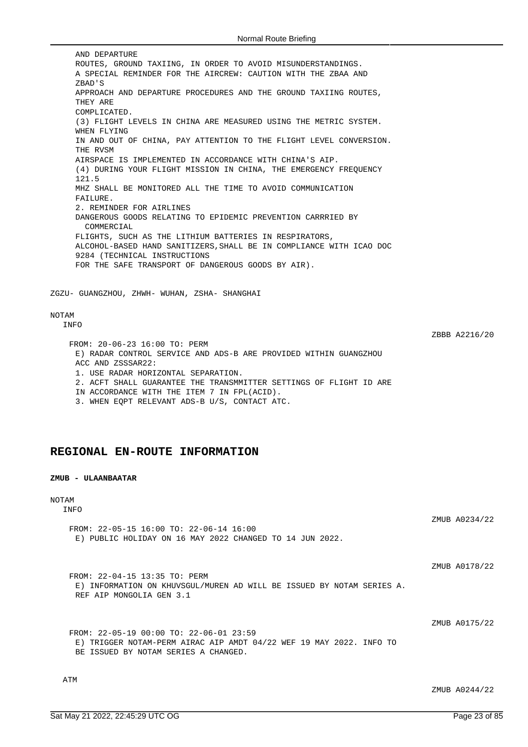AND DEPARTURE ROUTES, GROUND TAXIING, IN ORDER TO AVOID MISUNDERSTANDINGS. A SPECIAL REMINDER FOR THE AIRCREW: CAUTION WITH THE ZBAA AND ZBAD'S APPROACH AND DEPARTURE PROCEDURES AND THE GROUND TAXIING ROUTES, THEY ARE COMPLICATED. (3) FLIGHT LEVELS IN CHINA ARE MEASURED USING THE METRIC SYSTEM. WHEN FLYING IN AND OUT OF CHINA, PAY ATTENTION TO THE FLIGHT LEVEL CONVERSION. THE RVSM AIRSPACE IS IMPLEMENTED IN ACCORDANCE WITH CHINA'S AIP. (4) DURING YOUR FLIGHT MISSION IN CHINA, THE EMERGENCY FREQUENCY 121.5 MHZ SHALL BE MONITORED ALL THE TIME TO AVOID COMMUNICATION FAILURE. 2. REMINDER FOR AIRLINES DANGEROUS GOODS RELATING TO EPIDEMIC PREVENTION CARRRIED BY COMMERCIAL FLIGHTS, SUCH AS THE LITHIUM BATTERIES IN RESPIRATORS, ALCOHOL-BASED HAND SANITIZERS,SHALL BE IN COMPLIANCE WITH ICAO DOC 9284 (TECHNICAL INSTRUCTIONS FOR THE SAFE TRANSPORT OF DANGEROUS GOODS BY AIR). ZGZU- GUANGZHOU, ZHWH- WUHAN, ZSHA- SHANGHAI

### NOTAM

INFO

ZBBB A2216/20

FROM: 20-06-23 16:00 TO: PERM E) RADAR CONTROL SERVICE AND ADS-B ARE PROVIDED WITHIN GUANGZHOU ACC AND ZSSSAR22: 1. USE RADAR HORIZONTAL SEPARATION. 2. ACFT SHALL GUARANTEE THE TRANSMMITTER SETTINGS OF FLIGHT ID ARE IN ACCORDANCE WITH THE ITEM 7 IN FPL(ACID). 3. WHEN EQPT RELEVANT ADS-B U/S, CONTACT ATC.

## **REGIONAL EN-ROUTE INFORMATION**

#### **ZMUB - ULAANBAATAR**

#### NOTAM INFO

ZMUB A0234/22 FROM: 22-05-15 16:00 TO: 22-06-14 16:00 E) PUBLIC HOLIDAY ON 16 MAY 2022 CHANGED TO 14 JUN 2022.

ZMUB A0178/22

FROM: 22-04-15 13:35 TO: PERM E) INFORMATION ON KHUVSGUL/MUREN AD WILL BE ISSUED BY NOTAM SERIES A. REF AIP MONGOLIA GEN 3.1

ZMIJR A0175/22

FROM: 22-05-19 00:00 TO: 22-06-01 23:59 E) TRIGGER NOTAM-PERM AIRAC AIP AMDT 04/22 WEF 19 MAY 2022. INFO TO BE ISSUED BY NOTAM SERIES A CHANGED.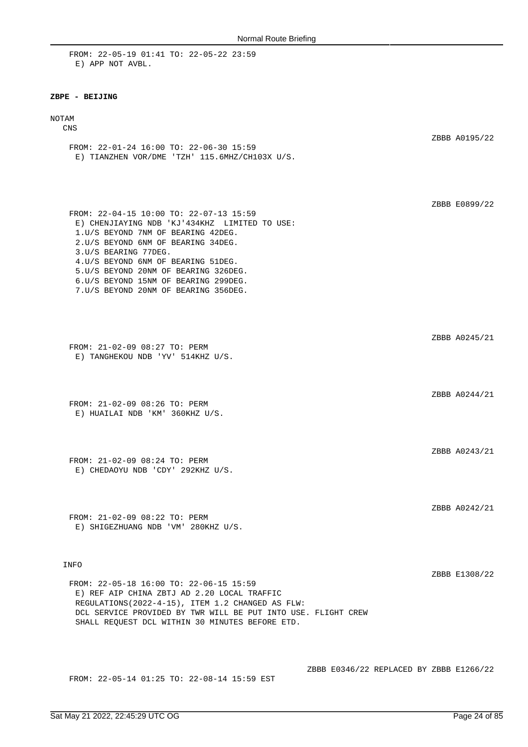FROM: 22-05-19 01:41 TO: 22-05-22 23:59 E) APP NOT AVBL.

#### **ZBPE - BEIJING**

#### NOTAM

#### CNS

ZBBB A0195/22 FROM: 22-01-24 16:00 TO: 22-06-30 15:59 E) TIANZHEN VOR/DME 'TZH' 115.6MHZ/CH103X U/S.

FROM: 22-04-15 10:00 TO: 22-07-13 15:59 E) CHENJIAYING NDB 'KJ'434KHZ LIMITED TO USE: 1.U/S BEYOND 7NM OF BEARING 42DEG. 2.U/S BEYOND 6NM OF BEARING 34DEG. 3.U/S BEARING 77DEG. 4.U/S BEYOND 6NM OF BEARING 51DEG. 5.U/S BEYOND 20NM OF BEARING 326DEG. 6.U/S BEYOND 15NM OF BEARING 299DEG. 7.U/S BEYOND 20NM OF BEARING 356DEG.

FROM: 21-02-09 08:27 TO: PERM E) TANGHEKOU NDB 'YV' 514KHZ U/S.

FROM: 21-02-09 08:26 TO: PERM E) HUAILAI NDB 'KM' 360KHZ U/S.

FROM: 21-02-09 08:24 TO: PERM E) CHEDAOYU NDB 'CDY' 292KHZ U/S.

FROM: 21-02-09 08:22 TO: PERM E) SHIGEZHUANG NDB 'VM' 280KHZ U/S.

#### INFO

ZBBB E1308/22

ZBBB E0899/22

ZBBB A0245/21

ZBBB A0244/21

ZBBB A0243/21

ZBBB A0242/21

FROM: 22-05-18 16:00 TO: 22-06-15 15:59 E) REF AIP CHINA ZBTJ AD 2.20 LOCAL TRAFFIC REGULATIONS(2022-4-15), ITEM 1.2 CHANGED AS FLW: DCL SERVICE PROVIDED BY TWR WILL BE PUT INTO USE. FLIGHT CREW SHALL REQUEST DCL WITHIN 30 MINUTES BEFORE ETD.

FROM: 22-05-14 01:25 TO: 22-08-14 15:59 EST

ZBBB E0346/22 REPLACED BY ZBBB E1266/22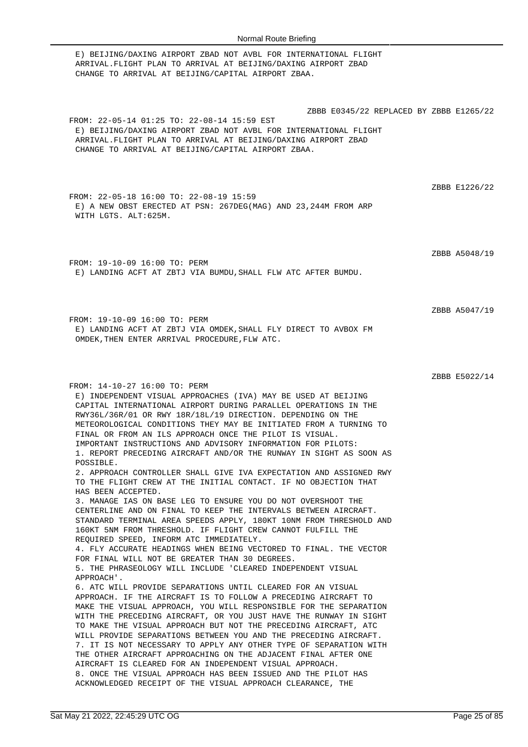E) BEIJING/DAXING AIRPORT ZBAD NOT AVBL FOR INTERNATIONAL FLIGHT ARRIVAL.FLIGHT PLAN TO ARRIVAL AT BEIJING/DAXING AIRPORT ZBAD CHANGE TO ARRIVAL AT BEIJING/CAPITAL AIRPORT ZBAA. ZBBB E0345/22 REPLACED BY ZBBB E1265/22 FROM: 22-05-14 01:25 TO: 22-08-14 15:59 EST E) BEIJING/DAXING AIRPORT ZBAD NOT AVBL FOR INTERNATIONAL FLIGHT ARRIVAL.FLIGHT PLAN TO ARRIVAL AT BEIJING/DAXING AIRPORT ZBAD CHANGE TO ARRIVAL AT BEIJING/CAPITAL AIRPORT ZBAA. ZBBB E1226/22 FROM: 22-05-18 16:00 TO: 22-08-19 15:59 E) A NEW OBST ERECTED AT PSN: 267DEG(MAG) AND 23,244M FROM ARP WITH LGTS. ALT:625M. ZBBB A5048/19 FROM: 19-10-09 16:00 TO: PERM E) LANDING ACFT AT ZBTJ VIA BUMDU,SHALL FLW ATC AFTER BUMDU. ZBBB A5047/19 FROM: 19-10-09 16:00 TO: PERM E) LANDING ACFT AT ZBTJ VIA OMDEK,SHALL FLY DIRECT TO AVBOX FM OMDEK,THEN ENTER ARRIVAL PROCEDURE,FLW ATC. ZBBB E5022/14 FROM: 14-10-27 16:00 TO: PERM E) INDEPENDENT VISUAL APPROACHES (IVA) MAY BE USED AT BEIJING CAPITAL INTERNATIONAL AIRPORT DURING PARALLEL OPERATIONS IN THE RWY36L/36R/01 OR RWY 18R/18L/19 DIRECTION. DEPENDING ON THE METEOROLOGICAL CONDITIONS THEY MAY BE INITIATED FROM A TURNING TO FINAL OR FROM AN ILS APPROACH ONCE THE PILOT IS VISUAL. IMPORTANT INSTRUCTIONS AND ADVISORY INFORMATION FOR PILOTS: 1. REPORT PRECEDING AIRCRAFT AND/OR THE RUNWAY IN SIGHT AS SOON AS POSSIBLE. 2. APPROACH CONTROLLER SHALL GIVE IVA EXPECTATION AND ASSIGNED RWY TO THE FLIGHT CREW AT THE INITIAL CONTACT. IF NO OBJECTION THAT HAS BEEN ACCEPTED. 3. MANAGE IAS ON BASE LEG TO ENSURE YOU DO NOT OVERSHOOT THE CENTERLINE AND ON FINAL TO KEEP THE INTERVALS BETWEEN AIRCRAFT. STANDARD TERMINAL AREA SPEEDS APPLY, 180KT 10NM FROM THRESHOLD AND 160KT 5NM FROM THRESHOLD. IF FLIGHT CREW CANNOT FULFILL THE REQUIRED SPEED, INFORM ATC IMMEDIATELY. 4. FLY ACCURATE HEADINGS WHEN BEING VECTORED TO FINAL. THE VECTOR FOR FINAL WILL NOT BE GREATER THAN 30 DEGREES. 5. THE PHRASEOLOGY WILL INCLUDE 'CLEARED INDEPENDENT VISUAL APPROACH'. 6. ATC WILL PROVIDE SEPARATIONS UNTIL CLEARED FOR AN VISUAL APPROACH. IF THE AIRCRAFT IS TO FOLLOW A PRECEDING AIRCRAFT TO MAKE THE VISUAL APPROACH, YOU WILL RESPONSIBLE FOR THE SEPARATION WITH THE PRECEDING AIRCRAFT, OR YOU JUST HAVE THE RUNWAY IN SIGHT TO MAKE THE VISUAL APPROACH BUT NOT THE PRECEDING AIRCRAFT, ATC WILL PROVIDE SEPARATIONS BETWEEN YOU AND THE PRECEDING AIRCRAFT. 7. IT IS NOT NECESSARY TO APPLY ANY OTHER TYPE OF SEPARATION WITH THE OTHER AIRCRAFT APPROACHING ON THE ADJACENT FINAL AFTER ONE AIRCRAFT IS CLEARED FOR AN INDEPENDENT VISUAL APPROACH. 8. ONCE THE VISUAL APPROACH HAS BEEN ISSUED AND THE PILOT HAS ACKNOWLEDGED RECEIPT OF THE VISUAL APPROACH CLEARANCE, THE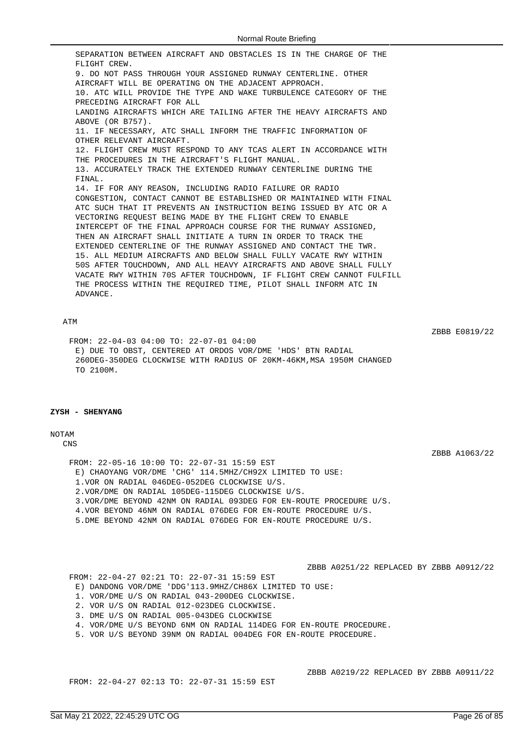SEPARATION BETWEEN AIRCRAFT AND OBSTACLES IS IN THE CHARGE OF THE FLIGHT CREW. 9. DO NOT PASS THROUGH YOUR ASSIGNED RUNWAY CENTERLINE. OTHER AIRCRAFT WILL BE OPERATING ON THE ADJACENT APPROACH. 10. ATC WILL PROVIDE THE TYPE AND WAKE TURBULENCE CATEGORY OF THE PRECEDING AIRCRAFT FOR ALL LANDING AIRCRAFTS WHICH ARE TAILING AFTER THE HEAVY AIRCRAFTS AND ABOVE (OR B757). 11. IF NECESSARY, ATC SHALL INFORM THE TRAFFIC INFORMATION OF OTHER RELEVANT AIRCRAFT. 12. FLIGHT CREW MUST RESPOND TO ANY TCAS ALERT IN ACCORDANCE WITH THE PROCEDURES IN THE AIRCRAFT'S FLIGHT MANUAL. 13. ACCURATELY TRACK THE EXTENDED RUNWAY CENTERLINE DURING THE FINAL. 14. IF FOR ANY REASON, INCLUDING RADIO FAILURE OR RADIO CONGESTION, CONTACT CANNOT BE ESTABLISHED OR MAINTAINED WITH FINAL ATC SUCH THAT IT PREVENTS AN INSTRUCTION BEING ISSUED BY ATC OR A VECTORING REQUEST BEING MADE BY THE FLIGHT CREW TO ENABLE INTERCEPT OF THE FINAL APPROACH COURSE FOR THE RUNWAY ASSIGNED, THEN AN AIRCRAFT SHALL INITIATE A TURN IN ORDER TO TRACK THE EXTENDED CENTERLINE OF THE RUNWAY ASSIGNED AND CONTACT THE TWR. 15. ALL MEDIUM AIRCRAFTS AND BELOW SHALL FULLY VACATE RWY WITHIN 50S AFTER TOUCHDOWN, AND ALL HEAVY AIRCRAFTS AND ABOVE SHALL FULLY VACATE RWY WITHIN 70S AFTER TOUCHDOWN, IF FLIGHT CREW CANNOT FULFILL THE PROCESS WITHIN THE REQUIRED TIME, PILOT SHALL INFORM ATC IN ADVANCE.

#### ATM

ZBBB E0819/22

FROM: 22-04-03 04:00 TO: 22-07-01 04:00 E) DUE TO OBST, CENTERED AT ORDOS VOR/DME 'HDS' BTN RADIAL 260DEG-350DEG CLOCKWISE WITH RADIUS OF 20KM-46KM,MSA 1950M CHANGED TO 2100M.

### **ZYSH - SHENYANG**

#### NOTAM

CNS

ZBBB A1063/22

FROM: 22-05-16 10:00 TO: 22-07-31 15:59 EST E) CHAOYANG VOR/DME 'CHG' 114.5MHZ/CH92X LIMITED TO USE: 1.VOR ON RADIAL 046DEG-052DEG CLOCKWISE U/S. 2.VOR/DME ON RADIAL 105DEG-115DEG CLOCKWISE U/S. 3.VOR/DME BEYOND 42NM ON RADIAL 093DEG FOR EN-ROUTE PROCEDURE U/S. 4.VOR BEYOND 46NM ON RADIAL 076DEG FOR EN-ROUTE PROCEDURE U/S. 5.DME BEYOND 42NM ON RADIAL 076DEG FOR EN-ROUTE PROCEDURE U/S.

ZBBB A0251/22 REPLACED BY ZBBB A0912/22

FROM: 22-04-27 02:21 TO: 22-07-31 15:59 EST

- E) DANDONG VOR/DME 'DDG'113.9MHZ/CH86X LIMITED TO USE:
- 1. VOR/DME U/S ON RADIAL 043-200DEG CLOCKWISE.
- 2. VOR U/S ON RADIAL 012-023DEG CLOCKWISE.
- 3. DME U/S ON RADIAL 005-043DEG CLOCKWISE
- 4. VOR/DME U/S BEYOND 6NM ON RADIAL 114DEG FOR EN-ROUTE PROCEDURE.
- 5. VOR U/S BEYOND 39NM ON RADIAL 004DEG FOR EN-ROUTE PROCEDURE.

FROM: 22-04-27 02:13 TO: 22-07-31 15:59 EST

ZBBB A0219/22 REPLACED BY ZBBB A0911/22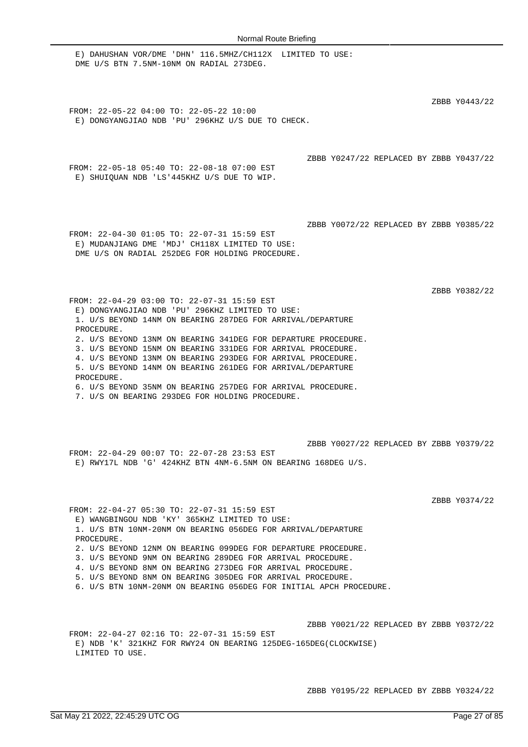E) DAHUSHAN VOR/DME 'DHN' 116.5MHZ/CH112X LIMITED TO USE: DME U/S BTN 7.5NM-10NM ON RADIAL 273DEG. ZBBB Y0443/22 FROM: 22-05-22 04:00 TO: 22-05-22 10:00 E) DONGYANGJIAO NDB 'PU' 296KHZ U/S DUE TO CHECK. ZBBB Y0247/22 REPLACED BY ZBBB Y0437/22 FROM: 22-05-18 05:40 TO: 22-08-18 07:00 EST E) SHUIQUAN NDB 'LS'445KHZ U/S DUE TO WIP. ZBBB Y0072/22 REPLACED BY ZBBB Y0385/22 FROM: 22-04-30 01:05 TO: 22-07-31 15:59 EST E) MUDANJIANG DME 'MDJ' CH118X LIMITED TO USE: DME U/S ON RADIAL 252DEG FOR HOLDING PROCEDURE. ZBBB Y0382/22 FROM: 22-04-29 03:00 TO: 22-07-31 15:59 EST E) DONGYANGJIAO NDB 'PU' 296KHZ LIMITED TO USE: 1. U/S BEYOND 14NM ON BEARING 287DEG FOR ARRIVAL/DEPARTURE PROCEDURE. 2. U/S BEYOND 13NM ON BEARING 341DEG FOR DEPARTURE PROCEDURE. 3. U/S BEYOND 15NM ON BEARING 331DEG FOR ARRIVAL PROCEDURE. 4. U/S BEYOND 13NM ON BEARING 293DEG FOR ARRIVAL PROCEDURE. 5. U/S BEYOND 14NM ON BEARING 261DEG FOR ARRIVAL/DEPARTURE PROCEDURE. 6. U/S BEYOND 35NM ON BEARING 257DEG FOR ARRIVAL PROCEDURE. 7. U/S ON BEARING 293DEG FOR HOLDING PROCEDURE. ZBBB Y0027/22 REPLACED BY ZBBB Y0379/22 FROM: 22-04-29 00:07 TO: 22-07-28 23:53 EST E) RWY17L NDB 'G' 424KHZ BTN 4NM-6.5NM ON BEARING 168DEG U/S. ZBBB Y0374/22 FROM: 22-04-27 05:30 TO: 22-07-31 15:59 EST E) WANGBINGOU NDB 'KY' 365KHZ LIMITED TO USE: 1. U/S BTN 10NM-20NM ON BEARING 056DEG FOR ARRIVAL/DEPARTURE PROCEDURE. 2. U/S BEYOND 12NM ON BEARING 099DEG FOR DEPARTURE PROCEDURE. 3. U/S BEYOND 9NM ON BEARING 289DEG FOR ARRIVAL PROCEDURE. 4. U/S BEYOND 8NM ON BEARING 273DEG FOR ARRIVAL PROCEDURE. 5. U/S BEYOND 8NM ON BEARING 305DEG FOR ARRIVAL PROCEDURE. 6. U/S BTN 10NM-20NM ON BEARING 056DEG FOR INITIAL APCH PROCEDURE. ZBBB Y0021/22 REPLACED BY ZBBB Y0372/22 FROM: 22-04-27 02:16 TO: 22-07-31 15:59 EST

E) NDB 'K' 321KHZ FOR RWY24 ON BEARING 125DEG-165DEG(CLOCKWISE) LIMITED TO USE.

ZBBB Y0195/22 REPLACED BY ZBBB Y0324/22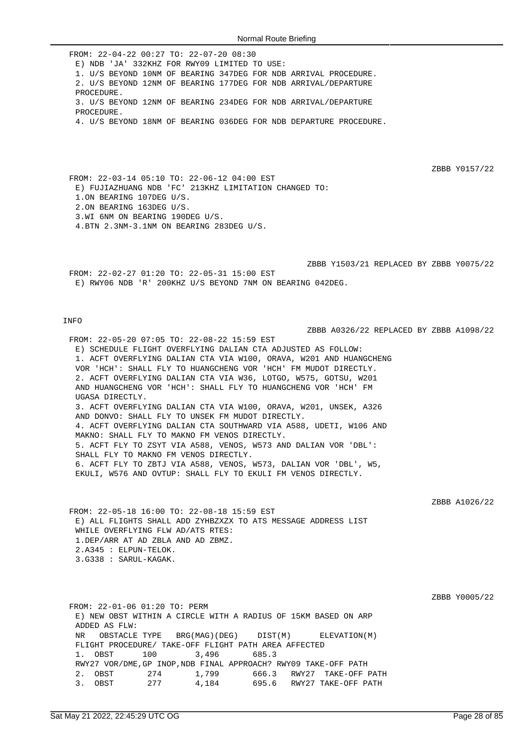FROM: 22-04-22 00:27 TO: 22-07-20 08:30 E) NDB 'JA' 332KHZ FOR RWY09 LIMITED TO USE: 1. U/S BEYOND 10NM OF BEARING 347DEG FOR NDB ARRIVAL PROCEDURE. 2. U/S BEYOND 12NM OF BEARING 177DEG FOR NDB ARRIVAL/DEPARTURE PROCEDURE. 3. U/S BEYOND 12NM OF BEARING 234DEG FOR NDB ARRIVAL/DEPARTURE PROCEDURE. 4. U/S BEYOND 18NM OF BEARING 036DEG FOR NDB DEPARTURE PROCEDURE.

ZBBB Y0157/22

ZBBB A0326/22 REPLACED BY ZBBB A1098/22

FROM: 22-03-14 05:10 TO: 22-06-12 04:00 EST E) FUJIAZHUANG NDB 'FC' 213KHZ LIMITATION CHANGED TO: 1.ON BEARING 107DEG U/S. 2.ON BEARING 163DEG U/S. 3.WI 6NM ON BEARING 190DEG U/S. 4.BTN 2.3NM-3.1NM ON BEARING 283DEG U/S.

ZBBB Y1503/21 REPLACED BY ZBBB Y0075/22 FROM: 22-02-27 01:20 TO: 22-05-31 15:00 EST E) RWY06 NDB 'R' 200KHZ U/S BEYOND 7NM ON BEARING 042DEG.

#### INFO

FROM: 22-05-20 07:05 TO: 22-08-22 15:59 EST E) SCHEDULE FLIGHT OVERFLYING DALIAN CTA ADJUSTED AS FOLLOW: 1. ACFT OVERFLYING DALIAN CTA VIA W100, ORAVA, W201 AND HUANGCHENG VOR 'HCH': SHALL FLY TO HUANGCHENG VOR 'HCH' FM MUDOT DIRECTLY. 2. ACFT OVERFLYING DALIAN CTA VIA W36, LOTGO, W575, GOTSU, W201 AND HUANGCHENG VOR 'HCH': SHALL FLY TO HUANGCHENG VOR 'HCH' FM UGASA DIRECTLY. 3. ACFT OVERFLYING DALIAN CTA VIA W100, ORAVA, W201, UNSEK, A326 AND DONVO: SHALL FLY TO UNSEK FM MUDOT DIRECTLY. 4. ACFT OVERFLYING DALIAN CTA SOUTHWARD VIA A588, UDETI, W106 AND MAKNO: SHALL FLY TO MAKNO FM VENOS DIRECTLY. 5. ACFT FLY TO ZSYT VIA A588, VENOS, W573 AND DALIAN VOR 'DBL': SHALL FLY TO MAKNO FM VENOS DIRECTLY. 6. ACFT FLY TO ZBTJ VIA A588, VENOS, W573, DALIAN VOR 'DBL', W5, EKULI, W576 AND OVTUP: SHALL FLY TO EKULI FM VENOS DIRECTLY.

ZBBB A1026/22

FROM: 22-05-18 16:00 TO: 22-08-18 15:59 EST E) ALL FLIGHTS SHALL ADD ZYHBZXZX TO ATS MESSAGE ADDRESS LIST WHILE OVERFLYING FLW AD/ATS RTES: 1.DEP/ARR AT AD ZBLA AND AD ZBMZ. 2.A345 : ELPUN-TELOK. 3.G338 : SARUL-KAGAK.

ZBBB Y0005/22

FROM: 22-01-06 01:20 TO: PERM E) NEW OBST WITHIN A CIRCLE WITH A RADIUS OF 15KM BASED ON ARP ADDED AS FLW: NR OBSTACLE TYPE BRG(MAG)(DEG) DIST(M) ELEVATION(M) FLIGHT PROCEDURE/ TAKE-OFF FLIGHT PATH AREA AFFECTED 1. OBST 100 3,496 685.3 RWY27 VOR/DME,GP INOP,NDB FINAL APPROACH? RWY09 TAKE-OFF PATH 2. OBST 274 1,799 666.3 RWY27 TAKE-OFF PATH 3. OBST 277 4,184 695.6 RWY27 TAKE-OFF PATH 3. OBST 277 4,184 695.6 RWY27 TAKE-OFF PATH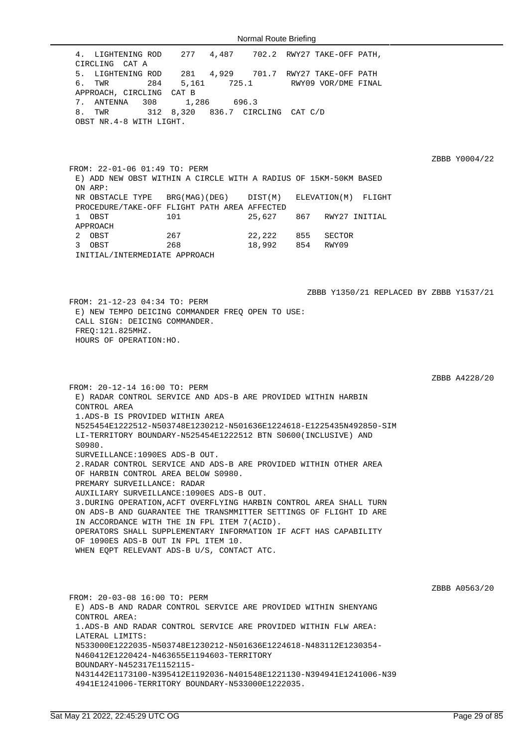FROM: 20-12-14 16:00 TO: PERM

1.ADS-B IS PROVIDED WITHIN AREA

SURVEILLANCE:1090ES ADS-B OUT.

PREMARY SURVEILLANCE: RADAR

OF HARBIN CONTROL AREA BELOW S0980.

OF 1090ES ADS-B OUT IN FPL ITEM 10.

AUXILIARY SURVEILLANCE:1090ES ADS-B OUT.

IN ACCORDANCE WITH THE IN FPL ITEM 7(ACID).

WHEN EQPT RELEVANT ADS-B U/S, CONTACT ATC.

CONTROL AREA

S0980.

FROM: 20-03-08 16:00 TO: PERM E) ADS-B AND RADAR CONTROL SERVICE ARE PROVIDED WITHIN SHENYANG CONTROL AREA: 1.ADS-B AND RADAR CONTROL SERVICE ARE PROVIDED WITHIN FLW AREA: LATERAL LIMITS: N533000E1222035-N503748E1230212-N501636E1224618-N483112E1230354- N460412E1220424-N463655E1194603-TERRITORY BOUNDARY-N452317E1152115- N431442E1173100-N395412E1192036-N401548E1221130-N394941E1241006-N39 4941E1241006-TERRITORY BOUNDARY-N533000E1222035.

4. LIGHTENING ROD 277 4,487 702.2 RWY27 TAKE-OFF PATH, CIRCLING CAT A 5. LIGHTENING ROD 281 4,929 701.7 RWY27 TAKE-OFF PATH 6. TWR 284 5,161 725.1 RWY09 VOR/DME FINAL APPROACH, CIRCLING CAT B 7. ANTENNA 308 1,286 696.3 8. TWR 312 8,320 836.7 CIRCLING CAT C/D OBST NR.4-8 WITH LIGHT.

FROM: 22-01-06 01:49 TO: PERM E) ADD NEW OBST WITHIN A CIRCLE WITH A RADIUS OF 15KM-50KM BASED ON ARP: NR OBSTACLE TYPE BRG(MAG)(DEG) DIST(M) ELEVATION(M) FLIGHT PROCEDURE/TAKE-OFF FLIGHT PATH AREA AFFECTED 1 OBST 101 25,627 867 RWY27 INITIAL APPROACH 2 OBST 267 22,222 855 SECTOR 3 OBST 268 18,992 854 RWY09 INITIAL/INTERMEDIATE APPROACH

E) RADAR CONTROL SERVICE AND ADS-B ARE PROVIDED WITHIN HARBIN

N525454E1222512-N503748E1230212-N501636E1224618-E1225435N492850-SIM LI-TERRITORY BOUNDARY-N525454E1222512 BTN S0600(INCLUSIVE) AND

2.RADAR CONTROL SERVICE AND ADS-B ARE PROVIDED WITHIN OTHER AREA

3.DURING OPERATION,ACFT OVERFLYING HARBIN CONTROL AREA SHALL TURN ON ADS-B AND GUARANTEE THE TRANSMMITTER SETTINGS OF FLIGHT ID ARE

OPERATORS SHALL SUPPLEMENTARY INFORMATION IF ACFT HAS CAPABILITY

ZBBB Y1350/21 REPLACED BY ZBBB Y1537/21 FROM: 21-12-23 04:34 TO: PERM E) NEW TEMPO DEICING COMMANDER FREQ OPEN TO USE: CALL SIGN: DEICING COMMANDER. FREQ:121.825MHZ. HOURS OF OPERATION:HO.

ZBBB A4228/20

ZBBB Y0004/22

ZBBB A0563/20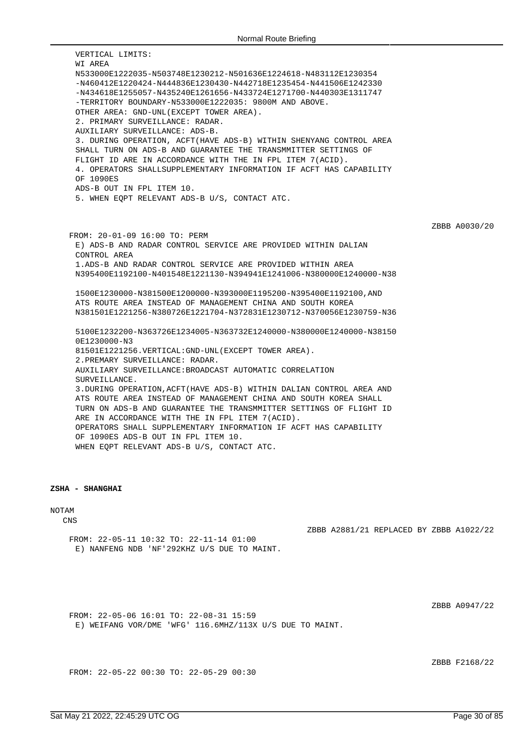VERTICAL LIMITS: WI AREA N533000E1222035-N503748E1230212-N501636E1224618-N483112E1230354 -N460412E1220424-N444836E1230430-N442718E1235454-N441506E1242330 -N434618E1255057-N435240E1261656-N433724E1271700-N440303E1311747 -TERRITORY BOUNDARY-N533000E1222035: 9800M AND ABOVE. OTHER AREA: GND-UNL(EXCEPT TOWER AREA). 2. PRIMARY SURVEILLANCE: RADAR. AUXILIARY SURVEILLANCE: ADS-B. 3. DURING OPERATION, ACFT(HAVE ADS-B) WITHIN SHENYANG CONTROL AREA SHALL TURN ON ADS-B AND GUARANTEE THE TRANSMMITTER SETTINGS OF FLIGHT ID ARE IN ACCORDANCE WITH THE IN FPL ITEM 7(ACID). 4. OPERATORS SHALLSUPPLEMENTARY INFORMATION IF ACFT HAS CAPABILITY OF 1090ES ADS-B OUT IN FPL ITEM 10. 5. WHEN EQPT RELEVANT ADS-B U/S, CONTACT ATC. ZBBB A0030/20 FROM: 20-01-09 16:00 TO: PERM E) ADS-B AND RADAR CONTROL SERVICE ARE PROVIDED WITHIN DALIAN CONTROL AREA 1.ADS-B AND RADAR CONTROL SERVICE ARE PROVIDED WITHIN AREA N395400E1192100-N401548E1221130-N394941E1241006-N380000E1240000-N38 1500E1230000-N381500E1200000-N393000E1195200-N395400E1192100,AND ATS ROUTE AREA INSTEAD OF MANAGEMENT CHINA AND SOUTH KOREA N381501E1221256-N380726E1221704-N372831E1230712-N370056E1230759-N36 5100E1232200-N363726E1234005-N363732E1240000-N380000E1240000-N38150 0E1230000-N3 81501E1221256.VERTICAL:GND-UNL(EXCEPT TOWER AREA). 2.PREMARY SURVEILLANCE: RADAR. AUXILIARY SURVEILLANCE:BROADCAST AUTOMATIC CORRELATION SURVEILLANCE. 3.DURING OPERATION,ACFT(HAVE ADS-B) WITHIN DALIAN CONTROL AREA AND ATS ROUTE AREA INSTEAD OF MANAGEMENT CHINA AND SOUTH KOREA SHALL TURN ON ADS-B AND GUARANTEE THE TRANSMMITTER SETTINGS OF FLIGHT ID ARE IN ACCORDANCE WITH THE IN FPL ITEM 7(ACID). OPERATORS SHALL SUPPLEMENTARY INFORMATION IF ACFT HAS CAPABILITY OF 1090ES ADS-B OUT IN FPL ITEM 10. WHEN EQPT RELEVANT ADS-B U/S, CONTACT ATC.

### **ZSHA - SHANGHAI**

NOTAM

CNS

ZBBB A2881/21 REPLACED BY ZBBB A1022/22

FROM: 22-05-11 10:32 TO: 22-11-14 01:00 E) NANFENG NDB 'NF'292KHZ U/S DUE TO MAINT.

ZBBB A0947/22

FROM: 22-05-06 16:01 TO: 22-08-31 15:59 E) WEIFANG VOR/DME 'WFG' 116.6MHZ/113X U/S DUE TO MAINT.

ZBBB F2168/22

FROM: 22-05-22 00:30 TO: 22-05-29 00:30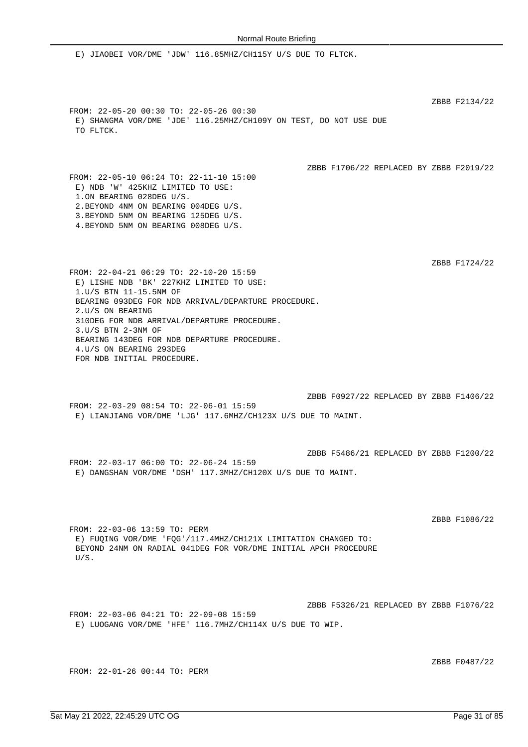ZBBB F0487/22

E) JIAOBEI VOR/DME 'JDW' 116.85MHZ/CH115Y U/S DUE TO FLTCK. ZBBB F2134/22 FROM: 22-05-20 00:30 TO: 22-05-26 00:30 E) SHANGMA VOR/DME 'JDE' 116.25MHZ/CH109Y ON TEST, DO NOT USE DUE TO FLTCK. ZBBB F1706/22 REPLACED BY ZBBB F2019/22 FROM: 22-05-10 06:24 TO: 22-11-10 15:00 E) NDB 'W' 425KHZ LIMITED TO USE: 1.ON BEARING 028DEG U/S. 2.BEYOND 4NM ON BEARING 004DEG U/S. 3.BEYOND 5NM ON BEARING 125DEG U/S. 4.BEYOND 5NM ON BEARING 008DEG U/S. ZBBB F1724/22 FROM: 22-04-21 06:29 TO: 22-10-20 15:59 E) LISHE NDB 'BK' 227KHZ LIMITED TO USE: 1.U/S BTN 11-15.5NM OF BEARING 093DEG FOR NDB ARRIVAL/DEPARTURE PROCEDURE. 2.U/S ON BEARING 310DEG FOR NDB ARRIVAL/DEPARTURE PROCEDURE. 3.U/S BTN 2-3NM OF BEARING 143DEG FOR NDB DEPARTURE PROCEDURE. 4.U/S ON BEARING 293DEG FOR NDB INITIAL PROCEDURE. ZBBB F0927/22 REPLACED BY ZBBB F1406/22 FROM: 22-03-29 08:54 TO: 22-06-01 15:59 E) LIANJIANG VOR/DME 'LJG' 117.6MHZ/CH123X U/S DUE TO MAINT. ZBBB F5486/21 REPLACED BY ZBBB F1200/22 FROM: 22-03-17 06:00 TO: 22-06-24 15:59 E) DANGSHAN VOR/DME 'DSH' 117.3MHZ/CH120X U/S DUE TO MAINT. ZBBB F1086/22 FROM: 22-03-06 13:59 TO: PERM E) FUQING VOR/DME 'FQG'/117.4MHZ/CH121X LIMITATION CHANGED TO: BEYOND 24NM ON RADIAL 041DEG FOR VOR/DME INITIAL APCH PROCEDURE U/S. ZBBB F5326/21 REPLACED BY ZBBB F1076/22 FROM: 22-03-06 04:21 TO: 22-09-08 15:59 E) LUOGANG VOR/DME 'HFE' 116.7MHZ/CH114X U/S DUE TO WIP.

FROM: 22-01-26 00:44 TO: PERM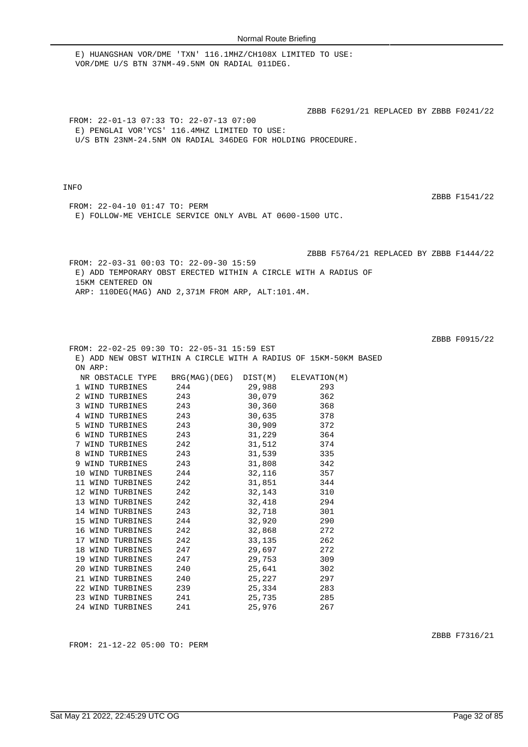| Sat May 21 2022, 22:45:29 UTC OG | Page 32 of 85 |
|----------------------------------|---------------|

| Page 32 of 85 |  |  |
|---------------|--|--|
|               |  |  |

ZBBB F6291/21 REPLACED BY ZBBB F0241/22 FROM: 22-01-13 07:33 TO: 22-07-13 07:00 E) PENGLAI VOR'YCS' 116.4MHZ LIMITED TO USE: U/S BTN 23NM-24.5NM ON RADIAL 346DEG FOR HOLDING PROCEDURE.

E) HUANGSHAN VOR/DME 'TXN' 116.1MHZ/CH108X LIMITED TO USE:

VOR/DME U/S BTN 37NM-49.5NM ON RADIAL 011DEG.

### INFO

ZBBB F1541/22

FROM: 22-04-10 01:47 TO: PERM E) FOLLOW-ME VEHICLE SERVICE ONLY AVBL AT 0600-1500 UTC.

ZBBB F5764/21 REPLACED BY ZBBB F1444/22

FROM: 22-03-31 00:03 TO: 22-09-30 15:59 E) ADD TEMPORARY OBST ERECTED WITHIN A CIRCLE WITH A RADIUS OF 15KM CENTERED ON ARP: 110DEG(MAG) AND 2,371M FROM ARP, ALT:101.4M.

ZBBB F0915/22

ZBBB F7316/21

| 241 |                                                                                                                                          |                                                                                                                                                                                                                                                                                                                                                                                                                                                                                                                                                                                                                                                                                                                                                                                                                                                                                                            |
|-----|------------------------------------------------------------------------------------------------------------------------------------------|------------------------------------------------------------------------------------------------------------------------------------------------------------------------------------------------------------------------------------------------------------------------------------------------------------------------------------------------------------------------------------------------------------------------------------------------------------------------------------------------------------------------------------------------------------------------------------------------------------------------------------------------------------------------------------------------------------------------------------------------------------------------------------------------------------------------------------------------------------------------------------------------------------|
|     | 12 WIND TURBINES 242<br>13 WIND TURBINES 242<br>15 WIND TURBINES 244<br>18 WIND TURBINES 247<br>21 WIND TURBINES 240<br>24 WIND TURBINES | FROM: 22-02-25 09:30 TO: 22-05-31 15:59 EST<br>E) ADD NEW OBST WITHIN A CIRCLE WITH A RADIUS OF 15KM-50KM BASED<br>NR OBSTACLE TYPE BRG(MAG)(DEG) DIST(M) ELEVATION(M)<br>1 WIND TURBINES 244 29,988<br>293<br>2 WIND TURBINES 243 30,079 362<br>3 WIND TURBINES 243 30,360 368<br>4 WIND TURBINES 243 30,635 378<br>5 WIND TURBINES 243 30,909 372<br>6 WIND TURBINES 243 31,229 364<br>7 WIND TURBINES 242 31,512 374<br>8 WIND TURBINES 243 31,539 335<br>9 WIND TURBINES 243 31,808 342<br>10 WIND TURBINES 244 32,116 357<br>11 WIND TURBINES 242 31,851 344<br>32,143 310<br>32,418 294<br>14 WIND TURBINES 243 32,718 301<br>32,920 290<br>16 WIND TURBINES 242 32,868 272<br>17 WIND TURBINES 242 33,135 262<br>29,697 272<br>19 WIND TURBINES 247 29,753 309<br>20 WIND TURBINES 240 25,641 302<br>25,227 297<br>22 WIND TURBINES 239 25,334 283<br>23 WIND TURBINES 241 25,735 285<br>25,976 267 |

FROM: 21-12-22 05:00 TO: PERM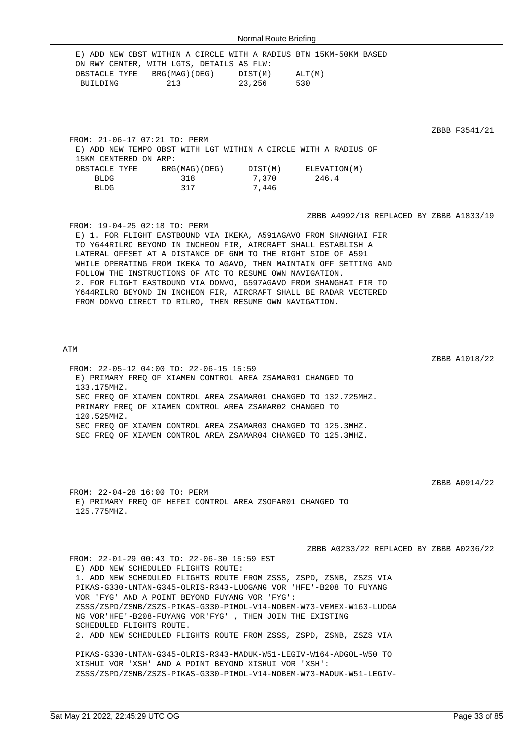|                               |                                                                 |       | E) ADD NEW OBST WITHIN A CIRCLE WITH A RADIUS BTN 15KM-50KM BASED  |               |
|-------------------------------|-----------------------------------------------------------------|-------|--------------------------------------------------------------------|---------------|
|                               | ON RWY CENTER, WITH LGTS, DETAILS AS FLW:                       |       |                                                                    |               |
|                               | OBSTACLE TYPE BRG(MAG)(DEG) DIST(M) ALT(M)                      |       |                                                                    |               |
| BUILDING                      | 213 23,256                                                      |       | 530                                                                |               |
|                               |                                                                 |       |                                                                    |               |
|                               |                                                                 |       |                                                                    |               |
|                               |                                                                 |       |                                                                    |               |
|                               |                                                                 |       |                                                                    |               |
|                               |                                                                 |       |                                                                    | ZBBB F3541/21 |
| FROM: 21-06-17 07:21 TO: PERM |                                                                 |       |                                                                    |               |
| 15KM CENTERED ON ARP:         | E) ADD NEW TEMPO OBST WITH LGT WITHIN A CIRCLE WITH A RADIUS OF |       |                                                                    |               |
|                               |                                                                 |       |                                                                    |               |
|                               | OBSTACLE TYPE BRG(MAG)(DEG) DIST(M) ELEVATION(M)<br>318         |       | 246.4                                                              |               |
| <b>BLDG</b>                   |                                                                 | 7,370 |                                                                    |               |
|                               | BLDG 317 7,446                                                  |       |                                                                    |               |
|                               |                                                                 |       |                                                                    |               |
|                               |                                                                 |       | ZBBB A4992/18 REPLACED BY ZBBB A1833/19                            |               |
| FROM: 19-04-25 02:18 TO: PERM |                                                                 |       |                                                                    |               |
|                               |                                                                 |       | E) 1. FOR FLIGHT EASTBOUND VIA IKEKA, A591AGAVO FROM SHANGHAI FIR  |               |
|                               | TO Y644RILRO BEYOND IN INCHEON FIR, AIRCRAFT SHALL ESTABLISH A  |       |                                                                    |               |
|                               | LATERAL OFFSET AT A DISTANCE OF 6NM TO THE RIGHT SIDE OF A591   |       |                                                                    |               |
|                               |                                                                 |       | WHILE OPERATING FROM IKEKA TO AGAVO, THEN MAINTAIN OFF SETTING AND |               |
|                               | FOLLOW THE INSTRUCTIONS OF ATC TO RESUME OWN NAVIGATION.        |       |                                                                    |               |
|                               |                                                                 |       | 2. FOR FLIGHT EASTBOUND VIA DONVO, G597AGAVO FROM SHANGHAI FIR TO  |               |
|                               |                                                                 |       | Y644RILRO BEYOND IN INCHEON FIR, AIRCRAFT SHALL BE RADAR VECTERED  |               |
|                               | FROM DONVO DIRECT TO RILRO, THEN RESUME OWN NAVIGATION.         |       |                                                                    |               |
|                               |                                                                 |       |                                                                    |               |
|                               |                                                                 |       |                                                                    |               |
|                               |                                                                 |       |                                                                    |               |
|                               |                                                                 |       |                                                                    |               |

### ATM

FROM: 22-05-12 04:00 TO: 22-06-15 15:59 E) PRIMARY FREQ OF XIAMEN CONTROL AREA ZSAMAR01 CHANGED TO 133.175MHZ. SEC FREQ OF XIAMEN CONTROL AREA ZSAMAR01 CHANGED TO 132.725MHZ. PRIMARY FREQ OF XIAMEN CONTROL AREA ZSAMAR02 CHANGED TO 120.525MHZ. SEC FREQ OF XIAMEN CONTROL AREA ZSAMAR03 CHANGED TO 125.3MHZ. SEC FREQ OF XIAMEN CONTROL AREA ZSAMAR04 CHANGED TO 125.3MHZ.

ZBBB A0914/22

ZBBB A1018/22

 $21$ 

FROM: 22-04-28 16:00 TO: PERM E) PRIMARY FREQ OF HEFEI CONTROL AREA ZSOFAR01 CHANGED TO 125.775MHZ.

ZBBB A0233/22 REPLACED BY ZBBB A0236/22 FROM: 22-01-29 00:43 TO: 22-06-30 15:59 EST E) ADD NEW SCHEDULED FLIGHTS ROUTE: 1. ADD NEW SCHEDULED FLIGHTS ROUTE FROM ZSSS, ZSPD, ZSNB, ZSZS VIA PIKAS-G330-UNTAN-G345-OLRIS-R343-LUOGANG VOR 'HFE'-B208 TO FUYANG VOR 'FYG' AND A POINT BEYOND FUYANG VOR 'FYG': ZSSS/ZSPD/ZSNB/ZSZS-PIKAS-G330-PIMOL-V14-NOBEM-W73-VEMEX-W163-LUOGA NG VOR'HFE'-B208-FUYANG VOR'FYG' , THEN JOIN THE EXISTING SCHEDULED FLIGHTS ROUTE. 2. ADD NEW SCHEDULED FLIGHTS ROUTE FROM ZSSS, ZSPD, ZSNB, ZSZS VIA PIKAS-G330-UNTAN-G345-OLRIS-R343-MADUK-W51-LEGIV-W164-ADGOL-W50 TO XISHUI VOR 'XSH' AND A POINT BEYOND XISHUI VOR 'XSH':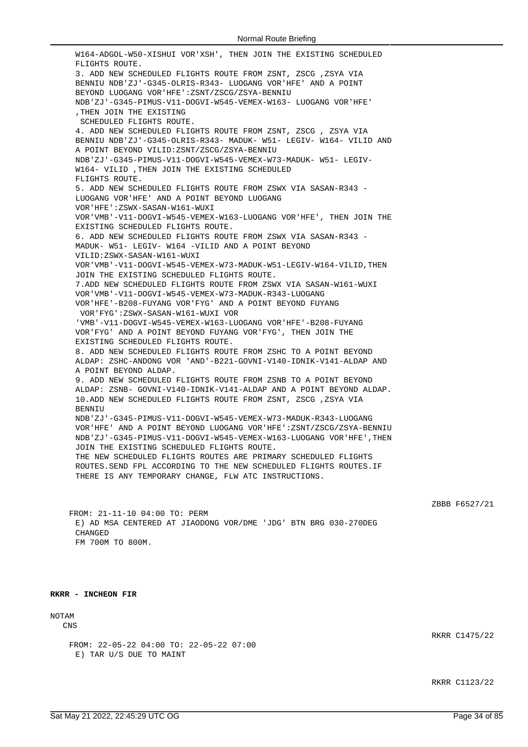W164-ADGOL-W50-XISHUI VOR'XSH', THEN JOIN THE EXISTING SCHEDULED FLIGHTS ROUTE. 3. ADD NEW SCHEDULED FLIGHTS ROUTE FROM ZSNT, ZSCG ,ZSYA VIA BENNIU NDB'ZJ'-G345-OLRIS-R343- LUOGANG VOR'HFE' AND A POINT BEYOND LUOGANG VOR'HFE':ZSNT/ZSCG/ZSYA-BENNIU NDB'ZJ'-G345-PIMUS-V11-DOGVI-W545-VEMEX-W163- LUOGANG VOR'HFE' ,THEN JOIN THE EXISTING SCHEDULED FLIGHTS ROUTE. 4. ADD NEW SCHEDULED FLIGHTS ROUTE FROM ZSNT, ZSCG , ZSYA VIA BENNIU NDB'ZJ'-G345-OLRIS-R343- MADUK- W51- LEGIV- W164- VILID AND A POINT BEYOND VILID:ZSNT/ZSCG/ZSYA-BENNIU NDB'ZJ'-G345-PIMUS-V11-DOGVI-W545-VEMEX-W73-MADUK- W51- LEGIV-W164- VILID ,THEN JOIN THE EXISTING SCHEDULED FLIGHTS ROUTE. 5. ADD NEW SCHEDULED FLIGHTS ROUTE FROM ZSWX VIA SASAN-R343 - LUOGANG VOR'HFE' AND A POINT BEYOND LUOGANG VOR'HFE':ZSWX-SASAN-W161-WUXI VOR'VMB'-V11-DOGVI-W545-VEMEX-W163-LUOGANG VOR'HFE', THEN JOIN THE EXISTING SCHEDULED FLIGHTS ROUTE. 6. ADD NEW SCHEDULED FLIGHTS ROUTE FROM ZSWX VIA SASAN-R343 - MADUK- W51- LEGIV- W164 -VILID AND A POINT BEYOND VILID:ZSWX-SASAN-W161-WUXI VOR'VMB'-V11-DOGVI-W545-VEMEX-W73-MADUK-W51-LEGIV-W164-VILID,THEN JOIN THE EXISTING SCHEDULED FLIGHTS ROUTE. 7.ADD NEW SCHEDULED FLIGHTS ROUTE FROM ZSWX VIA SASAN-W161-WUXI VOR'VMB'-V11-DOGVI-W545-VEMEX-W73-MADUK-R343-LUOGANG VOR'HFE'-B208-FUYANG VOR'FYG' AND A POINT BEYOND FUYANG VOR'FYG':ZSWX-SASAN-W161-WUXI VOR 'VMB'-V11-DOGVI-W545-VEMEX-W163-LUOGANG VOR'HFE'-B208-FUYANG VOR'FYG' AND A POINT BEYOND FUYANG VOR'FYG', THEN JOIN THE EXISTING SCHEDULED FLIGHTS ROUTE. 8. ADD NEW SCHEDULED FLIGHTS ROUTE FROM ZSHC TO A POINT BEYOND ALDAP: ZSHC-ANDONG VOR 'AND'-B221-GOVNI-V140-IDNIK-V141-ALDAP AND A POINT BEYOND ALDAP. 9. ADD NEW SCHEDULED FLIGHTS ROUTE FROM ZSNB TO A POINT BEYOND ALDAP: ZSNB- GOVNI-V140-IDNIK-V141-ALDAP AND A POINT BEYOND ALDAP. 10.ADD NEW SCHEDULED FLIGHTS ROUTE FROM ZSNT, ZSCG ,ZSYA VIA **BENNIU** NDB'ZJ'-G345-PIMUS-V11-DOGVI-W545-VEMEX-W73-MADUK-R343-LUOGANG VOR'HFE' AND A POINT BEYOND LUOGANG VOR'HFE':ZSNT/ZSCG/ZSYA-BENNIU NDB'ZJ'-G345-PIMUS-V11-DOGVI-W545-VEMEX-W163-LUOGANG VOR'HFE',THEN JOIN THE EXISTING SCHEDULED FLIGHTS ROUTE. THE NEW SCHEDULED FLIGHTS ROUTES ARE PRIMARY SCHEDULED FLIGHTS ROUTES.SEND FPL ACCORDING TO THE NEW SCHEDULED FLIGHTS ROUTES.IF THERE IS ANY TEMPORARY CHANGE, FLW ATC INSTRUCTIONS.

ZBBB F6527/21

FROM: 21-11-10 04:00 TO: PERM E) AD MSA CENTERED AT JIAODONG VOR/DME 'JDG' BTN BRG 030-270DEG **CHANGED** FM 700M TO 800M.

**RKRR - INCHEON FIR**

# NOTAM

CNS

FROM: 22-05-22 04:00 TO: 22-05-22 07:00 E) TAR U/S DUE TO MAINT

RKRR C1475/22

RKRR C1123/22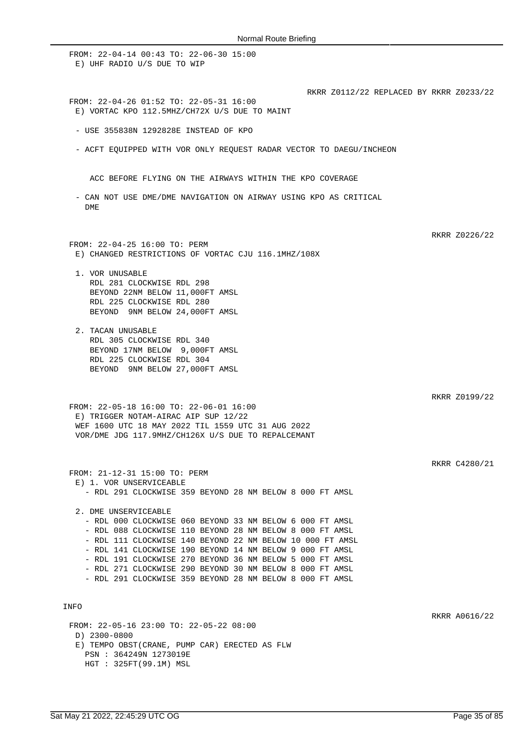FROM: 22-04-14 00:43 TO: 22-06-30 15:00 E) UHF RADIO U/S DUE TO WIP RKRR Z0112/22 REPLACED BY RKRR Z0233/22 FROM: 22-04-26 01:52 TO: 22-05-31 16:00 E) VORTAC KPO 112.5MHZ/CH72X U/S DUE TO MAINT - USE 355838N 1292828E INSTEAD OF KPO - ACFT EQUIPPED WITH VOR ONLY REQUEST RADAR VECTOR TO DAEGU/INCHEON ACC BEFORE FLYING ON THE AIRWAYS WITHIN THE KPO COVERAGE - CAN NOT USE DME/DME NAVIGATION ON AIRWAY USING KPO AS CRITICAL DME RKRR Z0226/22 FROM: 22-04-25 16:00 TO: PERM E) CHANGED RESTRICTIONS OF VORTAC CJU 116.1MHZ/108X 1. VOR UNUSABLE RDL 281 CLOCKWISE RDL 298 BEYOND 22NM BELOW 11,000FT AMSL RDL 225 CLOCKWISE RDL 280 BEYOND 9NM BELOW 24,000FT AMSL 2. TACAN UNUSABLE RDL 305 CLOCKWISE RDL 340 BEYOND 17NM BELOW 9,000FT AMSL RDL 225 CLOCKWISE RDL 304 BEYOND 9NM BELOW 27,000FT AMSL RKRR Z0199/22 FROM: 22-05-18 16:00 TO: 22-06-01 16:00 E) TRIGGER NOTAM-AIRAC AIP SUP 12/22 WEF 1600 UTC 18 MAY 2022 TIL 1559 UTC 31 AUG 2022 VOR/DME JDG 117.9MHZ/CH126X U/S DUE TO REPALCEMANT RKRR C4280/21 FROM: 21-12-31 15:00 TO: PERM E) 1. VOR UNSERVICEABLE - RDL 291 CLOCKWISE 359 BEYOND 28 NM BELOW 8 000 FT AMSL 2. DME UNSERVICEABLE - RDL 000 CLOCKWISE 060 BEYOND 33 NM BELOW 6 000 FT AMSL - RDL 088 CLOCKWISE 110 BEYOND 28 NM BELOW 8 000 FT AMSL - RDL 111 CLOCKWISE 140 BEYOND 22 NM BELOW 10 000 FT AMSL - RDL 141 CLOCKWISE 190 BEYOND 14 NM BELOW 9 000 FT AMSL - RDL 191 CLOCKWISE 270 BEYOND 36 NM BELOW 5 000 FT AMSL - RDL 271 CLOCKWISE 290 BEYOND 30 NM BELOW 8 000 FT AMSL - RDL 291 CLOCKWISE 359 BEYOND 28 NM BELOW 8 000 FT AMSL INFO RKRR A0616/22 FROM: 22-05-16 23:00 TO: 22-05-22 08:00 D) 2300-0800 E) TEMPO OBST(CRANE, PUMP CAR) ERECTED AS FLW PSN : 364249N 1273019E HGT : 325FT(99.1M) MSL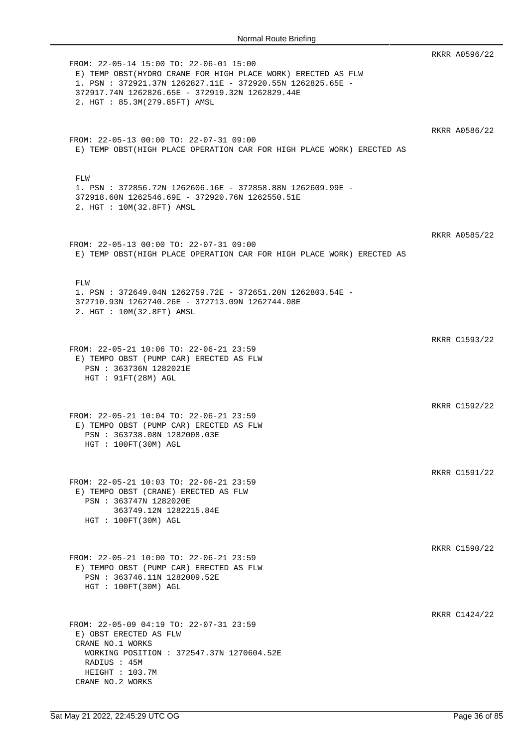|                                                                                                                                                                                                                                                           | RKRR A0596/22 |
|-----------------------------------------------------------------------------------------------------------------------------------------------------------------------------------------------------------------------------------------------------------|---------------|
| FROM: 22-05-14 15:00 TO: 22-06-01 15:00<br>E) TEMP OBST (HYDRO CRANE FOR HIGH PLACE WORK) ERECTED AS FLW<br>1. PSN: 372921.37N 1262827.11E - 372920.55N 1262825.65E -<br>372917.74N 1262826.65E - 372919.32N 1262829.44E<br>2. HGT : 85.3M(279.85FT) AMSL |               |
| FROM: 22-05-13 00:00 TO: 22-07-31 09:00<br>E) TEMP OBST(HIGH PLACE OPERATION CAR FOR HIGH PLACE WORK) ERECTED AS                                                                                                                                          | RKRR A0586/22 |
| FLW<br>1. PSN : 372856.72N 1262606.16E - 372858.88N 1262609.99E -<br>372918.60N 1262546.69E - 372920.76N 1262550.51E<br>2. HGT : 10M(32.8FT) AMSL                                                                                                         |               |
| FROM: 22-05-13 00:00 TO: 22-07-31 09:00<br>E) TEMP OBST(HIGH PLACE OPERATION CAR FOR HIGH PLACE WORK) ERECTED AS                                                                                                                                          | RKRR A0585/22 |
| FLW<br>1. PSN : 372649.04N 1262759.72E - 372651.20N 1262803.54E -<br>372710.93N 1262740.26E - 372713.09N 1262744.08E<br>2. HGT : 10M(32.8FT) AMSL                                                                                                         |               |
| FROM: 22-05-21 10:06 TO: 22-06-21 23:59<br>E) TEMPO OBST (PUMP CAR) ERECTED AS FLW<br>PSN : 363736N 1282021E                                                                                                                                              | RKRR C1593/22 |
| HGT : 91FT(28M) AGL<br>FROM: 22-05-21 10:04 TO: 22-06-21 23:59<br>E) TEMPO OBST (PUMP CAR) ERECTED AS FLW                                                                                                                                                 | RKRR C1592/22 |
| PSN : 363738.08N 1282008.03E<br>HGT : 100FT(30M) AGL                                                                                                                                                                                                      | RKRR C1591/22 |
| FROM: 22-05-21 10:03 TO: 22-06-21 23:59<br>E) TEMPO OBST (CRANE) ERECTED AS FLW<br>PSN : 363747N 1282020E<br>363749.12N 1282215.84E<br>HGT : 100FT(30M) AGL                                                                                               |               |
| FROM: 22-05-21 10:00 TO: 22-06-21 23:59<br>E) TEMPO OBST (PUMP CAR) ERECTED AS FLW<br>PSN : 363746.11N 1282009.52E<br>HGT : 100FT(30M) AGL                                                                                                                | RKRR C1590/22 |
| FROM: 22-05-09 04:19 TO: 22-07-31 23:59<br>E) OBST ERECTED AS FLW<br>CRANE NO.1 WORKS                                                                                                                                                                     | RKRR C1424/22 |
| WORKING POSITION : 372547.37N 1270604.52E<br>RADIUS : 45M<br>HEIGHT : 103.7M<br>CRANE NO.2 WORKS                                                                                                                                                          |               |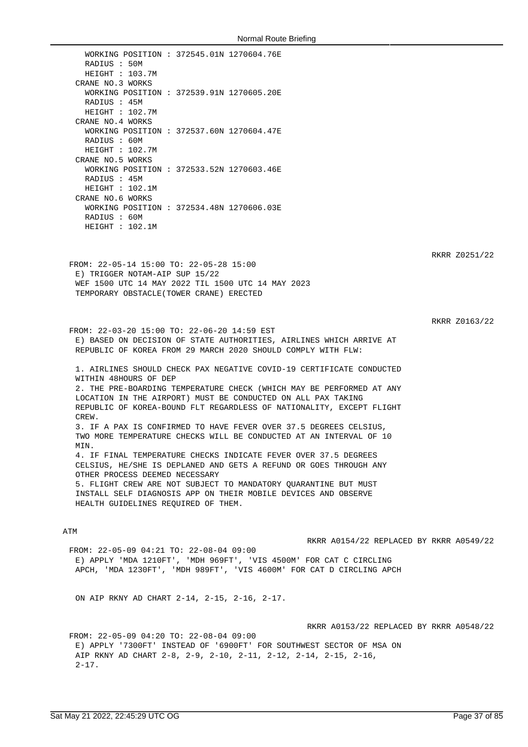WORKING POSITION : 372545.01N 1270604.76E RADIUS : 50M HEIGHT : 103.7M CRANE NO.3 WORKS WORKING POSITION : 372539.91N 1270605.20E RADIUS : 45M HEIGHT : 102.7M CRANE NO.4 WORKS WORKING POSITION : 372537.60N 1270604.47E RADIUS : 60M HEIGHT : 102.7M CRANE NO.5 WORKS WORKING POSITION : 372533.52N 1270603.46E RADIUS : 45M HEIGHT : 102.1M CRANE NO.6 WORKS WORKING POSITION : 372534.48N 1270606.03E RADIUS : 60M HEIGHT : 102.1M

RKRR Z0251/22

FROM: 22-05-14 15:00 TO: 22-05-28 15:00 E) TRIGGER NOTAM-AIP SUP 15/22 WEF 1500 UTC 14 MAY 2022 TIL 1500 UTC 14 MAY 2023 TEMPORARY OBSTACLE(TOWER CRANE) ERECTED

RKRR Z0163/22

FROM: 22-03-20 15:00 TO: 22-06-20 14:59 EST E) BASED ON DECISION OF STATE AUTHORITIES, AIRLINES WHICH ARRIVE AT REPUBLIC OF KOREA FROM 29 MARCH 2020 SHOULD COMPLY WITH FLW:

1. AIRLINES SHOULD CHECK PAX NEGATIVE COVID-19 CERTIFICATE CONDUCTED WITHIN 48HOURS OF DEP 2. THE PRE-BOARDING TEMPERATURE CHECK (WHICH MAY BE PERFORMED AT ANY LOCATION IN THE AIRPORT) MUST BE CONDUCTED ON ALL PAX TAKING REPUBLIC OF KOREA-BOUND FLT REGARDLESS OF NATIONALITY, EXCEPT FLIGHT CREW. 3. IF A PAX IS CONFIRMED TO HAVE FEVER OVER 37.5 DEGREES CELSIUS, TWO MORE TEMPERATURE CHECKS WILL BE CONDUCTED AT AN INTERVAL OF 10 **MTN** 4. IF FINAL TEMPERATURE CHECKS INDICATE FEVER OVER 37.5 DEGREES CELSIUS, HE/SHE IS DEPLANED AND GETS A REFUND OR GOES THROUGH ANY OTHER PROCESS DEEMED NECESSARY 5. FLIGHT CREW ARE NOT SUBJECT TO MANDATORY QUARANTINE BUT MUST INSTALL SELF DIAGNOSIS APP ON THEIR MOBILE DEVICES AND OBSERVE

### ATM

RKRR A0154/22 REPLACED BY RKRR A0549/22

FROM: 22-05-09 04:21 TO: 22-08-04 09:00 E) APPLY 'MDA 1210FT', 'MDH 969FT', 'VIS 4500M' FOR CAT C CIRCLING APCH, 'MDA 1230FT', 'MDH 989FT', 'VIS 4600M' FOR CAT D CIRCLING APCH

ON AIP RKNY AD CHART 2-14, 2-15, 2-16, 2-17.

HEALTH GUIDELINES REQUIRED OF THEM.

RKRR A0153/22 REPLACED BY RKRR A0548/22

FROM: 22-05-09 04:20 TO: 22-08-04 09:00 E) APPLY '7300FT' INSTEAD OF '6900FT' FOR SOUTHWEST SECTOR OF MSA ON AIP RKNY AD CHART 2-8, 2-9, 2-10, 2-11, 2-12, 2-14, 2-15, 2-16,  $2 - 17$ .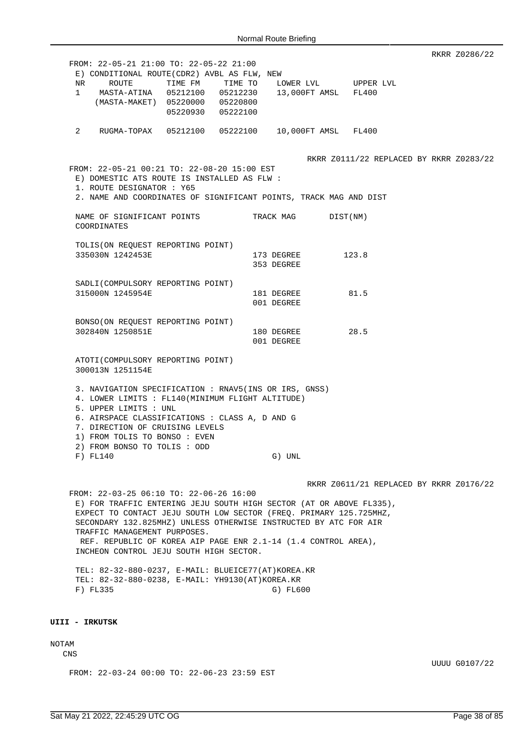RKRR Z0286/22 FROM: 22-05-21 21:00 TO: 22-05-22 21:00 E) CONDITIONAL ROUTE(CDR2) AVBL AS FLW, NEW NR ROUTE TIME FM TIME TO LOWER LVL UPPER LVL 1 MASTA-ATINA 05212100 05212230 13,000FT AMSL FL400 (MASTA-MAKET) 05220000 05220800 05220930 05222100 2 RUGMA-TOPAX 05212100 05222100 10,000FT AMSL FL400 RKRR Z0111/22 REPLACED BY RKRR Z0283/22 FROM: 22-05-21 00:21 TO: 22-08-20 15:00 EST E) DOMESTIC ATS ROUTE IS INSTALLED AS FLW : 1. ROUTE DESIGNATOR : Y65 2. NAME AND COORDINATES OF SIGNIFICANT POINTS, TRACK MAG AND DIST NAME OF SIGNIFICANT POINTS TRACK MAG DIST(NM) COORDINATES TOLIS(ON REQUEST REPORTING POINT) 335030N 1242453E 173 DEGREE 123.8 353 DEGREE SADLI(COMPULSORY REPORTING POINT) 315000N 1245954E 181 181 DEGREE 81.5 001 DEGREE BONSO(ON REQUEST REPORTING POINT) 302840N 1250851E 180 DEGREE 28.5 001 DEGREE ATOTI(COMPULSORY REPORTING POINT) 300013N 1251154E 3. NAVIGATION SPECIFICATION : RNAV5(INS OR IRS, GNSS) 4. LOWER LIMITS : FL140(MINIMUM FLIGHT ALTITUDE) 5. UPPER LIMITS : UNL 6. AIRSPACE CLASSIFICATIONS : CLASS A, D AND G 7. DIRECTION OF CRUISING LEVELS 1) FROM TOLIS TO BONSO : EVEN 2) FROM BONSO TO TOLIS : ODD F) FL140 G) UNL RKRR Z0611/21 REPLACED BY RKRR Z0176/22 FROM: 22-03-25 06:10 TO: 22-06-26 16:00 E) FOR TRAFFIC ENTERING JEJU SOUTH HIGH SECTOR (AT OR ABOVE FL335), EXPECT TO CONTACT JEJU SOUTH LOW SECTOR (FREQ. PRIMARY 125.725MHZ, SECONDARY 132.825MHZ) UNLESS OTHERWISE INSTRUCTED BY ATC FOR AIR TRAFFIC MANAGEMENT PURPOSES. REF. REPUBLIC OF KOREA AIP PAGE ENR 2.1-14 (1.4 CONTROL AREA), INCHEON CONTROL JEJU SOUTH HIGH SECTOR.

TEL: 82-32-880-0237, E-MAIL: BLUEICE77(AT)KOREA.KR TEL: 82-32-880-0238, E-MAIL: YH9130(AT)KOREA.KR F) FL335 G) FL600

#### **UIII - IRKUTSK**

# NOTAM

CNS

FROM: 22-03-24 00:00 TO: 22-06-23 23:59 EST

UUUU G0107/22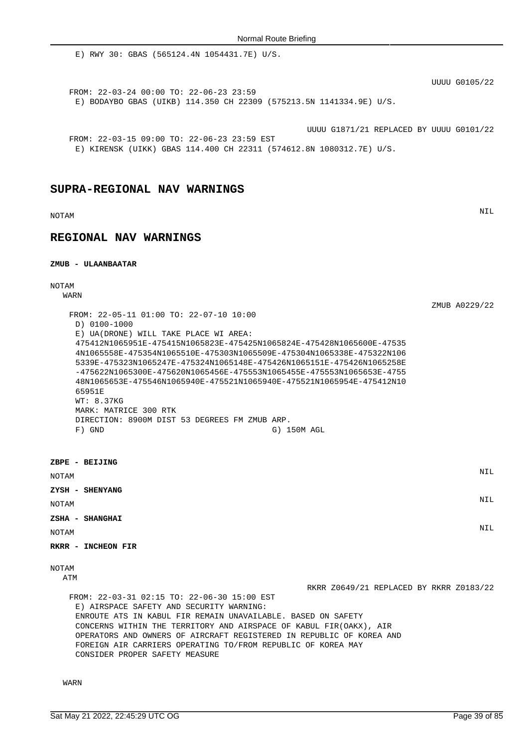E) RWY 30: GBAS (565124.4N 1054431.7E) U/S.

UUUU G0105/22

ZMUB A0229/22

FROM: 22-03-24 00:00 TO: 22-06-23 23:59 E) BODAYBO GBAS (UIKB) 114.350 CH 22309 (575213.5N 1141334.9E) U/S.

UUUU G1871/21 REPLACED BY UUUU G0101/22

FROM: 22-03-15 09:00 TO: 22-06-23 23:59 EST E) KIRENSK (UIKK) GBAS 114.400 CH 22311 (574612.8N 1080312.7E) U/S.

### **SUPRA-REGIONAL NAV WARNINGS**

NOTAM NIL

## **REGIONAL NAV WARNINGS**

#### **ZMUB - ULAANBAATAR**

# NOTAM

WARN

| FROM: 22-05-11 01:00 TO: 22-07-10 10:00<br>$D) 0100 - 1000$<br>E) UA(DRONE) WILL TAKE PLACE WI AREA:<br>475412N1065951E-475415N1065823E-475425N1065824E-475428N1065600E-47535<br>4N1065558E-475354N1065510E-475303N1065509E-475304N1065338E-475322N106<br>5339E-475323N1065247E-475324N1065148E-475426N1065151E-475426N1065258E<br>$-475622N1065300E - 475620N1065456E - 475553N1065455E - 475553N1065653E - 475553N1065653E - 475553N1065653E - 475553N1065653E - 475553N1065653E - 4755553N1065653E - 4755553N1065653E - 4755553N1065653E - 4755553N1065653E - 4755553N106$<br>48N1065653E-475546N1065940E-475521N1065940E-475521N1065954E-475412N10<br>65951E<br>WT: 8.37KG<br>MARK: MATRICE 300 RTK<br>DIRECTION: 8900M DIST 53 DEGREES FM ZMUB ARP.<br>$F)$ GND<br>G) 150M AGL |            |
|-------------------------------------------------------------------------------------------------------------------------------------------------------------------------------------------------------------------------------------------------------------------------------------------------------------------------------------------------------------------------------------------------------------------------------------------------------------------------------------------------------------------------------------------------------------------------------------------------------------------------------------------------------------------------------------------------------------------------------------------------------------------------------------|------------|
| ZBPE - BEIJING                                                                                                                                                                                                                                                                                                                                                                                                                                                                                                                                                                                                                                                                                                                                                                      |            |
| <b>NOTAM</b>                                                                                                                                                                                                                                                                                                                                                                                                                                                                                                                                                                                                                                                                                                                                                                        | <b>NIL</b> |
| ZYSH - SHENYANG                                                                                                                                                                                                                                                                                                                                                                                                                                                                                                                                                                                                                                                                                                                                                                     |            |
| <b>NOTAM</b>                                                                                                                                                                                                                                                                                                                                                                                                                                                                                                                                                                                                                                                                                                                                                                        | <b>NIL</b> |
| ZSHA - SHANGHAI                                                                                                                                                                                                                                                                                                                                                                                                                                                                                                                                                                                                                                                                                                                                                                     | <b>NIL</b> |
| <b>NOTAM</b>                                                                                                                                                                                                                                                                                                                                                                                                                                                                                                                                                                                                                                                                                                                                                                        |            |
| RKRR - INCHEON FIR                                                                                                                                                                                                                                                                                                                                                                                                                                                                                                                                                                                                                                                                                                                                                                  |            |
| <b>NOTAM</b>                                                                                                                                                                                                                                                                                                                                                                                                                                                                                                                                                                                                                                                                                                                                                                        |            |

### ATM

RKRR Z0649/21 REPLACED BY RKRR Z0183/22 FROM: 22-03-31 02:15 TO: 22-06-30 15:00 EST E) AIRSPACE SAFETY AND SECURITY WARNING: ENROUTE ATS IN KABUL FIR REMAIN UNAVAILABLE. BASED ON SAFETY CONCERNS WITHIN THE TERRITORY AND AIRSPACE OF KABUL FIR(OAKX), AIR OPERATORS AND OWNERS OF AIRCRAFT REGISTERED IN REPUBLIC OF KOREA AND FOREIGN AIR CARRIERS OPERATING TO/FROM REPUBLIC OF KOREA MAY

WARN

CONSIDER PROPER SAFETY MEASURE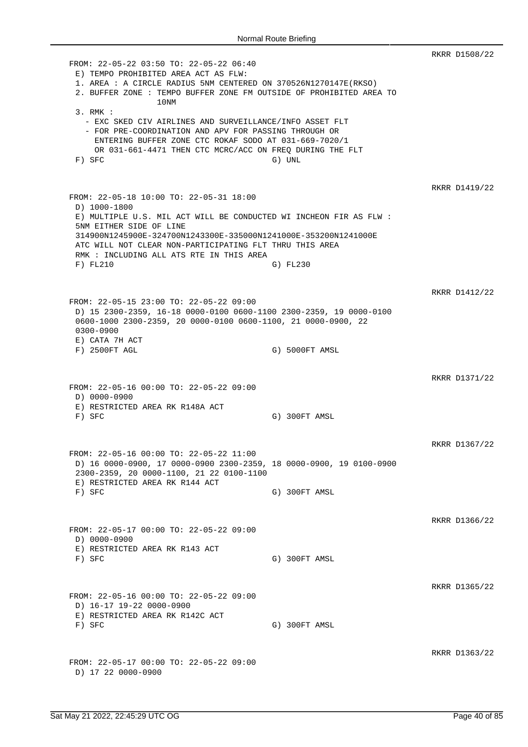RKRR D1508/22 FROM: 22-05-22 03:50 TO: 22-05-22 06:40 E) TEMPO PROHIBITED AREA ACT AS FLW: 1. AREA : A CIRCLE RADIUS 5NM CENTERED ON 370526N1270147E(RKSO) 2. BUFFER ZONE : TEMPO BUFFER ZONE FM OUTSIDE OF PROHIBITED AREA TO 10NM 3. RMK : - EXC SKED CIV AIRLINES AND SURVEILLANCE/INFO ASSET FLT - FOR PRE-COORDINATION AND APV FOR PASSING THROUGH OR ENTERING BUFFER ZONE CTC ROKAF SODO AT 031-669-7020/1 OR 031-661-4471 THEN CTC MCRC/ACC ON FREQ DURING THE FLT F) SFC G) UNL RKRR D1419/22 FROM: 22-05-18 10:00 TO: 22-05-31 18:00 D) 1000-1800 E) MULTIPLE U.S. MIL ACT WILL BE CONDUCTED WI INCHEON FIR AS FLW : 5NM EITHER SIDE OF LINE 314900N1245900E-324700N1243300E-335000N1241000E-353200N1241000E ATC WILL NOT CLEAR NON-PARTICIPATING FLT THRU THIS AREA RMK : INCLUDING ALL ATS RTE IN THIS AREA F) FL210 G) FL230 RKRR D1412/22 FROM: 22-05-15 23:00 TO: 22-05-22 09:00 D) 15 2300-2359, 16-18 0000-0100 0600-1100 2300-2359, 19 0000-0100 0600-1000 2300-2359, 20 0000-0100 0600-1100, 21 0000-0900, 22 0300-0900 E) CATA 7H ACT F) 2500FT AGL G) 5000FT AMSL RKRR D1371/22 FROM: 22-05-16 00:00 TO: 22-05-22 09:00 D) 0000-0900 E) RESTRICTED AREA RK R148A ACT F) SFC G) 300FT AMSL RKRR D1367/22 FROM: 22-05-16 00:00 TO: 22-05-22 11:00 D) 16 0000-0900, 17 0000-0900 2300-2359, 18 0000-0900, 19 0100-0900 2300-2359, 20 0000-1100, 21 22 0100-1100 E) RESTRICTED AREA RK R144 ACT F) SFC G) 300FT AMSL RKRR D1366/22 FROM: 22-05-17 00:00 TO: 22-05-22 09:00 D) 0000-0900 E) RESTRICTED AREA RK R143 ACT F) SFC G) 300FT AMSL RKRR D1365/22 FROM: 22-05-16 00:00 TO: 22-05-22 09:00 D) 16-17 19-22 0000-0900 E) RESTRICTED AREA RK R142C ACT F) SFC G) 300FT AMSL RKRR D1363/22 FROM: 22-05-17 00:00 TO: 22-05-22 09:00 D) 17 22 0000-0900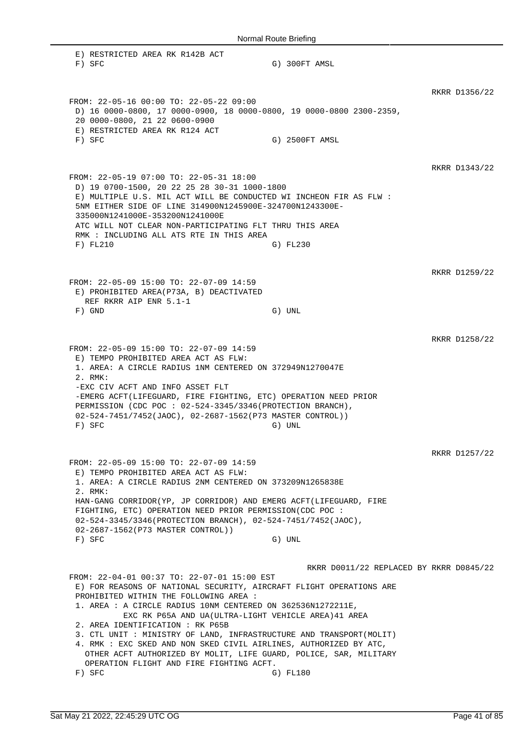| Normal Route Briefing                                                                                                                                                                                                                                                                                                                                                                                                                                                                                                                                                                            |                                                     |               |  |  |
|--------------------------------------------------------------------------------------------------------------------------------------------------------------------------------------------------------------------------------------------------------------------------------------------------------------------------------------------------------------------------------------------------------------------------------------------------------------------------------------------------------------------------------------------------------------------------------------------------|-----------------------------------------------------|---------------|--|--|
| E) RESTRICTED AREA RK R142B ACT<br>$F)$ SFC                                                                                                                                                                                                                                                                                                                                                                                                                                                                                                                                                      | G) 300FT AMSL                                       |               |  |  |
| FROM: 22-05-16 00:00 TO: 22-05-22 09:00<br>D) 16 0000-0800, 17 0000-0900, 18 0000-0800, 19 0000-0800 2300-2359,<br>20 0000-0800, 21 22 0600-0900<br>E) RESTRICTED AREA RK R124 ACT<br>$F)$ SFC                                                                                                                                                                                                                                                                                                                                                                                                   | G) 2500FT AMSL                                      | RKRR D1356/22 |  |  |
| FROM: 22-05-19 07:00 TO: 22-05-31 18:00<br>D) 19 0700-1500, 20 22 25 28 30-31 1000-1800<br>E) MULTIPLE U.S. MIL ACT WILL BE CONDUCTED WI INCHEON FIR AS FLW :<br>5NM EITHER SIDE OF LINE 314900N1245900E-324700N1243300E-<br>335000N1241000E-353200N1241000E<br>ATC WILL NOT CLEAR NON-PARTICIPATING FLT THRU THIS AREA<br>RMK : INCLUDING ALL ATS RTE IN THIS AREA<br>F) FL210                                                                                                                                                                                                                  | G) FL230                                            | RKRR D1343/22 |  |  |
| FROM: 22-05-09 15:00 TO: 22-07-09 14:59<br>E) PROHIBITED AREA(P73A, B) DEACTIVATED<br>REF RKRR AIP ENR 5.1-1<br>$F)$ GND                                                                                                                                                                                                                                                                                                                                                                                                                                                                         | G) UNL                                              | RKRR D1259/22 |  |  |
| FROM: 22-05-09 15:00 TO: 22-07-09 14:59<br>E) TEMPO PROHIBITED AREA ACT AS FLW:<br>1. AREA: A CIRCLE RADIUS 1NM CENTERED ON 372949N1270047E<br>2. RMK:<br>-EXC CIV ACFT AND INFO ASSET FLT<br>-EMERG ACFT(LIFEGUARD, FIRE FIGHTING, ETC) OPERATION NEED PRIOR<br>PERMISSION (CDC POC : 02-524-3345/3346 (PROTECTION BRANCH),<br>02-524-7451/7452(JAOC), 02-2687-1562(P73 MASTER CONTROL))<br>F) SFC                                                                                                                                                                                              | G) UNL                                              | RKRR D1258/22 |  |  |
| FROM: 22-05-09 15:00 TO: 22-07-09 14:59<br>E) TEMPO PROHIBITED AREA ACT AS FLW:<br>1. AREA: A CIRCLE RADIUS 2NM CENTERED ON 373209N1265838E<br>2. RMK:<br>HAN-GANG CORRIDOR(YP, JP CORRIDOR) AND EMERG ACFT(LIFEGUARD, FIRE<br>FIGHTING, ETC) OPERATION NEED PRIOR PERMISSION(CDC POC :<br>02-524-3345/3346(PROTECTION BRANCH), 02-524-7451/7452(JAOC),<br>02-2687-1562(P73 MASTER CONTROL))<br>$F)$ SFC                                                                                                                                                                                         | G) UNL                                              | RKRR D1257/22 |  |  |
| FROM: 22-04-01 00:37 TO: 22-07-01 15:00 EST<br>E) FOR REASONS OF NATIONAL SECURITY, AIRCRAFT FLIGHT OPERATIONS ARE<br>PROHIBITED WITHIN THE FOLLOWING AREA :<br>1. AREA : A CIRCLE RADIUS 10NM CENTERED ON 362536N1272211E,<br>EXC RK P65A AND UA(ULTRA-LIGHT VEHICLE AREA) 41 AREA<br>2. AREA IDENTIFICATION : RK P65B<br>3. CTL UNIT: MINISTRY OF LAND, INFRASTRUCTURE AND TRANSPORT (MOLIT)<br>4. RMK : EXC SKED AND NON SKED CIVIL AIRLINES, AUTHORIZED BY ATC,<br>OTHER ACFT AUTHORIZED BY MOLIT, LIFE GUARD, POLICE, SAR, MILITARY<br>OPERATION FLIGHT AND FIRE FIGHTING ACFT.<br>$F)$ SFC | RKRR D0011/22 REPLACED BY RKRR D0845/22<br>G) FL180 |               |  |  |

 $\mathbb{R}$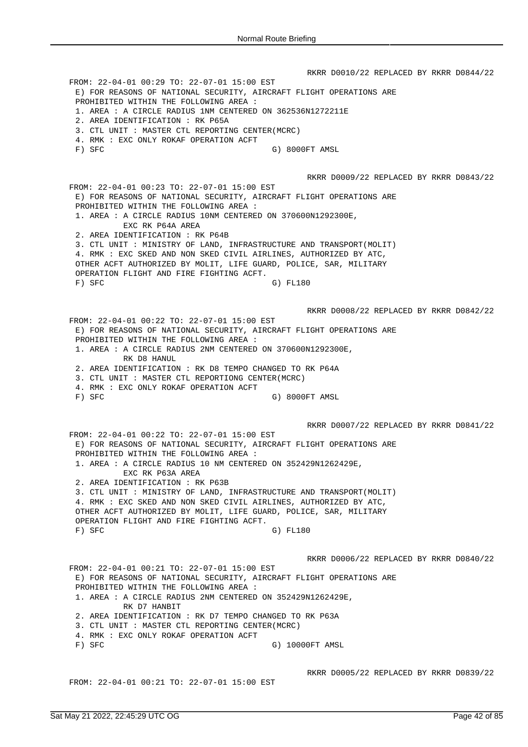RKRR D0010/22 REPLACED BY RKRR D0844/22 FROM: 22-04-01 00:29 TO: 22-07-01 15:00 EST E) FOR REASONS OF NATIONAL SECURITY, AIRCRAFT FLIGHT OPERATIONS ARE PROHIBITED WITHIN THE FOLLOWING AREA : 1. AREA : A CIRCLE RADIUS 1NM CENTERED ON 362536N1272211E 2. AREA IDENTIFICATION : RK P65A 3. CTL UNIT : MASTER CTL REPORTING CENTER(MCRC) 4. RMK : EXC ONLY ROKAF OPERATION ACFT F) SFC G) 8000FT AMSL RKRR D0009/22 REPLACED BY RKRR D0843/22 FROM: 22-04-01 00:23 TO: 22-07-01 15:00 EST E) FOR REASONS OF NATIONAL SECURITY, AIRCRAFT FLIGHT OPERATIONS ARE PROHIBITED WITHIN THE FOLLOWING AREA : 1. AREA : A CIRCLE RADIUS 10NM CENTERED ON 370600N1292300E, EXC RK P64A AREA 2. AREA IDENTIFICATION : RK P64B 3. CTL UNIT : MINISTRY OF LAND, INFRASTRUCTURE AND TRANSPORT(MOLIT) 4. RMK : EXC SKED AND NON SKED CIVIL AIRLINES, AUTHORIZED BY ATC, OTHER ACFT AUTHORIZED BY MOLIT, LIFE GUARD, POLICE, SAR, MILITARY OPERATION FLIGHT AND FIRE FIGHTING ACFT. F) SFC G) FL180 RKRR D0008/22 REPLACED BY RKRR D0842/22 FROM: 22-04-01 00:22 TO: 22-07-01 15:00 EST E) FOR REASONS OF NATIONAL SECURITY, AIRCRAFT FLIGHT OPERATIONS ARE PROHIBITED WITHIN THE FOLLOWING AREA : 1. AREA : A CIRCLE RADIUS 2NM CENTERED ON 370600N1292300E, RK D8 HANUL 2. AREA IDENTIFICATION : RK D8 TEMPO CHANGED TO RK P64A 3. CTL UNIT : MASTER CTL REPORTIONG CENTER(MCRC) 4. RMK : EXC ONLY ROKAF OPERATION ACFT F) SFC G) 8000FT AMSL RKRR D0007/22 REPLACED BY RKRR D0841/22 FROM: 22-04-01 00:22 TO: 22-07-01 15:00 EST E) FOR REASONS OF NATIONAL SECURITY, AIRCRAFT FLIGHT OPERATIONS ARE PROHIBITED WITHIN THE FOLLOWING AREA : 1. AREA : A CIRCLE RADIUS 10 NM CENTERED ON 352429N1262429E, EXC RK P63A AREA 2. AREA IDENTIFICATION : RK P63B 3. CTL UNIT : MINISTRY OF LAND, INFRASTRUCTURE AND TRANSPORT(MOLIT) 4. RMK : EXC SKED AND NON SKED CIVIL AIRLINES, AUTHORIZED BY ATC, OTHER ACFT AUTHORIZED BY MOLIT, LIFE GUARD, POLICE, SAR, MILITARY OPERATION FLIGHT AND FIRE FIGHTING ACFT. F) SFC G) FL180 RKRR D0006/22 REPLACED BY RKRR D0840/22 FROM: 22-04-01 00:21 TO: 22-07-01 15:00 EST E) FOR REASONS OF NATIONAL SECURITY, AIRCRAFT FLIGHT OPERATIONS ARE PROHIBITED WITHIN THE FOLLOWING AREA : 1. AREA : A CIRCLE RADIUS 2NM CENTERED ON 352429N1262429E, RK D7 HANBIT 2. AREA IDENTIFICATION : RK D7 TEMPO CHANGED TO RK P63A 3. CTL UNIT : MASTER CTL REPORTING CENTER(MCRC) 4. RMK : EXC ONLY ROKAF OPERATION ACFT F) SFC G) 10000FT AMSL RKRR D0005/22 REPLACED BY RKRR D0839/22 FROM: 22-04-01 00:21 TO: 22-07-01 15:00 EST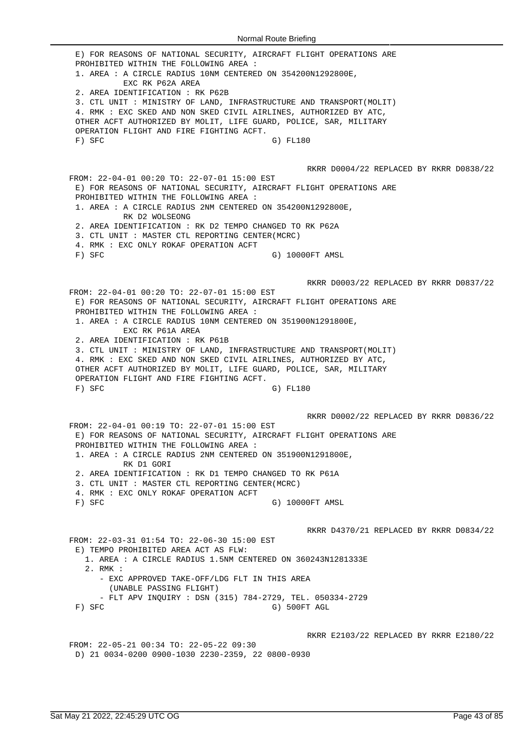E) FOR REASONS OF NATIONAL SECURITY, AIRCRAFT FLIGHT OPERATIONS ARE PROHIBITED WITHIN THE FOLLOWING AREA : 1. AREA : A CIRCLE RADIUS 10NM CENTERED ON 354200N1292800E, EXC RK P62A AREA 2. AREA IDENTIFICATION : RK P62B 3. CTL UNIT : MINISTRY OF LAND, INFRASTRUCTURE AND TRANSPORT(MOLIT) 4. RMK : EXC SKED AND NON SKED CIVIL AIRLINES, AUTHORIZED BY ATC, OTHER ACFT AUTHORIZED BY MOLIT, LIFE GUARD, POLICE, SAR, MILITARY OPERATION FLIGHT AND FIRE FIGHTING ACFT. F) SFC G) FL180 RKRR D0004/22 REPLACED BY RKRR D0838/22 FROM: 22-04-01 00:20 TO: 22-07-01 15:00 EST E) FOR REASONS OF NATIONAL SECURITY, AIRCRAFT FLIGHT OPERATIONS ARE PROHIBITED WITHIN THE FOLLOWING AREA : 1. AREA : A CIRCLE RADIUS 2NM CENTERED ON 354200N1292800E, RK D2 WOLSEONG 2. AREA IDENTIFICATION : RK D2 TEMPO CHANGED TO RK P62A 3. CTL UNIT : MASTER CTL REPORTING CENTER(MCRC) 4. RMK : EXC ONLY ROKAF OPERATION ACFT F) SFC G) 10000FT AMSL RKRR D0003/22 REPLACED BY RKRR D0837/22 FROM: 22-04-01 00:20 TO: 22-07-01 15:00 EST E) FOR REASONS OF NATIONAL SECURITY, AIRCRAFT FLIGHT OPERATIONS ARE PROHIBITED WITHIN THE FOLLOWING AREA : 1. AREA : A CIRCLE RADIUS 10NM CENTERED ON 351900N1291800E, EXC RK P61A AREA 2. AREA IDENTIFICATION : RK P61B 3. CTL UNIT : MINISTRY OF LAND, INFRASTRUCTURE AND TRANSPORT(MOLIT) 4. RMK : EXC SKED AND NON SKED CIVIL AIRLINES, AUTHORIZED BY ATC, OTHER ACFT AUTHORIZED BY MOLIT, LIFE GUARD, POLICE, SAR, MILITARY OPERATION FLIGHT AND FIRE FIGHTING ACFT. F) SFC G) FL180 RKRR D0002/22 REPLACED BY RKRR D0836/22 FROM: 22-04-01 00:19 TO: 22-07-01 15:00 EST E) FOR REASONS OF NATIONAL SECURITY, AIRCRAFT FLIGHT OPERATIONS ARE PROHIBITED WITHIN THE FOLLOWING AREA : 1. AREA : A CIRCLE RADIUS 2NM CENTERED ON 351900N1291800E, RK D1 GORI 2. AREA IDENTIFICATION : RK D1 TEMPO CHANGED TO RK P61A 3. CTL UNIT : MASTER CTL REPORTING CENTER(MCRC) 4. RMK : EXC ONLY ROKAF OPERATION ACFT F) SFC G) 10000FT AMSL RKRR D4370/21 REPLACED BY RKRR D0834/22 FROM: 22-03-31 01:54 TO: 22-06-30 15:00 EST E) TEMPO PROHIBITED AREA ACT AS FLW: 1. AREA : A CIRCLE RADIUS 1.5NM CENTERED ON 360243N1281333E 2. RMK : - EXC APPROVED TAKE-OFF/LDG FLT IN THIS AREA (UNABLE PASSING FLIGHT) - FLT APV INQUIRY : DSN (315) 784-2729, TEL. 050334-2729 F) SFC G) 500FT AGL RKRR E2103/22 REPLACED BY RKRR E2180/22 FROM: 22-05-21 00:34 TO: 22-05-22 09:30 D) 21 0034-0200 0900-1030 2230-2359, 22 0800-0930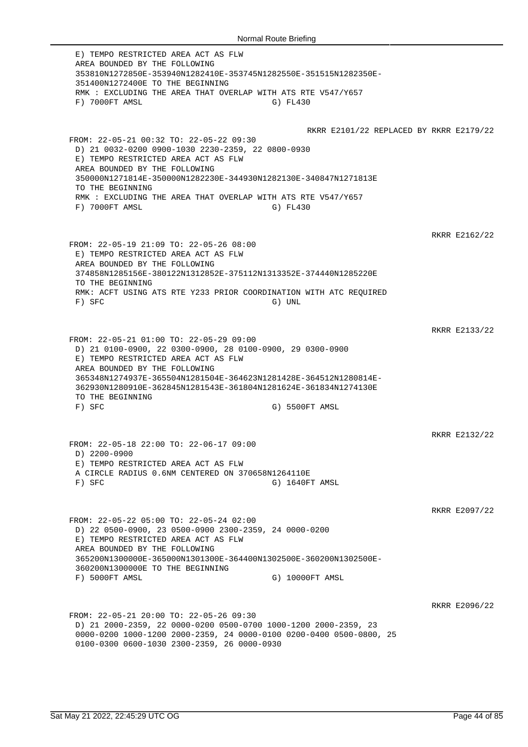E) TEMPO RESTRICTED AREA ACT AS FLW AREA BOUNDED BY THE FOLLOWING 353810N1272850E-353940N1282410E-353745N1282550E-351515N1282350E-351400N1272400E TO THE BEGINNING RMK : EXCLUDING THE AREA THAT OVERLAP WITH ATS RTE V547/Y657 F) 7000FT AMSL G) FL430 RKRR E2101/22 REPLACED BY RKRR E2179/22 FROM: 22-05-21 00:32 TO: 22-05-22 09:30 D) 21 0032-0200 0900-1030 2230-2359, 22 0800-0930 E) TEMPO RESTRICTED AREA ACT AS FLW AREA BOUNDED BY THE FOLLOWING 350000N1271814E-350000N1282230E-344930N1282130E-340847N1271813E TO THE BEGINNING RMK : EXCLUDING THE AREA THAT OVERLAP WITH ATS RTE V547/Y657 F) 7000FT AMSL G) FL430 RKRR E2162/22 FROM: 22-05-19 21:09 TO: 22-05-26 08:00 E) TEMPO RESTRICTED AREA ACT AS FLW AREA BOUNDED BY THE FOLLOWING 374858N1285156E-380122N1312852E-375112N1313352E-374440N1285220E TO THE BEGINNING RMK: ACFT USING ATS RTE Y233 PRIOR COORDINATION WITH ATC REQUIRED F) SFC G) UNL RKRR E2133/22 FROM: 22-05-21 01:00 TO: 22-05-29 09:00 D) 21 0100-0900, 22 0300-0900, 28 0100-0900, 29 0300-0900 E) TEMPO RESTRICTED AREA ACT AS FLW AREA BOUNDED BY THE FOLLOWING 365348N1274937E-365504N1281504E-364623N1281428E-364512N1280814E-362930N1280910E-362845N1281543E-361804N1281624E-361834N1274130E TO THE BEGINNING F) SFC G) 5500FT AMSL RKRR E2132/22 FROM: 22-05-18 22:00 TO: 22-06-17 09:00 D) 2200-0900 E) TEMPO RESTRICTED AREA ACT AS FLW A CIRCLE RADIUS 0.6NM CENTERED ON 370658N1264110E F) SFC G) 1640FT AMSL RKRR E2097/22 FROM: 22-05-22 05:00 TO: 22-05-24 02:00 D) 22 0500-0900, 23 0500-0900 2300-2359, 24 0000-0200 E) TEMPO RESTRICTED AREA ACT AS FLW AREA BOUNDED BY THE FOLLOWING 365200N1300000E-365000N1301300E-364400N1302500E-360200N1302500E-360200N1300000E TO THE BEGINNING F) 5000FT AMSL G) 10000FT AMSL RKRR E2096/22 FROM: 22-05-21 20:00 TO: 22-05-26 09:30 D) 21 2000-2359, 22 0000-0200 0500-0700 1000-1200 2000-2359, 23 0000-0200 1000-1200 2000-2359, 24 0000-0100 0200-0400 0500-0800, 25 0100-0300 0600-1030 2300-2359, 26 0000-0930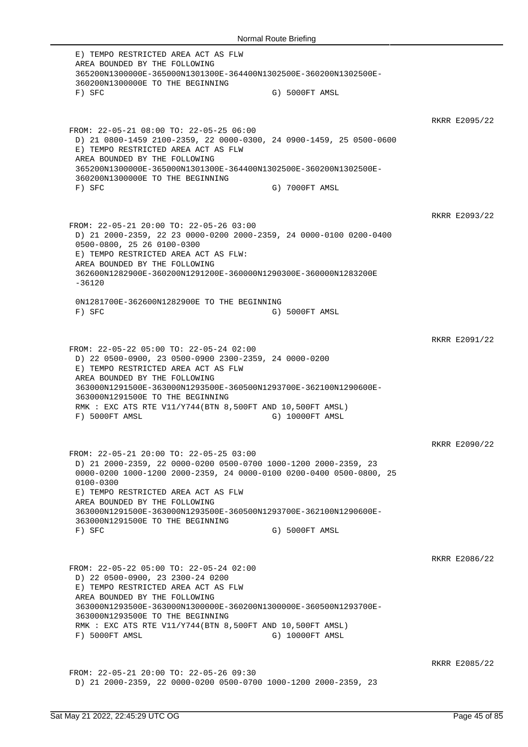E) TEMPO RESTRICTED AREA ACT AS FLW AREA BOUNDED BY THE FOLLOWING 365200N1300000E-365000N1301300E-364400N1302500E-360200N1302500E-360200N1300000E TO THE BEGINNING F) SFC G) 5000FT AMSL RKRR E2095/22 FROM: 22-05-21 08:00 TO: 22-05-25 06:00 D) 21 0800-1459 2100-2359, 22 0000-0300, 24 0900-1459, 25 0500-0600 E) TEMPO RESTRICTED AREA ACT AS FLW AREA BOUNDED BY THE FOLLOWING 365200N1300000E-365000N1301300E-364400N1302500E-360200N1302500E-360200N1300000E TO THE BEGINNING F) SFC G) 7000FT AMSL RKRR E2093/22 FROM: 22-05-21 20:00 TO: 22-05-26 03:00 D) 21 2000-2359, 22 23 0000-0200 2000-2359, 24 0000-0100 0200-0400 0500-0800, 25 26 0100-0300 E) TEMPO RESTRICTED AREA ACT AS FLW: AREA BOUNDED BY THE FOLLOWING 362600N1282900E-360200N1291200E-360000N1290300E-360000N1283200E  $-36120$ 0N1281700E-362600N1282900E TO THE BEGINNING F) SFC G) 5000FT AMSL RKRR E2091/22 FROM: 22-05-22 05:00 TO: 22-05-24 02:00 D) 22 0500-0900, 23 0500-0900 2300-2359, 24 0000-0200 E) TEMPO RESTRICTED AREA ACT AS FLW AREA BOUNDED BY THE FOLLOWING 363000N1291500E-363000N1293500E-360500N1293700E-362100N1290600E-363000N1291500E TO THE BEGINNING RMK : EXC ATS RTE V11/Y744(BTN 8,500FT AND 10,500FT AMSL) F) 5000FT AMSL G) 10000FT AMSL RKRR E2090/22 FROM: 22-05-21 20:00 TO: 22-05-25 03:00 D) 21 2000-2359, 22 0000-0200 0500-0700 1000-1200 2000-2359, 23 0000-0200 1000-1200 2000-2359, 24 0000-0100 0200-0400 0500-0800, 25 0100-0300 E) TEMPO RESTRICTED AREA ACT AS FLW AREA BOUNDED BY THE FOLLOWING 363000N1291500E-363000N1293500E-360500N1293700E-362100N1290600E-363000N1291500E TO THE BEGINNING F) SFC G) 5000FT AMSL RKRR E2086/22 FROM: 22-05-22 05:00 TO: 22-05-24 02:00 D) 22 0500-0900, 23 2300-24 0200 E) TEMPO RESTRICTED AREA ACT AS FLW AREA BOUNDED BY THE FOLLOWING 363000N1293500E-363000N1300000E-360200N1300000E-360500N1293700E-363000N1293500E TO THE BEGINNING RMK : EXC ATS RTE V11/Y744(BTN 8,500FT AND 10,500FT AMSL) F) 5000FT AMSL G) 10000FT AMSL RKRR E2085/22 FROM: 22-05-21 20:00 TO: 22-05-26 09:30 D) 21 2000-2359, 22 0000-0200 0500-0700 1000-1200 2000-2359, 23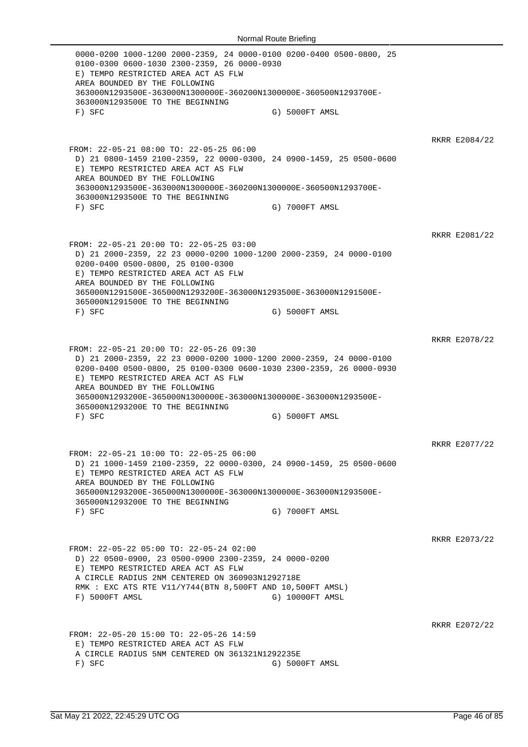0000-0200 1000-1200 2000-2359, 24 0000-0100 0200-0400 0500-0800, 25 0100-0300 0600-1030 2300-2359, 26 0000-0930 E) TEMPO RESTRICTED AREA ACT AS FLW AREA BOUNDED BY THE FOLLOWING 363000N1293500E-363000N1300000E-360200N1300000E-360500N1293700E-363000N1293500E TO THE BEGINNING F) SFC G) 5000FT AMSL RKRR E2084/22 FROM: 22-05-21 08:00 TO: 22-05-25 06:00 D) 21 0800-1459 2100-2359, 22 0000-0300, 24 0900-1459, 25 0500-0600 E) TEMPO RESTRICTED AREA ACT AS FLW AREA BOUNDED BY THE FOLLOWING 363000N1293500E-363000N1300000E-360200N1300000E-360500N1293700E-363000N1293500E TO THE BEGINNING F) SFC G) 7000FT AMSL RKRR E2081/22 FROM: 22-05-21 20:00 TO: 22-05-25 03:00 D) 21 2000-2359, 22 23 0000-0200 1000-1200 2000-2359, 24 0000-0100 0200-0400 0500-0800, 25 0100-0300 E) TEMPO RESTRICTED AREA ACT AS FLW AREA BOUNDED BY THE FOLLOWING 365000N1291500E-365000N1293200E-363000N1293500E-363000N1291500E-365000N1291500E TO THE BEGINNING F) SFC G) 5000FT AMSL RKRR E2078/22 FROM: 22-05-21 20:00 TO: 22-05-26 09:30 D) 21 2000-2359, 22 23 0000-0200 1000-1200 2000-2359, 24 0000-0100 0200-0400 0500-0800, 25 0100-0300 0600-1030 2300-2359, 26 0000-0930 E) TEMPO RESTRICTED AREA ACT AS FLW AREA BOUNDED BY THE FOLLOWING 365000N1293200E-365000N1300000E-363000N1300000E-363000N1293500E-365000N1293200E TO THE BEGINNING F) SFC G) 5000FT AMSL RKRR E2077/22 FROM: 22-05-21 10:00 TO: 22-05-25 06:00 D) 21 1000-1459 2100-2359, 22 0000-0300, 24 0900-1459, 25 0500-0600 E) TEMPO RESTRICTED AREA ACT AS FLW AREA BOUNDED BY THE FOLLOWING 365000N1293200E-365000N1300000E-363000N1300000E-363000N1293500E-365000N1293200E TO THE BEGINNING F) SFC G) 7000FT AMSL RKRR E2073/22 FROM: 22-05-22 05:00 TO: 22-05-24 02:00 D) 22 0500-0900, 23 0500-0900 2300-2359, 24 0000-0200 E) TEMPO RESTRICTED AREA ACT AS FLW A CIRCLE RADIUS 2NM CENTERED ON 360903N1292718E RMK : EXC ATS RTE V11/Y744(BTN 8,500FT AND 10,500FT AMSL) F) 5000FT AMSL G) 10000FT AMSL RKRR E2072/22 FROM: 22-05-20 15:00 TO: 22-05-26 14:59 E) TEMPO RESTRICTED AREA ACT AS FLW A CIRCLE RADIUS 5NM CENTERED ON 361321N1292235E F) SFC G) 5000FT AMSL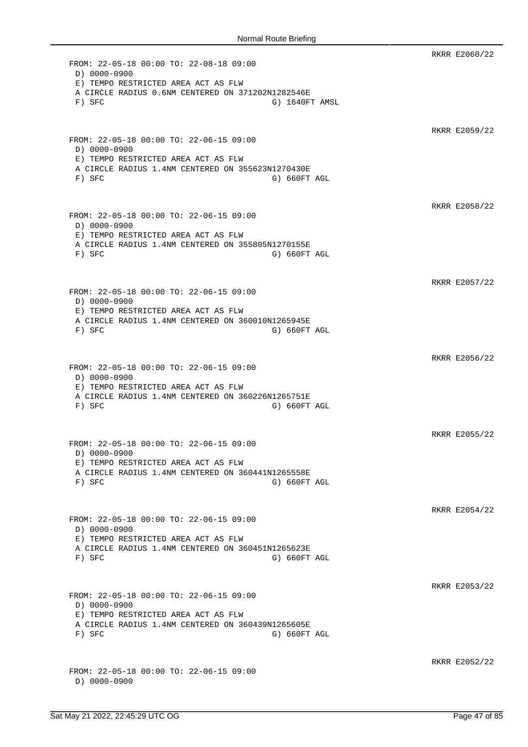RKRR E2060/22 FROM: 22-05-18 00:00 TO: 22-08-18 09:00 D) 0000-0900 E) TEMPO RESTRICTED AREA ACT AS FLW A CIRCLE RADIUS 0.6NM CENTERED ON 371202N1282546E F) SFC G) 1640FT AMSL RKRR E2059/22 FROM: 22-05-18 00:00 TO: 22-06-15 09:00 D) 0000-0900 E) TEMPO RESTRICTED AREA ACT AS FLW A CIRCLE RADIUS 1.4NM CENTERED ON 355623N1270430E F) SFC G) SFC RKRR E2058/22 FROM: 22-05-18 00:00 TO: 22-06-15 09:00 D) 0000-0900 E) TEMPO RESTRICTED AREA ACT AS FLW A CIRCLE RADIUS 1.4NM CENTERED ON 355805N1270155E F) SFC G) G60FT AGL RKRR E2057/22 FROM: 22-05-18 00:00 TO: 22-06-15 09:00 D) 0000-0900 E) TEMPO RESTRICTED AREA ACT AS FLW A CIRCLE RADIUS 1.4NM CENTERED ON 360010N1265945E F) SFC G) 660FT AGL RKRR E2056/22 FROM: 22-05-18 00:00 TO: 22-06-15 09:00 D) 0000-0900 E) TEMPO RESTRICTED AREA ACT AS FLW A CIRCLE RADIUS 1.4NM CENTERED ON 360226N1265751E F) SFC G) SFC RKRR E2055/22 FROM: 22-05-18 00:00 TO: 22-06-15 09:00 D) 0000-0900 E) TEMPO RESTRICTED AREA ACT AS FLW A CIRCLE RADIUS 1.4NM CENTERED ON 360441N1265558E F) SFC G) SFC RKRR E2054/22 FROM: 22-05-18 00:00 TO: 22-06-15 09:00 D) 0000-0900 E) TEMPO RESTRICTED AREA ACT AS FLW A CIRCLE RADIUS 1.4NM CENTERED ON 360451N1265623E F) SFC G) 660FT AGL RKRR E2053/22 FROM: 22-05-18 00:00 TO: 22-06-15 09:00 D) 0000-0900 E) TEMPO RESTRICTED AREA ACT AS FLW A CIRCLE RADIUS 1.4NM CENTERED ON 360439N1265605E F) SFC G) SFC RKRR E2052/22 FROM: 22-05-18 00:00 TO: 22-06-15 09:00 D) 0000-0900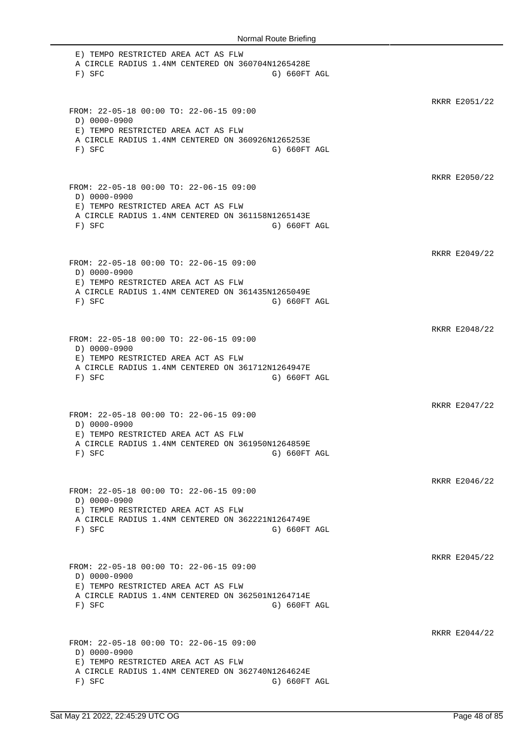E) TEMPO RESTRICTED AREA ACT AS FLW A CIRCLE RADIUS 1.4NM CENTERED ON 360704N1265428E F) SFC G) SFC RKRR E2051/22 FROM: 22-05-18 00:00 TO: 22-06-15 09:00 D) 0000-0900 E) TEMPO RESTRICTED AREA ACT AS FLW A CIRCLE RADIUS 1.4NM CENTERED ON 360926N1265253E F) SFC G) SFC G) SFC RKRR E2050/22 FROM: 22-05-18 00:00 TO: 22-06-15 09:00 D) 0000-0900 E) TEMPO RESTRICTED AREA ACT AS FLW A CIRCLE RADIUS 1.4NM CENTERED ON 361158N1265143E F) SFC G) 660FT AGL RKRR E2049/22 FROM: 22-05-18 00:00 TO: 22-06-15 09:00 D) 0000-0900 E) TEMPO RESTRICTED AREA ACT AS FLW A CIRCLE RADIUS 1.4NM CENTERED ON 361435N1265049E F) SFC G) SFC RKRR E2048/22 FROM: 22-05-18 00:00 TO: 22-06-15 09:00 D) 0000-0900 E) TEMPO RESTRICTED AREA ACT AS FLW A CIRCLE RADIUS 1.4NM CENTERED ON 361712N1264947E F) SFC G) SFC G) SFC RKRR E2047/22 FROM: 22-05-18 00:00 TO: 22-06-15 09:00 D) 0000-0900 E) TEMPO RESTRICTED AREA ACT AS FLW A CIRCLE RADIUS 1.4NM CENTERED ON 361950N1264859E F) SFC G) SFC RKRR E2046/22 FROM: 22-05-18 00:00 TO: 22-06-15 09:00 D) 0000-0900 E) TEMPO RESTRICTED AREA ACT AS FLW A CIRCLE RADIUS 1.4NM CENTERED ON 362221N1264749E F) SFC G) SFC G) SFC RKRR E2045/22 FROM: 22-05-18 00:00 TO: 22-06-15 09:00 D) 0000-0900 E) TEMPO RESTRICTED AREA ACT AS FLW A CIRCLE RADIUS 1.4NM CENTERED ON 362501N1264714E F) SFC G) SFC RKRR E2044/22 FROM: 22-05-18 00:00 TO: 22-06-15 09:00 D) 0000-0900 E) TEMPO RESTRICTED AREA ACT AS FLW A CIRCLE RADIUS 1.4NM CENTERED ON 362740N1264624E F) SFC G) G60FT AGL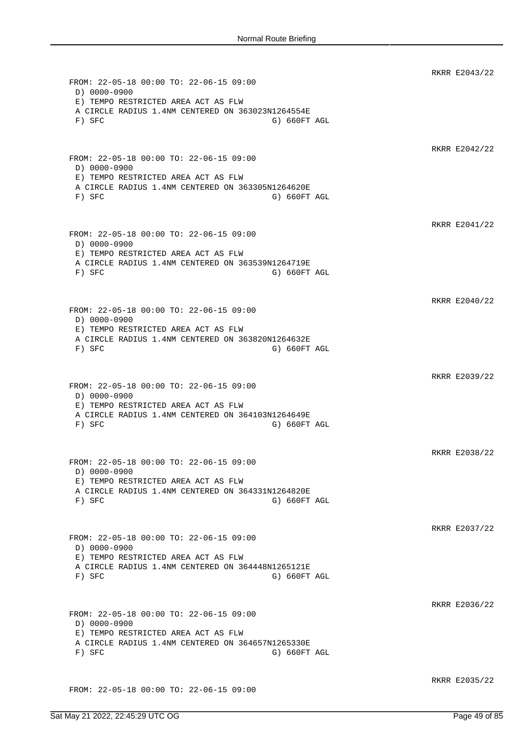RKRR E2043/22 FROM: 22-05-18 00:00 TO: 22-06-15 09:00 D) 0000-0900 E) TEMPO RESTRICTED AREA ACT AS FLW A CIRCLE RADIUS 1.4NM CENTERED ON 363023N1264554E F) SFC G) SFC G) SFC RKRR E2042/22 FROM: 22-05-18 00:00 TO: 22-06-15 09:00 D) 0000-0900 E) TEMPO RESTRICTED AREA ACT AS FLW A CIRCLE RADIUS 1.4NM CENTERED ON 363305N1264620E F) SFC G) 660FT AGL RKRR E2041/22 FROM: 22-05-18 00:00 TO: 22-06-15 09:00 D) 0000-0900 E) TEMPO RESTRICTED AREA ACT AS FLW A CIRCLE RADIUS 1.4NM CENTERED ON 363539N1264719E F) SFC G) SFC G) SFC RKRR E2040/22 FROM: 22-05-18 00:00 TO: 22-06-15 09:00 D) 0000-0900 E) TEMPO RESTRICTED AREA ACT AS FLW A CIRCLE RADIUS 1.4NM CENTERED ON 363820N1264632E F) SFC G) 660FT AGL RKRR E2039/22 FROM: 22-05-18 00:00 TO: 22-06-15 09:00 D) 0000-0900 E) TEMPO RESTRICTED AREA ACT AS FLW A CIRCLE RADIUS 1.4NM CENTERED ON 364103N1264649E F) SFC G) 660FT AGL RKRR E2038/22 FROM: 22-05-18 00:00 TO: 22-06-15 09:00 D) 0000-0900 E) TEMPO RESTRICTED AREA ACT AS FLW A CIRCLE RADIUS 1.4NM CENTERED ON 364331N1264820E F) SFC G) 660FT AGL RKRR E2037/22 FROM: 22-05-18 00:00 TO: 22-06-15 09:00 D) 0000-0900 E) TEMPO RESTRICTED AREA ACT AS FLW A CIRCLE RADIUS 1.4NM CENTERED ON 364448N1265121E F) SFC G) G60FT AGL RKRR E2036/22 FROM: 22-05-18 00:00 TO: 22-06-15 09:00 D) 0000-0900 E) TEMPO RESTRICTED AREA ACT AS FLW A CIRCLE RADIUS 1.4NM CENTERED ON 364657N1265330E F) SFC G) 660FT AGL RKRR E2035/22 FROM: 22-05-18 00:00 TO: 22-06-15 09:00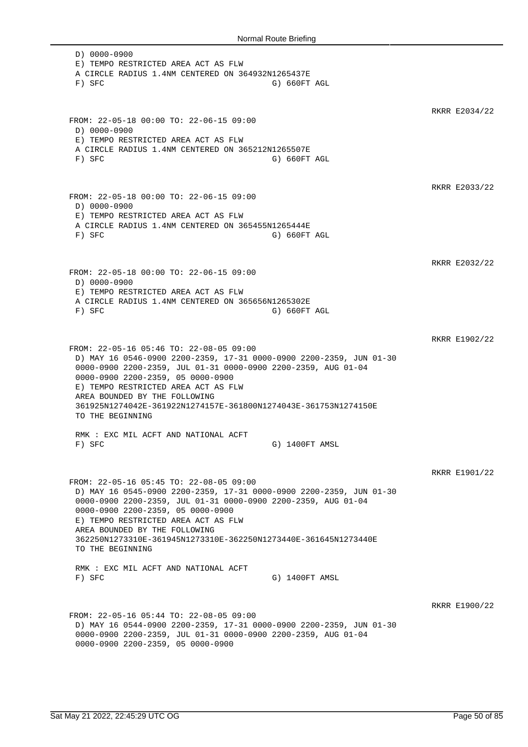D) 0000-0900 E) TEMPO RESTRICTED AREA ACT AS FLW A CIRCLE RADIUS 1.4NM CENTERED ON 364932N1265437E F) SFC G) 660FT AGL RKRR E2034/22 FROM: 22-05-18 00:00 TO: 22-06-15 09:00 D) 0000-0900 E) TEMPO RESTRICTED AREA ACT AS FLW A CIRCLE RADIUS 1.4NM CENTERED ON 365212N1265507E F) SFC G) 660FT AGL RKRR E2033/22 FROM: 22-05-18 00:00 TO: 22-06-15 09:00 D) 0000-0900 E) TEMPO RESTRICTED AREA ACT AS FLW A CIRCLE RADIUS 1.4NM CENTERED ON 365455N1265444E F) SFC G) 660FT AGL RKRR E2032/22 FROM: 22-05-18 00:00 TO: 22-06-15 09:00 D) 0000-0900 E) TEMPO RESTRICTED AREA ACT AS FLW A CIRCLE RADIUS 1.4NM CENTERED ON 365656N1265302E F) SFC G) 660FT AGL RKRR E1902/22 FROM: 22-05-16 05:46 TO: 22-08-05 09:00 D) MAY 16 0546-0900 2200-2359, 17-31 0000-0900 2200-2359, JUN 01-30 0000-0900 2200-2359, JUL 01-31 0000-0900 2200-2359, AUG 01-04 0000-0900 2200-2359, 05 0000-0900 E) TEMPO RESTRICTED AREA ACT AS FLW AREA BOUNDED BY THE FOLLOWING 361925N1274042E-361922N1274157E-361800N1274043E-361753N1274150E TO THE BEGINNING RMK : EXC MIL ACFT AND NATIONAL ACFT F) SFC G) 1400FT AMSL RKRR E1901/22 FROM: 22-05-16 05:45 TO: 22-08-05 09:00 D) MAY 16 0545-0900 2200-2359, 17-31 0000-0900 2200-2359, JUN 01-30 0000-0900 2200-2359, JUL 01-31 0000-0900 2200-2359, AUG 01-04 0000-0900 2200-2359, 05 0000-0900 E) TEMPO RESTRICTED AREA ACT AS FLW AREA BOUNDED BY THE FOLLOWING 362250N1273310E-361945N1273310E-362250N1273440E-361645N1273440E TO THE BEGINNING RMK : EXC MIL ACFT AND NATIONAL ACFT F) SFC G) 1400FT AMSL RKRR E1900/22 FROM: 22-05-16 05:44 TO: 22-08-05 09:00 D) MAY 16 0544-0900 2200-2359, 17-31 0000-0900 2200-2359, JUN 01-30 0000-0900 2200-2359, JUL 01-31 0000-0900 2200-2359, AUG 01-04 0000-0900 2200-2359, 05 0000-0900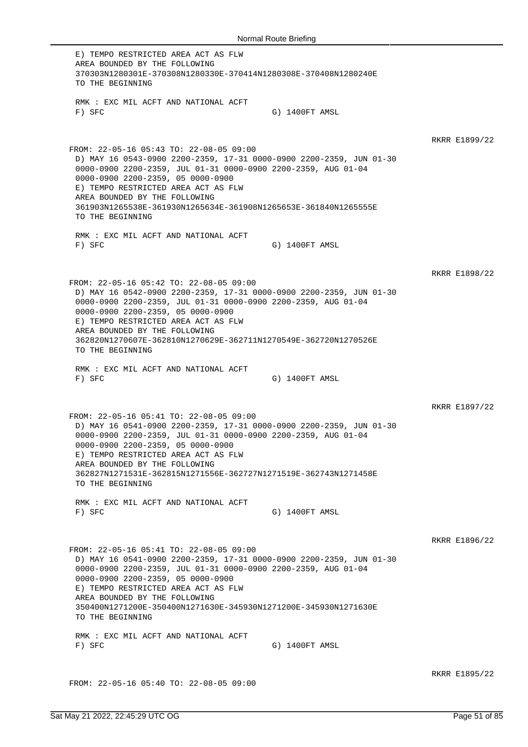E) TEMPO RESTRICTED AREA ACT AS FLW AREA BOUNDED BY THE FOLLOWING 370303N1280301E-370308N1280330E-370414N1280308E-370408N1280240E TO THE BEGINNING RMK : EXC MIL ACFT AND NATIONAL ACFT F) SFC G) 1400FT AMSL RKRR E1899/22 FROM: 22-05-16 05:43 TO: 22-08-05 09:00 D) MAY 16 0543-0900 2200-2359, 17-31 0000-0900 2200-2359, JUN 01-30 0000-0900 2200-2359, JUL 01-31 0000-0900 2200-2359, AUG 01-04 0000-0900 2200-2359, 05 0000-0900 E) TEMPO RESTRICTED AREA ACT AS FLW AREA BOUNDED BY THE FOLLOWING 361903N1265538E-361930N1265634E-361908N1265653E-361840N1265555E TO THE BEGINNING RMK : EXC MIL ACFT AND NATIONAL ACFT F) SFC G) 1400FT AMSL RKRR E1898/22 FROM: 22-05-16 05:42 TO: 22-08-05 09:00 D) MAY 16 0542-0900 2200-2359, 17-31 0000-0900 2200-2359, JUN 01-30 0000-0900 2200-2359, JUL 01-31 0000-0900 2200-2359, AUG 01-04 0000-0900 2200-2359, 05 0000-0900 E) TEMPO RESTRICTED AREA ACT AS FLW AREA BOUNDED BY THE FOLLOWING 362820N1270607E-362810N1270629E-362711N1270549E-362720N1270526E TO THE BEGINNING RMK : EXC MIL ACFT AND NATIONAL ACFT F) SFC G) 1400FT AMSL RKRR E1897/22 FROM: 22-05-16 05:41 TO: 22-08-05 09:00 D) MAY 16 0541-0900 2200-2359, 17-31 0000-0900 2200-2359, JUN 01-30 0000-0900 2200-2359, JUL 01-31 0000-0900 2200-2359, AUG 01-04 0000-0900 2200-2359, 05 0000-0900 E) TEMPO RESTRICTED AREA ACT AS FLW AREA BOUNDED BY THE FOLLOWING 362827N1271531E-362815N1271556E-362727N1271519E-362743N1271458E TO THE BEGINNING RMK : EXC MIL ACFT AND NATIONAL ACFT F) SFC G) 1400FT AMSL RKRR E1896/22 FROM: 22-05-16 05:41 TO: 22-08-05 09:00 D) MAY 16 0541-0900 2200-2359, 17-31 0000-0900 2200-2359, JUN 01-30 0000-0900 2200-2359, JUL 01-31 0000-0900 2200-2359, AUG 01-04 0000-0900 2200-2359, 05 0000-0900 E) TEMPO RESTRICTED AREA ACT AS FLW AREA BOUNDED BY THE FOLLOWING 350400N1271200E-350400N1271630E-345930N1271200E-345930N1271630E TO THE BEGINNING RMK : EXC MIL ACFT AND NATIONAL ACFT F) SFC G) 1400FT AMSL RKRR E1895/22

FROM: 22-05-16 05:40 TO: 22-08-05 09:00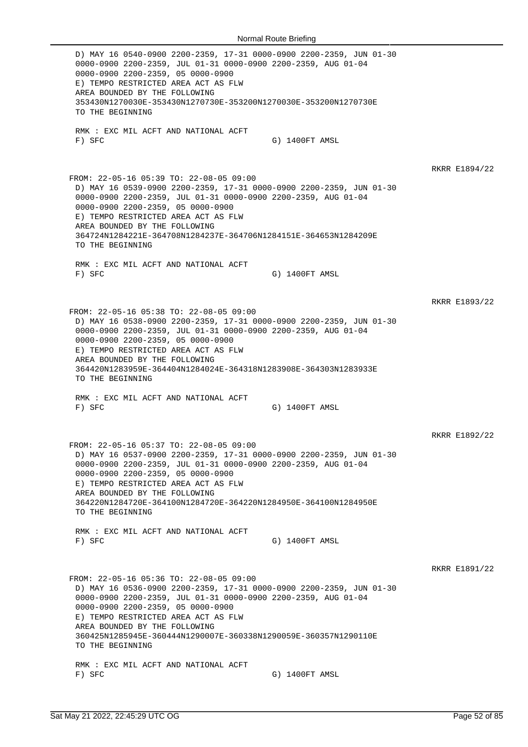D) MAY 16 0540-0900 2200-2359, 17-31 0000-0900 2200-2359, JUN 01-30 0000-0900 2200-2359, JUL 01-31 0000-0900 2200-2359, AUG 01-04 0000-0900 2200-2359, 05 0000-0900 E) TEMPO RESTRICTED AREA ACT AS FLW AREA BOUNDED BY THE FOLLOWING 353430N1270030E-353430N1270730E-353200N1270030E-353200N1270730E TO THE BEGINNING RMK : EXC MIL ACFT AND NATIONAL ACFT F) SFC G) 1400FT AMSL RKRR E1894/22 FROM: 22-05-16 05:39 TO: 22-08-05 09:00 D) MAY 16 0539-0900 2200-2359, 17-31 0000-0900 2200-2359, JUN 01-30 0000-0900 2200-2359, JUL 01-31 0000-0900 2200-2359, AUG 01-04 0000-0900 2200-2359, 05 0000-0900 E) TEMPO RESTRICTED AREA ACT AS FLW AREA BOUNDED BY THE FOLLOWING 364724N1284221E-364708N1284237E-364706N1284151E-364653N1284209E TO THE BEGINNING RMK : EXC MIL ACFT AND NATIONAL ACFT F) SFC G) 1400FT AMSL RKRR E1893/22 FROM: 22-05-16 05:38 TO: 22-08-05 09:00 D) MAY 16 0538-0900 2200-2359, 17-31 0000-0900 2200-2359, JUN 01-30 0000-0900 2200-2359, JUL 01-31 0000-0900 2200-2359, AUG 01-04 0000-0900 2200-2359, 05 0000-0900 E) TEMPO RESTRICTED AREA ACT AS FLW AREA BOUNDED BY THE FOLLOWING 364420N1283959E-364404N1284024E-364318N1283908E-364303N1283933E TO THE BEGINNING RMK : EXC MIL ACFT AND NATIONAL ACFT F) SFC G) 1400FT AMSL RKRR E1892/22 FROM: 22-05-16 05:37 TO: 22-08-05 09:00 D) MAY 16 0537-0900 2200-2359, 17-31 0000-0900 2200-2359, JUN 01-30 0000-0900 2200-2359, JUL 01-31 0000-0900 2200-2359, AUG 01-04 0000-0900 2200-2359, 05 0000-0900 E) TEMPO RESTRICTED AREA ACT AS FLW AREA BOUNDED BY THE FOLLOWING 364220N1284720E-364100N1284720E-364220N1284950E-364100N1284950E TO THE BEGINNING RMK : EXC MIL ACFT AND NATIONAL ACFT F) SFC G) 1400FT AMSL RKRR E1891/22 FROM: 22-05-16 05:36 TO: 22-08-05 09:00 D) MAY 16 0536-0900 2200-2359, 17-31 0000-0900 2200-2359, JUN 01-30 0000-0900 2200-2359, JUL 01-31 0000-0900 2200-2359, AUG 01-04 0000-0900 2200-2359, 05 0000-0900 E) TEMPO RESTRICTED AREA ACT AS FLW AREA BOUNDED BY THE FOLLOWING 360425N1285945E-360444N1290007E-360338N1290059E-360357N1290110E TO THE BEGINNING RMK : EXC MIL ACFT AND NATIONAL ACFT F) SFC G) 1400FT AMSL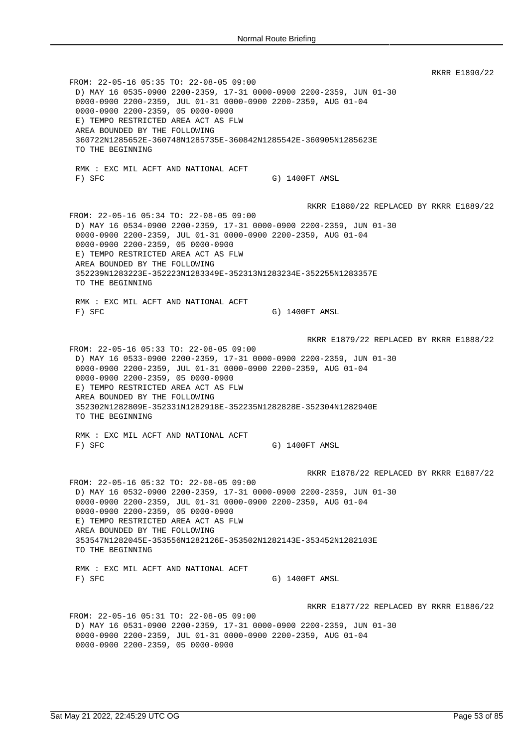RKRR E1890/22 FROM: 22-05-16 05:35 TO: 22-08-05 09:00 D) MAY 16 0535-0900 2200-2359, 17-31 0000-0900 2200-2359, JUN 01-30 0000-0900 2200-2359, JUL 01-31 0000-0900 2200-2359, AUG 01-04 0000-0900 2200-2359, 05 0000-0900 E) TEMPO RESTRICTED AREA ACT AS FLW AREA BOUNDED BY THE FOLLOWING 360722N1285652E-360748N1285735E-360842N1285542E-360905N1285623E TO THE BEGINNING RMK : EXC MIL ACFT AND NATIONAL ACFT F) SFC G) 1400FT AMSL RKRR E1880/22 REPLACED BY RKRR E1889/22 FROM: 22-05-16 05:34 TO: 22-08-05 09:00 D) MAY 16 0534-0900 2200-2359, 17-31 0000-0900 2200-2359, JUN 01-30 0000-0900 2200-2359, JUL 01-31 0000-0900 2200-2359, AUG 01-04 0000-0900 2200-2359, 05 0000-0900 E) TEMPO RESTRICTED AREA ACT AS FLW AREA BOUNDED BY THE FOLLOWING 352239N1283223E-352223N1283349E-352313N1283234E-352255N1283357E TO THE BEGINNING RMK : EXC MIL ACFT AND NATIONAL ACFT F) SFC G) 1400FT AMSL RKRR E1879/22 REPLACED BY RKRR E1888/22 FROM: 22-05-16 05:33 TO: 22-08-05 09:00 D) MAY 16 0533-0900 2200-2359, 17-31 0000-0900 2200-2359, JUN 01-30 0000-0900 2200-2359, JUL 01-31 0000-0900 2200-2359, AUG 01-04 0000-0900 2200-2359, 05 0000-0900 E) TEMPO RESTRICTED AREA ACT AS FLW AREA BOUNDED BY THE FOLLOWING 352302N1282809E-352331N1282918E-352235N1282828E-352304N1282940E TO THE BEGINNING RMK : EXC MIL ACFT AND NATIONAL ACFT F) SFC G) 1400FT AMSL RKRR E1878/22 REPLACED BY RKRR E1887/22 FROM: 22-05-16 05:32 TO: 22-08-05 09:00 D) MAY 16 0532-0900 2200-2359, 17-31 0000-0900 2200-2359, JUN 01-30 0000-0900 2200-2359, JUL 01-31 0000-0900 2200-2359, AUG 01-04 0000-0900 2200-2359, 05 0000-0900 E) TEMPO RESTRICTED AREA ACT AS FLW AREA BOUNDED BY THE FOLLOWING 353547N1282045E-353556N1282126E-353502N1282143E-353452N1282103E TO THE BEGINNING RMK : EXC MIL ACFT AND NATIONAL ACFT F) SFC G) 1400FT AMSL RKRR E1877/22 REPLACED BY RKRR E1886/22 FROM: 22-05-16 05:31 TO: 22-08-05 09:00 D) MAY 16 0531-0900 2200-2359, 17-31 0000-0900 2200-2359, JUN 01-30 0000-0900 2200-2359, JUL 01-31 0000-0900 2200-2359, AUG 01-04 0000-0900 2200-2359, 05 0000-0900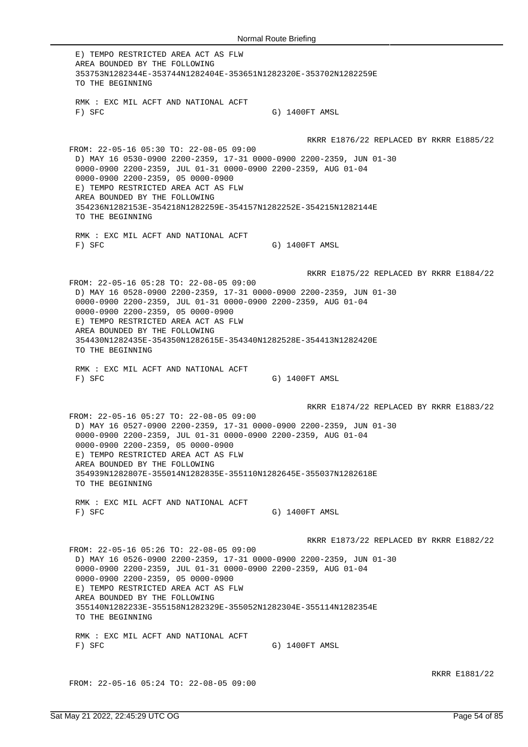E) TEMPO RESTRICTED AREA ACT AS FLW AREA BOUNDED BY THE FOLLOWING 353753N1282344E-353744N1282404E-353651N1282320E-353702N1282259E TO THE BEGINNING RMK : EXC MIL ACFT AND NATIONAL ACFT F) SFC G) 1400FT AMSL RKRR E1876/22 REPLACED BY RKRR E1885/22 FROM: 22-05-16 05:30 TO: 22-08-05 09:00 D) MAY 16 0530-0900 2200-2359, 17-31 0000-0900 2200-2359, JUN 01-30 0000-0900 2200-2359, JUL 01-31 0000-0900 2200-2359, AUG 01-04 0000-0900 2200-2359, 05 0000-0900 E) TEMPO RESTRICTED AREA ACT AS FLW AREA BOUNDED BY THE FOLLOWING 354236N1282153E-354218N1282259E-354157N1282252E-354215N1282144E TO THE BEGINNING RMK : EXC MIL ACFT AND NATIONAL ACFT F) SFC G) 1400FT AMSL RKRR E1875/22 REPLACED BY RKRR E1884/22 FROM: 22-05-16 05:28 TO: 22-08-05 09:00 D) MAY 16 0528-0900 2200-2359, 17-31 0000-0900 2200-2359, JUN 01-30 0000-0900 2200-2359, JUL 01-31 0000-0900 2200-2359, AUG 01-04 0000-0900 2200-2359, 05 0000-0900 E) TEMPO RESTRICTED AREA ACT AS FLW AREA BOUNDED BY THE FOLLOWING 354430N1282435E-354350N1282615E-354340N1282528E-354413N1282420E TO THE BEGINNING RMK : EXC MIL ACFT AND NATIONAL ACFT F) SFC G) 1400FT AMSL RKRR E1874/22 REPLACED BY RKRR E1883/22 FROM: 22-05-16 05:27 TO: 22-08-05 09:00 D) MAY 16 0527-0900 2200-2359, 17-31 0000-0900 2200-2359, JUN 01-30 0000-0900 2200-2359, JUL 01-31 0000-0900 2200-2359, AUG 01-04 0000-0900 2200-2359, 05 0000-0900 E) TEMPO RESTRICTED AREA ACT AS FLW AREA BOUNDED BY THE FOLLOWING 354939N1282807E-355014N1282835E-355110N1282645E-355037N1282618E TO THE BEGINNING RMK : EXC MIL ACFT AND NATIONAL ACFT F) SFC G) 1400FT AMSL RKRR E1873/22 REPLACED BY RKRR E1882/22 FROM: 22-05-16 05:26 TO: 22-08-05 09:00 D) MAY 16 0526-0900 2200-2359, 17-31 0000-0900 2200-2359, JUN 01-30 0000-0900 2200-2359, JUL 01-31 0000-0900 2200-2359, AUG 01-04 0000-0900 2200-2359, 05 0000-0900 E) TEMPO RESTRICTED AREA ACT AS FLW AREA BOUNDED BY THE FOLLOWING 355140N1282233E-355158N1282329E-355052N1282304E-355114N1282354E TO THE BEGINNING RMK : EXC MIL ACFT AND NATIONAL ACFT F) SFC G) 1400FT AMSL

FROM: 22-05-16 05:24 TO: 22-08-05 09:00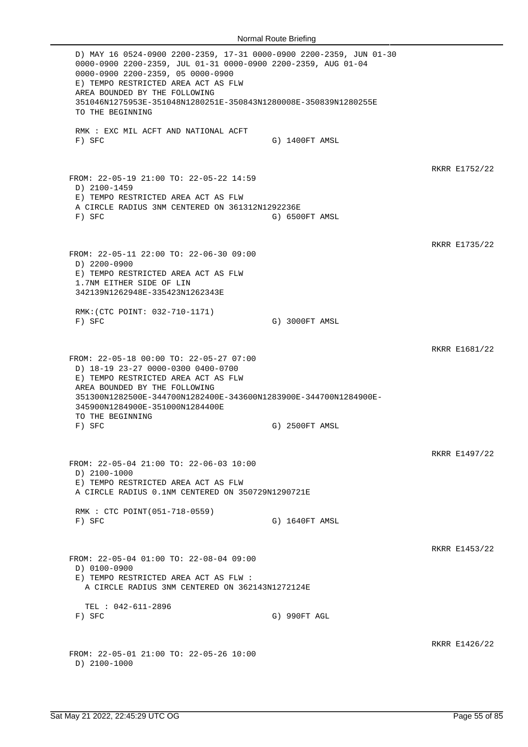D) MAY 16 0524-0900 2200-2359, 17-31 0000-0900 2200-2359, JUN 01-30 0000-0900 2200-2359, JUL 01-31 0000-0900 2200-2359, AUG 01-04 0000-0900 2200-2359, 05 0000-0900 E) TEMPO RESTRICTED AREA ACT AS FLW AREA BOUNDED BY THE FOLLOWING 351046N1275953E-351048N1280251E-350843N1280008E-350839N1280255E TO THE BEGINNING RMK : EXC MIL ACFT AND NATIONAL ACFT F) SFC G) 1400FT AMSL RKRR E1752/22 FROM: 22-05-19 21:00 TO: 22-05-22 14:59 D) 2100-1459 E) TEMPO RESTRICTED AREA ACT AS FLW A CIRCLE RADIUS 3NM CENTERED ON 361312N1292236E F) SFC G) 6500FT AMSL RKRR E1735/22 FROM: 22-05-11 22:00 TO: 22-06-30 09:00 D) 2200-0900 E) TEMPO RESTRICTED AREA ACT AS FLW 1.7NM EITHER SIDE OF LIN 342139N1262948E-335423N1262343E RMK:(CTC POINT: 032-710-1171) F) SFC G) 3000FT AMSL RKRR E1681/22 FROM: 22-05-18 00:00 TO: 22-05-27 07:00 D) 18-19 23-27 0000-0300 0400-0700 E) TEMPO RESTRICTED AREA ACT AS FLW AREA BOUNDED BY THE FOLLOWING 351300N1282500E-344700N1282400E-343600N1283900E-344700N1284900E-345900N1284900E-351000N1284400E TO THE BEGINNING F) SFC G) 2500FT AMSL RKRR E1497/22 FROM: 22-05-04 21:00 TO: 22-06-03 10:00 D) 2100-1000 E) TEMPO RESTRICTED AREA ACT AS FLW A CIRCLE RADIUS 0.1NM CENTERED ON 350729N1290721E RMK : CTC POINT(051-718-0559) F) SFC G) 1640FT AMSL RKRR E1453/22 FROM: 22-05-04 01:00 TO: 22-08-04 09:00 D) 0100-0900 E) TEMPO RESTRICTED AREA ACT AS FLW : A CIRCLE RADIUS 3NM CENTERED ON 362143N1272124E TEL : 042-611-2896<br>F) SFC G) 990FT AGL RKRR E1426/22 FROM: 22-05-01 21:00 TO: 22-05-26 10:00 D) 2100-1000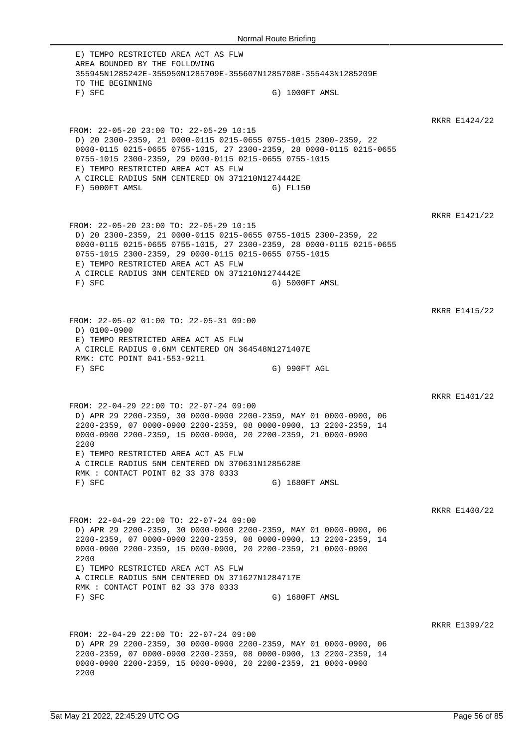E) TEMPO RESTRICTED AREA ACT AS FLW AREA BOUNDED BY THE FOLLOWING 355945N1285242E-355950N1285709E-355607N1285708E-355443N1285209E TO THE BEGINNING F) SFC G) 1000FT AMSL RKRR E1424/22 FROM: 22-05-20 23:00 TO: 22-05-29 10:15 D) 20 2300-2359, 21 0000-0115 0215-0655 0755-1015 2300-2359, 22 0000-0115 0215-0655 0755-1015, 27 2300-2359, 28 0000-0115 0215-0655 0755-1015 2300-2359, 29 0000-0115 0215-0655 0755-1015 E) TEMPO RESTRICTED AREA ACT AS FLW A CIRCLE RADIUS 5NM CENTERED ON 371210N1274442E F) 5000FT AMSL G) FL150 RKRR E1421/22 FROM: 22-05-20 23:00 TO: 22-05-29 10:15 D) 20 2300-2359, 21 0000-0115 0215-0655 0755-1015 2300-2359, 22 0000-0115 0215-0655 0755-1015, 27 2300-2359, 28 0000-0115 0215-0655 0755-1015 2300-2359, 29 0000-0115 0215-0655 0755-1015 E) TEMPO RESTRICTED AREA ACT AS FLW A CIRCLE RADIUS 3NM CENTERED ON 371210N1274442E F) SFC G) 5000FT AMSL RKRR E1415/22 FROM: 22-05-02 01:00 TO: 22-05-31 09:00 D) 0100-0900 E) TEMPO RESTRICTED AREA ACT AS FLW A CIRCLE RADIUS 0.6NM CENTERED ON 364548N1271407E RMK: CTC POINT 041-553-9211 F) SFC G) 990FT AGL RKRR E1401/22 FROM: 22-04-29 22:00 TO: 22-07-24 09:00 D) APR 29 2200-2359, 30 0000-0900 2200-2359, MAY 01 0000-0900, 06 2200-2359, 07 0000-0900 2200-2359, 08 0000-0900, 13 2200-2359, 14 0000-0900 2200-2359, 15 0000-0900, 20 2200-2359, 21 0000-0900 2200 E) TEMPO RESTRICTED AREA ACT AS FLW A CIRCLE RADIUS 5NM CENTERED ON 370631N1285628E RMK : CONTACT POINT 82 33 378 0333 F) SFC G) 1680FT AMSL RKRR E1400/22 FROM: 22-04-29 22:00 TO: 22-07-24 09:00 D) APR 29 2200-2359, 30 0000-0900 2200-2359, MAY 01 0000-0900, 06 2200-2359, 07 0000-0900 2200-2359, 08 0000-0900, 13 2200-2359, 14 0000-0900 2200-2359, 15 0000-0900, 20 2200-2359, 21 0000-0900 2200 E) TEMPO RESTRICTED AREA ACT AS FLW A CIRCLE RADIUS 5NM CENTERED ON 371627N1284717E RMK : CONTACT POINT 82 33 378 0333 F) SFC G) 1680FT AMSL RKRR E1399/22 FROM: 22-04-29 22:00 TO: 22-07-24 09:00 D) APR 29 2200-2359, 30 0000-0900 2200-2359, MAY 01 0000-0900, 06 2200-2359, 07 0000-0900 2200-2359, 08 0000-0900, 13 2200-2359, 14 0000-0900 2200-2359, 15 0000-0900, 20 2200-2359, 21 0000-0900 2200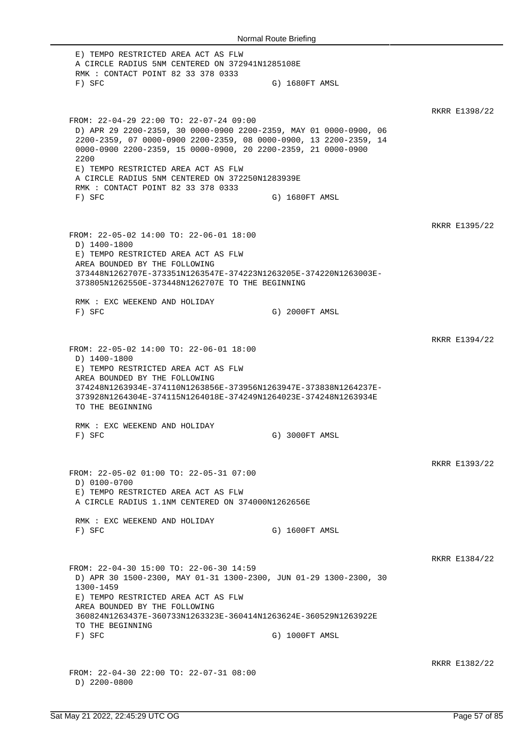E) TEMPO RESTRICTED AREA ACT AS FLW A CIRCLE RADIUS 5NM CENTERED ON 372941N1285108E RMK : CONTACT POINT 82 33 378 0333 F) SFC G) 1680FT AMSL RKRR E1398/22 FROM: 22-04-29 22:00 TO: 22-07-24 09:00 D) APR 29 2200-2359, 30 0000-0900 2200-2359, MAY 01 0000-0900, 06 2200-2359, 07 0000-0900 2200-2359, 08 0000-0900, 13 2200-2359, 14 0000-0900 2200-2359, 15 0000-0900, 20 2200-2359, 21 0000-0900 2200 E) TEMPO RESTRICTED AREA ACT AS FLW A CIRCLE RADIUS 5NM CENTERED ON 372250N1283939E RMK : CONTACT POINT 82 33 378 0333 F) SFC G) 1680FT AMSL RKRR E1395/22 FROM: 22-05-02 14:00 TO: 22-06-01 18:00 D) 1400-1800 E) TEMPO RESTRICTED AREA ACT AS FLW AREA BOUNDED BY THE FOLLOWING 373448N1262707E-373351N1263547E-374223N1263205E-374220N1263003E-373805N1262550E-373448N1262707E TO THE BEGINNING RMK : EXC WEEKEND AND HOLIDAY F) SFC G) 2000FT AMSL RKRR E1394/22 FROM: 22-05-02 14:00 TO: 22-06-01 18:00 D) 1400-1800 E) TEMPO RESTRICTED AREA ACT AS FLW AREA BOUNDED BY THE FOLLOWING 374248N1263934E-374110N1263856E-373956N1263947E-373838N1264237E-373928N1264304E-374115N1264018E-374249N1264023E-374248N1263934E TO THE BEGINNING RMK : EXC WEEKEND AND HOLIDAY F) SFC G) 3000FT AMSL RKRR E1393/22 FROM: 22-05-02 01:00 TO: 22-05-31 07:00 D) 0100-0700 E) TEMPO RESTRICTED AREA ACT AS FLW A CIRCLE RADIUS 1.1NM CENTERED ON 374000N1262656E RMK : EXC WEEKEND AND HOLIDAY F) SFC G) 1600FT AMSL RKRR E1384/22 FROM: 22-04-30 15:00 TO: 22-06-30 14:59 D) APR 30 1500-2300, MAY 01-31 1300-2300, JUN 01-29 1300-2300, 30 1300-1459 E) TEMPO RESTRICTED AREA ACT AS FLW AREA BOUNDED BY THE FOLLOWING 360824N1263437E-360733N1263323E-360414N1263624E-360529N1263922E TO THE BEGINNING F) SFC G) 1000FT AMSL RKRR E1382/22 FROM: 22-04-30 22:00 TO: 22-07-31 08:00 D) 2200-0800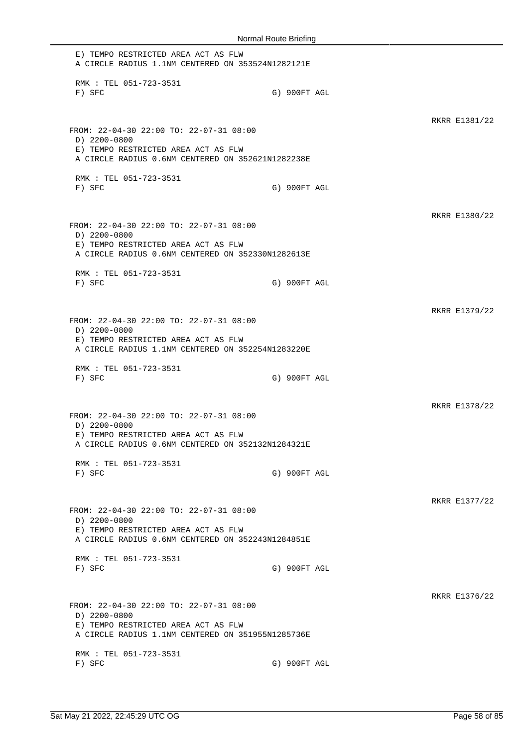E) TEMPO RESTRICTED AREA ACT AS FLW A CIRCLE RADIUS 1.1NM CENTERED ON 353524N1282121E RMK : TEL 051-723-3531 F) SFC G) 900FT AGL RKRR E1381/22 FROM: 22-04-30 22:00 TO: 22-07-31 08:00 D) 2200-0800 E) TEMPO RESTRICTED AREA ACT AS FLW A CIRCLE RADIUS 0.6NM CENTERED ON 352621N1282238E RMK : TEL 051-723-3531 F) SFC G) 900FT AGL RKRR E1380/22 FROM: 22-04-30 22:00 TO: 22-07-31 08:00 D) 2200-0800 E) TEMPO RESTRICTED AREA ACT AS FLW A CIRCLE RADIUS 0.6NM CENTERED ON 352330N1282613E RMK : TEL 051-723-3531 F) SFC G) 900FT AGL RKRR E1379/22 FROM: 22-04-30 22:00 TO: 22-07-31 08:00 D) 2200-0800 E) TEMPO RESTRICTED AREA ACT AS FLW A CIRCLE RADIUS 1.1NM CENTERED ON 352254N1283220E RMK : TEL 051-723-3531 F) SFC G) 900FT AGL RKRR E1378/22 FROM: 22-04-30 22:00 TO: 22-07-31 08:00 D) 2200-0800 E) TEMPO RESTRICTED AREA ACT AS FLW A CIRCLE RADIUS 0.6NM CENTERED ON 352132N1284321E RMK : TEL 051-723-3531 F) SFC G) 900FT AGL RKRR E1377/22 FROM: 22-04-30 22:00 TO: 22-07-31 08:00 D) 2200-0800 E) TEMPO RESTRICTED AREA ACT AS FLW A CIRCLE RADIUS 0.6NM CENTERED ON 352243N1284851E RMK : TEL 051-723-3531 F) SFC G) 900FT AGL RKRR E1376/22 FROM: 22-04-30 22:00 TO: 22-07-31 08:00 D) 2200-0800 E) TEMPO RESTRICTED AREA ACT AS FLW A CIRCLE RADIUS 1.1NM CENTERED ON 351955N1285736E RMK : TEL 051-723-3531 F) SFC G) 900FT AGL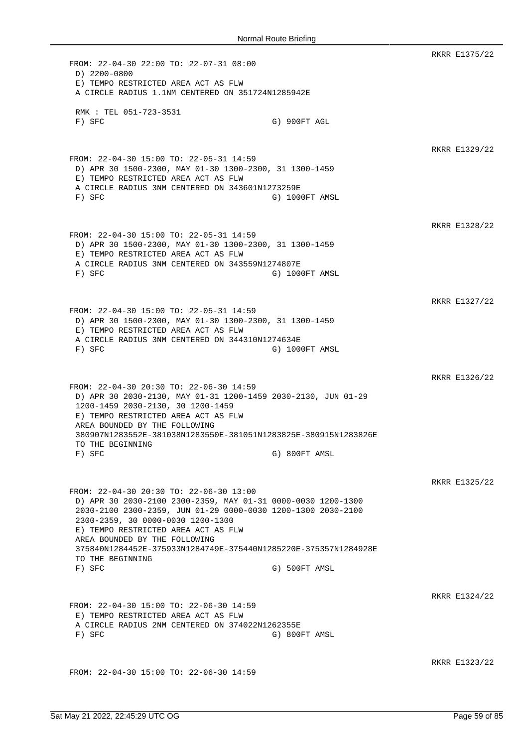RKRR E1375/22 FROM: 22-04-30 22:00 TO: 22-07-31 08:00 D) 2200-0800 E) TEMPO RESTRICTED AREA ACT AS FLW A CIRCLE RADIUS 1.1NM CENTERED ON 351724N1285942E RMK : TEL 051-723-3531 F) SFC G) 900FT AGL RKRR E1329/22 FROM: 22-04-30 15:00 TO: 22-05-31 14:59 D) APR 30 1500-2300, MAY 01-30 1300-2300, 31 1300-1459 E) TEMPO RESTRICTED AREA ACT AS FLW A CIRCLE RADIUS 3NM CENTERED ON 343601N1273259E F) SFC G) 1000FT AMSL RKRR E1328/22 FROM: 22-04-30 15:00 TO: 22-05-31 14:59 D) APR 30 1500-2300, MAY 01-30 1300-2300, 31 1300-1459 E) TEMPO RESTRICTED AREA ACT AS FLW A CIRCLE RADIUS 3NM CENTERED ON 343559N1274807E F) SFC G) 1000FT AMSL RKRR E1327/22 FROM: 22-04-30 15:00 TO: 22-05-31 14:59 D) APR 30 1500-2300, MAY 01-30 1300-2300, 31 1300-1459 E) TEMPO RESTRICTED AREA ACT AS FLW A CIRCLE RADIUS 3NM CENTERED ON 344310N1274634E F) SFC G) 1000FT AMSL RKRR E1326/22 FROM: 22-04-30 20:30 TO: 22-06-30 14:59 D) APR 30 2030-2130, MAY 01-31 1200-1459 2030-2130, JUN 01-29 1200-1459 2030-2130, 30 1200-1459 E) TEMPO RESTRICTED AREA ACT AS FLW AREA BOUNDED BY THE FOLLOWING 380907N1283552E-381038N1283550E-381051N1283825E-380915N1283826E TO THE BEGINNING F) SFC G) 800FT AMSL RKRR E1325/22 FROM: 22-04-30 20:30 TO: 22-06-30 13:00 D) APR 30 2030-2100 2300-2359, MAY 01-31 0000-0030 1200-1300 2030-2100 2300-2359, JUN 01-29 0000-0030 1200-1300 2030-2100 2300-2359, 30 0000-0030 1200-1300 E) TEMPO RESTRICTED AREA ACT AS FLW AREA BOUNDED BY THE FOLLOWING 375840N1284452E-375933N1284749E-375440N1285220E-375357N1284928E TO THE BEGINNING F) SFC G) 500FT AMSL RKRR E1324/22 FROM: 22-04-30 15:00 TO: 22-06-30 14:59 E) TEMPO RESTRICTED AREA ACT AS FLW A CIRCLE RADIUS 2NM CENTERED ON 374022N1262355E F) SFC G) 800FT AMSL RKRR E1323/22 FROM: 22-04-30 15:00 TO: 22-06-30 14:59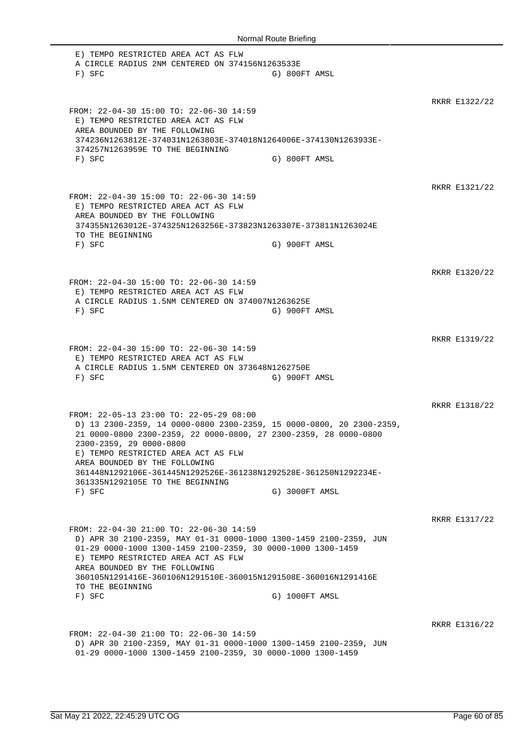| Normal Route Briefing                                                                                                                                                                                                                                                                                                                                                                                      |                |  |               |  |
|------------------------------------------------------------------------------------------------------------------------------------------------------------------------------------------------------------------------------------------------------------------------------------------------------------------------------------------------------------------------------------------------------------|----------------|--|---------------|--|
| E) TEMPO RESTRICTED AREA ACT AS FLW<br>A CIRCLE RADIUS 2NM CENTERED ON 374156N1263533E<br>$F)$ SFC                                                                                                                                                                                                                                                                                                         | G) 800FT AMSL  |  |               |  |
| FROM: 22-04-30 15:00 TO: 22-06-30 14:59<br>E) TEMPO RESTRICTED AREA ACT AS FLW<br>AREA BOUNDED BY THE FOLLOWING<br>374236N1263812E-374031N1263803E-374018N1264006E-374130N1263933E-<br>374257N1263959E TO THE BEGINNING<br>$F)$ SFC                                                                                                                                                                        | G) 800FT AMSL  |  | RKRR E1322/22 |  |
| FROM: 22-04-30 15:00 TO: 22-06-30 14:59<br>E) TEMPO RESTRICTED AREA ACT AS FLW<br>AREA BOUNDED BY THE FOLLOWING<br>374355N1263012E-374325N1263256E-373823N1263307E-373811N1263024E<br>TO THE BEGINNING<br>$F)$ SFC                                                                                                                                                                                         | G) 900FT AMSL  |  | RKRR E1321/22 |  |
| FROM: 22-04-30 15:00 TO: 22-06-30 14:59<br>E) TEMPO RESTRICTED AREA ACT AS FLW<br>A CIRCLE RADIUS 1.5NM CENTERED ON 374007N1263625E<br>$F)$ SFC                                                                                                                                                                                                                                                            | G) 900FT AMSL  |  | RKRR E1320/22 |  |
| FROM: 22-04-30 15:00 TO: 22-06-30 14:59<br>E) TEMPO RESTRICTED AREA ACT AS FLW<br>A CIRCLE RADIUS 1.5NM CENTERED ON 373648N1262750E<br>$F)$ SFC                                                                                                                                                                                                                                                            | G) 900FT AMSL  |  | RKRR E1319/22 |  |
| FROM: 22-05-13 23:00 TO: 22-05-29 08:00<br>D) 13 2300-2359, 14 0000-0800 2300-2359, 15 0000-0800, 20 2300-2359,<br>21 0000-0800 2300-2359, 22 0000-0800, 27 2300-2359, 28 0000-0800<br>2300-2359, 29 0000-0800<br>E) TEMPO RESTRICTED AREA ACT AS FLW<br>AREA BOUNDED BY THE FOLLOWING<br>361448N1292106E-361445N1292526E-361238N1292528E-361250N1292234E-<br>361335N1292105E TO THE BEGINNING<br>$F)$ SFC | G) 3000FT AMSL |  | RKRR E1318/22 |  |
| FROM: 22-04-30 21:00 TO: 22-06-30 14:59<br>D) APR 30 2100-2359, MAY 01-31 0000-1000 1300-1459 2100-2359, JUN<br>01-29 0000-1000 1300-1459 2100-2359, 30 0000-1000 1300-1459<br>E) TEMPO RESTRICTED AREA ACT AS FLW<br>AREA BOUNDED BY THE FOLLOWING<br>360105N1291416E-360106N1291510E-360015N1291508E-360016N1291416E<br>TO THE BEGINNING<br>$F)$ SFC                                                     | G) 1000FT AMSL |  | RKRR E1317/22 |  |
| FROM: 22-04-30 21:00 TO: 22-06-30 14:59<br>D) APR 30 2100-2359, MAY 01-31 0000-1000 1300-1459 2100-2359, JUN<br>01-29 0000-1000 1300-1459 2100-2359, 30 0000-1000 1300-1459                                                                                                                                                                                                                                |                |  | RKRR E1316/22 |  |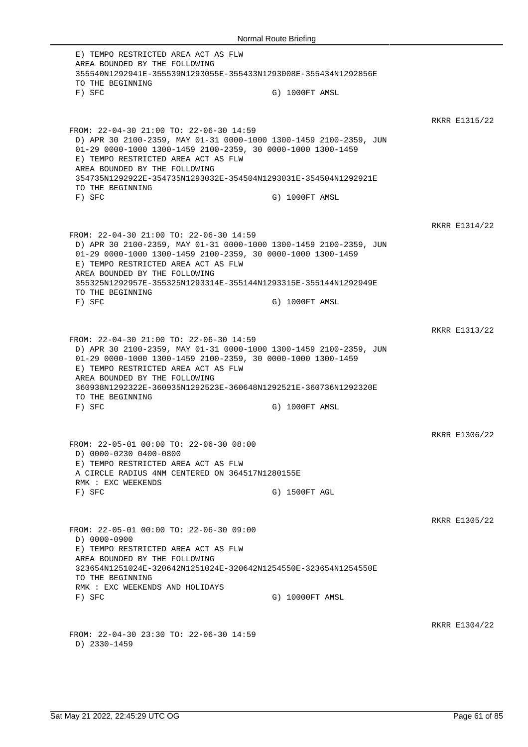E) TEMPO RESTRICTED AREA ACT AS FLW AREA BOUNDED BY THE FOLLOWING 355540N1292941E-355539N1293055E-355433N1293008E-355434N1292856E TO THE BEGINNING F) SFC G) 1000FT AMSL RKRR E1315/22 FROM: 22-04-30 21:00 TO: 22-06-30 14:59 D) APR 30 2100-2359, MAY 01-31 0000-1000 1300-1459 2100-2359, JUN 01-29 0000-1000 1300-1459 2100-2359, 30 0000-1000 1300-1459 E) TEMPO RESTRICTED AREA ACT AS FLW AREA BOUNDED BY THE FOLLOWING 354735N1292922E-354735N1293032E-354504N1293031E-354504N1292921E TO THE BEGINNING F) SFC G) 1000FT AMSL RKRR E1314/22 FROM: 22-04-30 21:00 TO: 22-06-30 14:59 D) APR 30 2100-2359, MAY 01-31 0000-1000 1300-1459 2100-2359, JUN 01-29 0000-1000 1300-1459 2100-2359, 30 0000-1000 1300-1459 E) TEMPO RESTRICTED AREA ACT AS FLW AREA BOUNDED BY THE FOLLOWING 355325N1292957E-355325N1293314E-355144N1293315E-355144N1292949E TO THE BEGINNING F) SFC G) 1000FT AMSL RKRR E1313/22 FROM: 22-04-30 21:00 TO: 22-06-30 14:59 D) APR 30 2100-2359, MAY 01-31 0000-1000 1300-1459 2100-2359, JUN 01-29 0000-1000 1300-1459 2100-2359, 30 0000-1000 1300-1459 E) TEMPO RESTRICTED AREA ACT AS FLW AREA BOUNDED BY THE FOLLOWING 360938N1292322E-360935N1292523E-360648N1292521E-360736N1292320E TO THE BEGINNING F) SFC G) 1000FT AMSL RKRR E1306/22 FROM: 22-05-01 00:00 TO: 22-06-30 08:00 D) 0000-0230 0400-0800 E) TEMPO RESTRICTED AREA ACT AS FLW A CIRCLE RADIUS 4NM CENTERED ON 364517N1280155E RMK : EXC WEEKENDS F) SFC G) 1500FT AGL RKRR E1305/22 FROM: 22-05-01 00:00 TO: 22-06-30 09:00 D) 0000-0900 E) TEMPO RESTRICTED AREA ACT AS FLW AREA BOUNDED BY THE FOLLOWING 323654N1251024E-320642N1251024E-320642N1254550E-323654N1254550E TO THE BEGINNING RMK : EXC WEEKENDS AND HOLIDAYS F) SFC G) 10000FT AMSL RKRR E1304/22 FROM: 22-04-30 23:30 TO: 22-06-30 14:59 D) 2330-1459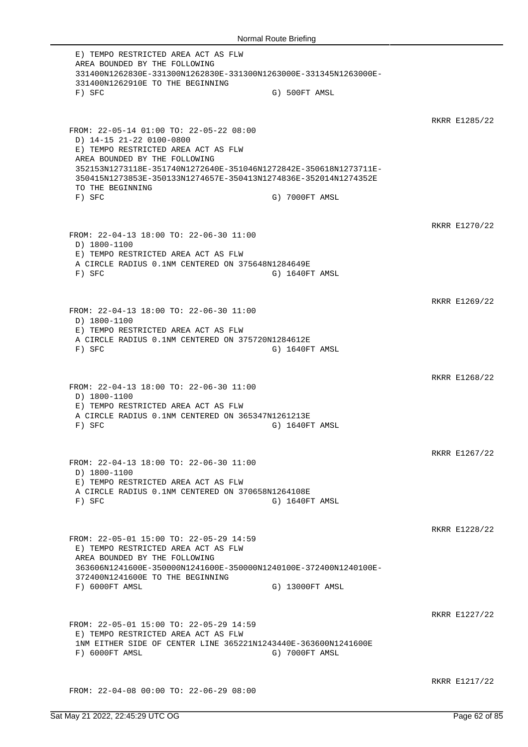E) TEMPO RESTRICTED AREA ACT AS FLW AREA BOUNDED BY THE FOLLOWING 331400N1262830E-331300N1262830E-331300N1263000E-331345N1263000E-331400N1262910E TO THE BEGINNING F) SFC G) 500FT AMSL RKRR E1285/22 FROM: 22-05-14 01:00 TO: 22-05-22 08:00 D) 14-15 21-22 0100-0800 E) TEMPO RESTRICTED AREA ACT AS FLW AREA BOUNDED BY THE FOLLOWING 352153N1273118E-351740N1272640E-351046N1272842E-350618N1273711E-350415N1273853E-350133N1274657E-350413N1274836E-352014N1274352E TO THE BEGINNING F) SFC G) 7000FT AMSL RKRR E1270/22 FROM: 22-04-13 18:00 TO: 22-06-30 11:00 D) 1800-1100 E) TEMPO RESTRICTED AREA ACT AS FLW A CIRCLE RADIUS 0.1NM CENTERED ON 375648N1284649E F) SFC G) 1640FT AMSL RKRR E1269/22 FROM: 22-04-13 18:00 TO: 22-06-30 11:00 D) 1800-1100 E) TEMPO RESTRICTED AREA ACT AS FLW A CIRCLE RADIUS 0.1NM CENTERED ON 375720N1284612E F) SFC G) 1640FT AMSL RKRR E1268/22 FROM: 22-04-13 18:00 TO: 22-06-30 11:00 D) 1800-1100 E) TEMPO RESTRICTED AREA ACT AS FLW A CIRCLE RADIUS 0.1NM CENTERED ON 365347N1261213E F) SFC G) 1640FT AMSL RKRR E1267/22 FROM: 22-04-13 18:00 TO: 22-06-30 11:00 D) 1800-1100 E) TEMPO RESTRICTED AREA ACT AS FLW A CIRCLE RADIUS 0.1NM CENTERED ON 370658N1264108E F) SFC G) 1640FT AMSL RKRR E1228/22 FROM: 22-05-01 15:00 TO: 22-05-29 14:59 E) TEMPO RESTRICTED AREA ACT AS FLW AREA BOUNDED BY THE FOLLOWING 363606N1241600E-350000N1241600E-350000N1240100E-372400N1240100E-372400N1241600E TO THE BEGINNING F) 6000FT AMSL G) 13000FT AMSL RKRR E1227/22 FROM: 22-05-01 15:00 TO: 22-05-29 14:59 E) TEMPO RESTRICTED AREA ACT AS FLW 1NM EITHER SIDE OF CENTER LINE 365221N1243440E-363600N1241600E F) 6000FT AMSL G) 7000FT AMSL RKRR E1217/22 FROM: 22-04-08 00:00 TO: 22-06-29 08:00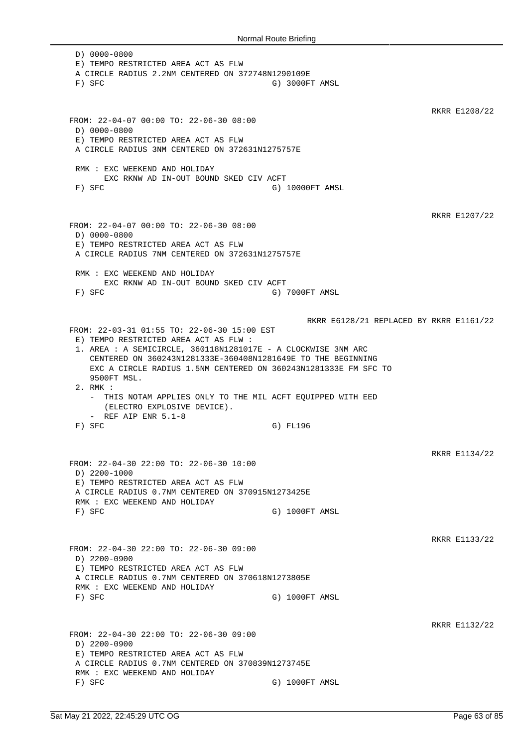D) 0000-0800 E) TEMPO RESTRICTED AREA ACT AS FLW A CIRCLE RADIUS 2.2NM CENTERED ON 372748N1290109E F) SFC G) 3000FT AMSL RKRR E1208/22 FROM: 22-04-07 00:00 TO: 22-06-30 08:00 D) 0000-0800 E) TEMPO RESTRICTED AREA ACT AS FLW A CIRCLE RADIUS 3NM CENTERED ON 372631N1275757E RMK : EXC WEEKEND AND HOLIDAY EXC RKNW AD IN-OUT BOUND SKED CIV ACFT F) SFC G) 10000FT AMSL RKRR E1207/22 FROM: 22-04-07 00:00 TO: 22-06-30 08:00 D) 0000-0800 E) TEMPO RESTRICTED AREA ACT AS FLW A CIRCLE RADIUS 7NM CENTERED ON 372631N1275757E RMK : EXC WEEKEND AND HOLIDAY EXC RKNW AD IN-OUT BOUND SKED CIV ACFT F) SFC G) 7000FT AMSL RKRR E6128/21 REPLACED BY RKRR E1161/22 FROM: 22-03-31 01:55 TO: 22-06-30 15:00 EST E) TEMPO RESTRICTED AREA ACT AS FLW : 1. AREA : A SEMICIRCLE, 360118N1281017E - A CLOCKWISE 3NM ARC CENTERED ON 360243N1281333E-360408N1281649E TO THE BEGINNING EXC A CIRCLE RADIUS 1.5NM CENTERED ON 360243N1281333E FM SFC TO 9500FT MSL. 2. RMK : - THIS NOTAM APPLIES ONLY TO THE MIL ACFT EQUIPPED WITH EED (ELECTRO EXPLOSIVE DEVICE). - REF AIP ENR 5.1-8 F) SFC G) FL196 RKRR E1134/22 FROM: 22-04-30 22:00 TO: 22-06-30 10:00 D) 2200-1000 E) TEMPO RESTRICTED AREA ACT AS FLW A CIRCLE RADIUS 0.7NM CENTERED ON 370915N1273425E RMK : EXC WEEKEND AND HOLIDAY F) SFC G) 1000FT AMSL RKRR E1133/22 FROM: 22-04-30 22:00 TO: 22-06-30 09:00 D) 2200-0900 E) TEMPO RESTRICTED AREA ACT AS FLW A CIRCLE RADIUS 0.7NM CENTERED ON 370618N1273805E RMK : EXC WEEKEND AND HOLIDAY F) SFC G) 1000FT AMSL RKRR E1132/22 FROM: 22-04-30 22:00 TO: 22-06-30 09:00 D) 2200-0900 E) TEMPO RESTRICTED AREA ACT AS FLW A CIRCLE RADIUS 0.7NM CENTERED ON 370839N1273745E RMK : EXC WEEKEND AND HOLIDAY F) SFC G) 1000FT AMSL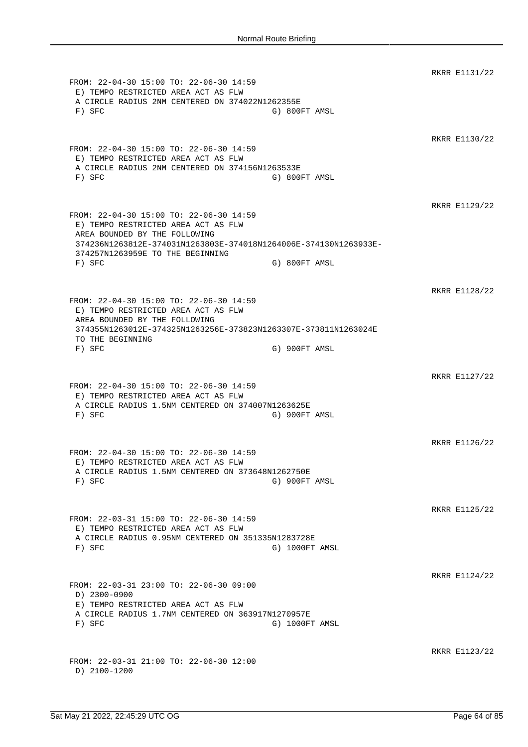RKRR E1131/22 FROM: 22-04-30 15:00 TO: 22-06-30 14:59 E) TEMPO RESTRICTED AREA ACT AS FLW A CIRCLE RADIUS 2NM CENTERED ON 374022N1262355E F) SFC G) 800FT AMSL RKRR E1130/22 FROM: 22-04-30 15:00 TO: 22-06-30 14:59 E) TEMPO RESTRICTED AREA ACT AS FLW A CIRCLE RADIUS 2NM CENTERED ON 374156N1263533E F) SFC G) 800FT AMSL RKRR E1129/22 FROM: 22-04-30 15:00 TO: 22-06-30 14:59 E) TEMPO RESTRICTED AREA ACT AS FLW AREA BOUNDED BY THE FOLLOWING 374236N1263812E-374031N1263803E-374018N1264006E-374130N1263933E-374257N1263959E TO THE BEGINNING F) SFC G) 800FT AMSL RKRR E1128/22 FROM: 22-04-30 15:00 TO: 22-06-30 14:59 E) TEMPO RESTRICTED AREA ACT AS FLW AREA BOUNDED BY THE FOLLOWING 374355N1263012E-374325N1263256E-373823N1263307E-373811N1263024E TO THE BEGINNING F) SFC G) 900FT AMSL RKRR E1127/22 FROM: 22-04-30 15:00 TO: 22-06-30 14:59 E) TEMPO RESTRICTED AREA ACT AS FLW A CIRCLE RADIUS 1.5NM CENTERED ON 374007N1263625E F) SFC G) 900FT AMSL RKRR E1126/22 FROM: 22-04-30 15:00 TO: 22-06-30 14:59 E) TEMPO RESTRICTED AREA ACT AS FLW A CIRCLE RADIUS 1.5NM CENTERED ON 373648N1262750E F) SFC G) 900FT AMSL RKRR E1125/22 FROM: 22-03-31 15:00 TO: 22-06-30 14:59 E) TEMPO RESTRICTED AREA ACT AS FLW A CIRCLE RADIUS 0.95NM CENTERED ON 351335N1283728E F) SFC G) 1000FT AMSL RKRR E1124/22 FROM: 22-03-31 23:00 TO: 22-06-30 09:00 D) 2300-0900 E) TEMPO RESTRICTED AREA ACT AS FLW A CIRCLE RADIUS 1.7NM CENTERED ON 363917N1270957E F) SFC G) 1000FT AMSL RKRR E1123/22 FROM: 22-03-31 21:00 TO: 22-06-30 12:00 D) 2100-1200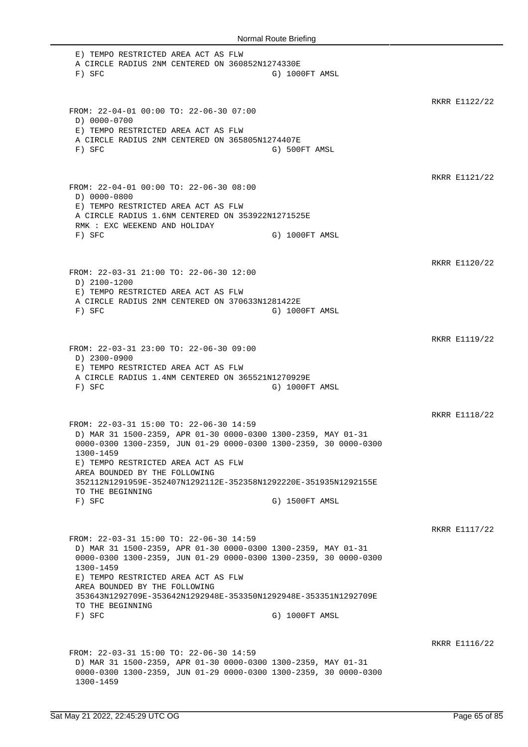E) TEMPO RESTRICTED AREA ACT AS FLW A CIRCLE RADIUS 2NM CENTERED ON 360852N1274330E F) SFC G) 1000FT AMSL RKRR E1122/22 FROM: 22-04-01 00:00 TO: 22-06-30 07:00 D) 0000-0700 E) TEMPO RESTRICTED AREA ACT AS FLW A CIRCLE RADIUS 2NM CENTERED ON 365805N1274407E F) SFC G) 500FT AMSL RKRR E1121/22 FROM: 22-04-01 00:00 TO: 22-06-30 08:00 D) 0000-0800 E) TEMPO RESTRICTED AREA ACT AS FLW A CIRCLE RADIUS 1.6NM CENTERED ON 353922N1271525E RMK : EXC WEEKEND AND HOLIDAY F) SFC G) 1000FT AMSL RKRR E1120/22 FROM: 22-03-31 21:00 TO: 22-06-30 12:00 D) 2100-1200 E) TEMPO RESTRICTED AREA ACT AS FLW A CIRCLE RADIUS 2NM CENTERED ON 370633N1281422E F) SFC G) 1000FT AMSL RKRR E1119/22 FROM: 22-03-31 23:00 TO: 22-06-30 09:00 D) 2300-0900 E) TEMPO RESTRICTED AREA ACT AS FLW A CIRCLE RADIUS 1.4NM CENTERED ON 365521N1270929E F) SFC G) 1000FT AMSL RKRR E1118/22 FROM: 22-03-31 15:00 TO: 22-06-30 14:59 D) MAR 31 1500-2359, APR 01-30 0000-0300 1300-2359, MAY 01-31 0000-0300 1300-2359, JUN 01-29 0000-0300 1300-2359, 30 0000-0300 1300-1459 E) TEMPO RESTRICTED AREA ACT AS FLW AREA BOUNDED BY THE FOLLOWING 352112N1291959E-352407N1292112E-352358N1292220E-351935N1292155E TO THE BEGINNING F) SFC G) 1500FT AMSL RKRR E1117/22 FROM: 22-03-31 15:00 TO: 22-06-30 14:59 D) MAR 31 1500-2359, APR 01-30 0000-0300 1300-2359, MAY 01-31 0000-0300 1300-2359, JUN 01-29 0000-0300 1300-2359, 30 0000-0300 1300-1459 E) TEMPO RESTRICTED AREA ACT AS FLW AREA BOUNDED BY THE FOLLOWING 353643N1292709E-353642N1292948E-353350N1292948E-353351N1292709E TO THE BEGINNING F) SFC G) 1000FT AMSL RKRR E1116/22 FROM: 22-03-31 15:00 TO: 22-06-30 14:59 D) MAR 31 1500-2359, APR 01-30 0000-0300 1300-2359, MAY 01-31 0000-0300 1300-2359, JUN 01-29 0000-0300 1300-2359, 30 0000-0300 1300-1459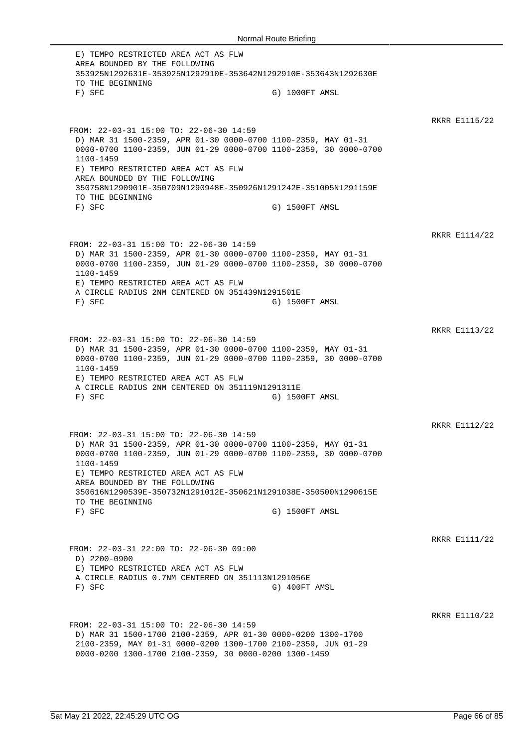E) TEMPO RESTRICTED AREA ACT AS FLW AREA BOUNDED BY THE FOLLOWING 353925N1292631E-353925N1292910E-353642N1292910E-353643N1292630E TO THE BEGINNING F) SFC G) 1000FT AMSL RKRR E1115/22 FROM: 22-03-31 15:00 TO: 22-06-30 14:59 D) MAR 31 1500-2359, APR 01-30 0000-0700 1100-2359, MAY 01-31 0000-0700 1100-2359, JUN 01-29 0000-0700 1100-2359, 30 0000-0700 1100-1459 E) TEMPO RESTRICTED AREA ACT AS FLW AREA BOUNDED BY THE FOLLOWING 350758N1290901E-350709N1290948E-350926N1291242E-351005N1291159E TO THE BEGINNING F) SFC G) 1500FT AMSL RKRR E1114/22 FROM: 22-03-31 15:00 TO: 22-06-30 14:59 D) MAR 31 1500-2359, APR 01-30 0000-0700 1100-2359, MAY 01-31 0000-0700 1100-2359, JUN 01-29 0000-0700 1100-2359, 30 0000-0700 1100-1459 E) TEMPO RESTRICTED AREA ACT AS FLW A CIRCLE RADIUS 2NM CENTERED ON 351439N1291501E F) SFC G) 1500FT AMSL RKRR E1113/22 FROM: 22-03-31 15:00 TO: 22-06-30 14:59 D) MAR 31 1500-2359, APR 01-30 0000-0700 1100-2359, MAY 01-31 0000-0700 1100-2359, JUN 01-29 0000-0700 1100-2359, 30 0000-0700 1100-1459 E) TEMPO RESTRICTED AREA ACT AS FLW A CIRCLE RADIUS 2NM CENTERED ON 351119N1291311E F) SFC G) 1500FT AMSL RKRR E1112/22 FROM: 22-03-31 15:00 TO: 22-06-30 14:59 D) MAR 31 1500-2359, APR 01-30 0000-0700 1100-2359, MAY 01-31 0000-0700 1100-2359, JUN 01-29 0000-0700 1100-2359, 30 0000-0700 1100-1459 E) TEMPO RESTRICTED AREA ACT AS FLW AREA BOUNDED BY THE FOLLOWING 350616N1290539E-350732N1291012E-350621N1291038E-350500N1290615E TO THE BEGINNING F) SFC G) 1500FT AMSL RKRR E1111/22 FROM: 22-03-31 22:00 TO: 22-06-30 09:00 D) 2200-0900 E) TEMPO RESTRICTED AREA ACT AS FLW A CIRCLE RADIUS 0.7NM CENTERED ON 351113N1291056E F) SFC G) 400FT AMSL RKRR E1110/22 FROM: 22-03-31 15:00 TO: 22-06-30 14:59 D) MAR 31 1500-1700 2100-2359, APR 01-30 0000-0200 1300-1700 2100-2359, MAY 01-31 0000-0200 1300-1700 2100-2359, JUN 01-29 0000-0200 1300-1700 2100-2359, 30 0000-0200 1300-1459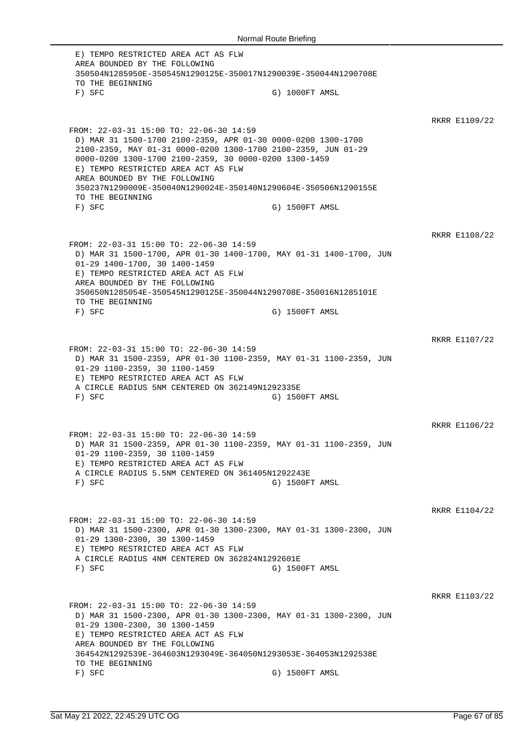E) TEMPO RESTRICTED AREA ACT AS FLW AREA BOUNDED BY THE FOLLOWING 350504N1285950E-350545N1290125E-350017N1290039E-350044N1290708E TO THE BEGINNING F) SFC G) 1000FT AMSL RKRR E1109/22 FROM: 22-03-31 15:00 TO: 22-06-30 14:59 D) MAR 31 1500-1700 2100-2359, APR 01-30 0000-0200 1300-1700 2100-2359, MAY 01-31 0000-0200 1300-1700 2100-2359, JUN 01-29 0000-0200 1300-1700 2100-2359, 30 0000-0200 1300-1459 E) TEMPO RESTRICTED AREA ACT AS FLW AREA BOUNDED BY THE FOLLOWING 350237N1290009E-350040N1290024E-350140N1290604E-350506N1290155E TO THE BEGINNING F) SFC G) 1500FT AMSL RKRR E1108/22 FROM: 22-03-31 15:00 TO: 22-06-30 14:59 D) MAR 31 1500-1700, APR 01-30 1400-1700, MAY 01-31 1400-1700, JUN 01-29 1400-1700, 30 1400-1459 E) TEMPO RESTRICTED AREA ACT AS FLW AREA BOUNDED BY THE FOLLOWING 350650N1285054E-350545N1290125E-350044N1290708E-350016N1285101E TO THE BEGINNING F) SFC G) 1500FT AMSL RKRR E1107/22 FROM: 22-03-31 15:00 TO: 22-06-30 14:59 D) MAR 31 1500-2359, APR 01-30 1100-2359, MAY 01-31 1100-2359, JUN 01-29 1100-2359, 30 1100-1459 E) TEMPO RESTRICTED AREA ACT AS FLW A CIRCLE RADIUS 5NM CENTERED ON 362149N1292335E F) SFC G) 1500FT AMSL RKRR E1106/22 FROM: 22-03-31 15:00 TO: 22-06-30 14:59 D) MAR 31 1500-2359, APR 01-30 1100-2359, MAY 01-31 1100-2359, JUN 01-29 1100-2359, 30 1100-1459 E) TEMPO RESTRICTED AREA ACT AS FLW A CIRCLE RADIUS 5.5NM CENTERED ON 361405N1292243E F) SFC G) 1500FT AMSL RKRR E1104/22 FROM: 22-03-31 15:00 TO: 22-06-30 14:59 D) MAR 31 1500-2300, APR 01-30 1300-2300, MAY 01-31 1300-2300, JUN 01-29 1300-2300, 30 1300-1459 E) TEMPO RESTRICTED AREA ACT AS FLW A CIRCLE RADIUS 4NM CENTERED ON 362824N1292601E F) SFC G) 1500FT AMSL RKRR E1103/22 FROM: 22-03-31 15:00 TO: 22-06-30 14:59 D) MAR 31 1500-2300, APR 01-30 1300-2300, MAY 01-31 1300-2300, JUN 01-29 1300-2300, 30 1300-1459 E) TEMPO RESTRICTED AREA ACT AS FLW AREA BOUNDED BY THE FOLLOWING 364542N1292539E-364603N1293049E-364050N1293053E-364053N1292538E TO THE BEGINNING F) SFC G) 1500FT AMSL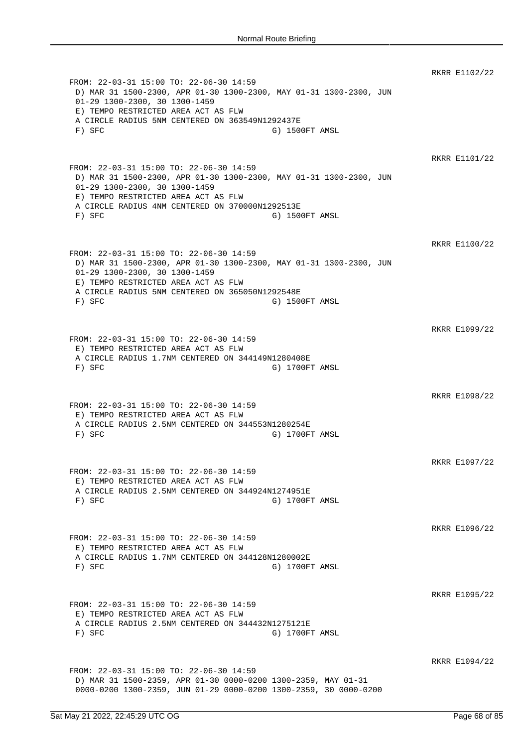RKRR E1102/22 FROM: 22-03-31 15:00 TO: 22-06-30 14:59 D) MAR 31 1500-2300, APR 01-30 1300-2300, MAY 01-31 1300-2300, JUN 01-29 1300-2300, 30 1300-1459 E) TEMPO RESTRICTED AREA ACT AS FLW A CIRCLE RADIUS 5NM CENTERED ON 363549N1292437E F) SFC G) 1500FT AMSL RKRR E1101/22 FROM: 22-03-31 15:00 TO: 22-06-30 14:59 D) MAR 31 1500-2300, APR 01-30 1300-2300, MAY 01-31 1300-2300, JUN 01-29 1300-2300, 30 1300-1459 E) TEMPO RESTRICTED AREA ACT AS FLW A CIRCLE RADIUS 4NM CENTERED ON 370000N1292513E F) SFC G) 1500FT AMSL RKRR E1100/22 FROM: 22-03-31 15:00 TO: 22-06-30 14:59 D) MAR 31 1500-2300, APR 01-30 1300-2300, MAY 01-31 1300-2300, JUN 01-29 1300-2300, 30 1300-1459 E) TEMPO RESTRICTED AREA ACT AS FLW A CIRCLE RADIUS 5NM CENTERED ON 365050N1292548E F) SFC G) 1500FT AMSL RKRR E1099/22 FROM: 22-03-31 15:00 TO: 22-06-30 14:59 E) TEMPO RESTRICTED AREA ACT AS FLW A CIRCLE RADIUS 1.7NM CENTERED ON 344149N1280408E F) SFC G) 1700FT AMSL RKRR E1098/22 FROM: 22-03-31 15:00 TO: 22-06-30 14:59 E) TEMPO RESTRICTED AREA ACT AS FLW A CIRCLE RADIUS 2.5NM CENTERED ON 344553N1280254E F) SFC G) 1700FT AMSL RKRR E1097/22 FROM: 22-03-31 15:00 TO: 22-06-30 14:59 E) TEMPO RESTRICTED AREA ACT AS FLW A CIRCLE RADIUS 2.5NM CENTERED ON 344924N1274951E F) SFC G) 1700FT AMSL RKRR E1096/22 FROM: 22-03-31 15:00 TO: 22-06-30 14:59 E) TEMPO RESTRICTED AREA ACT AS FLW A CIRCLE RADIUS 1.7NM CENTERED ON 344128N1280002E F) SFC G) 1700FT AMSL RKRR E1095/22 FROM: 22-03-31 15:00 TO: 22-06-30 14:59 E) TEMPO RESTRICTED AREA ACT AS FLW A CIRCLE RADIUS 2.5NM CENTERED ON 344432N1275121E F) SFC G) 1700FT AMSL RKRR E1094/22 FROM: 22-03-31 15:00 TO: 22-06-30 14:59 D) MAR 31 1500-2359, APR 01-30 0000-0200 1300-2359, MAY 01-31 0000-0200 1300-2359, JUN 01-29 0000-0200 1300-2359, 30 0000-0200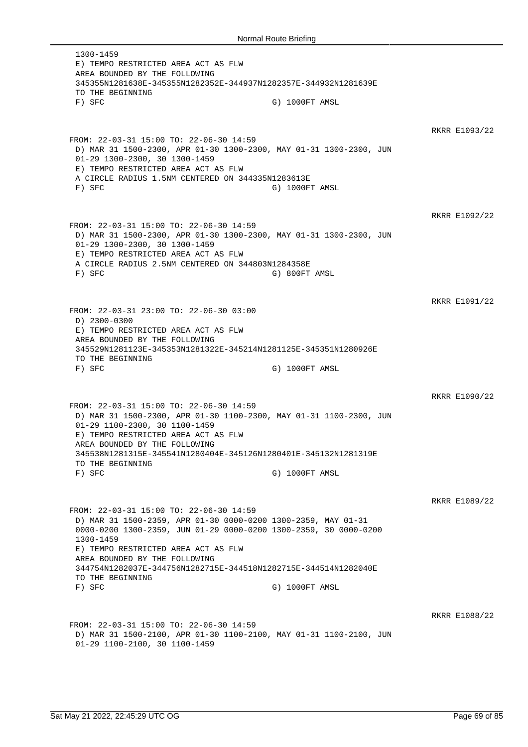1300-1459 E) TEMPO RESTRICTED AREA ACT AS FLW AREA BOUNDED BY THE FOLLOWING 345355N1281638E-345355N1282352E-344937N1282357E-344932N1281639E TO THE BEGINNING F) SFC G) 1000FT AMSL RKRR E1093/22 FROM: 22-03-31 15:00 TO: 22-06-30 14:59 D) MAR 31 1500-2300, APR 01-30 1300-2300, MAY 01-31 1300-2300, JUN 01-29 1300-2300, 30 1300-1459 E) TEMPO RESTRICTED AREA ACT AS FLW A CIRCLE RADIUS 1.5NM CENTERED ON 344335N1283613E F) SFC G) 1000FT AMSL RKRR E1092/22 FROM: 22-03-31 15:00 TO: 22-06-30 14:59 D) MAR 31 1500-2300, APR 01-30 1300-2300, MAY 01-31 1300-2300, JUN 01-29 1300-2300, 30 1300-1459 E) TEMPO RESTRICTED AREA ACT AS FLW A CIRCLE RADIUS 2.5NM CENTERED ON 344803N1284358E F) SFC G) 800FT AMSL RKRR E1091/22 FROM: 22-03-31 23:00 TO: 22-06-30 03:00 D) 2300-0300 E) TEMPO RESTRICTED AREA ACT AS FLW AREA BOUNDED BY THE FOLLOWING 345529N1281123E-345353N1281322E-345214N1281125E-345351N1280926E TO THE BEGINNING F) SFC G) 1000FT AMSL RKRR E1090/22 FROM: 22-03-31 15:00 TO: 22-06-30 14:59 D) MAR 31 1500-2300, APR 01-30 1100-2300, MAY 01-31 1100-2300, JUN 01-29 1100-2300, 30 1100-1459 E) TEMPO RESTRICTED AREA ACT AS FLW AREA BOUNDED BY THE FOLLOWING 345538N1281315E-345541N1280404E-345126N1280401E-345132N1281319E TO THE BEGINNING F) SFC G) 1000FT AMSL RKRR E1089/22 FROM: 22-03-31 15:00 TO: 22-06-30 14:59 D) MAR 31 1500-2359, APR 01-30 0000-0200 1300-2359, MAY 01-31 0000-0200 1300-2359, JUN 01-29 0000-0200 1300-2359, 30 0000-0200 1300-1459 E) TEMPO RESTRICTED AREA ACT AS FLW AREA BOUNDED BY THE FOLLOWING 344754N1282037E-344756N1282715E-344518N1282715E-344514N1282040E TO THE BEGINNING F) SFC G) 1000FT AMSL RKRR E1088/22 FROM: 22-03-31 15:00 TO: 22-06-30 14:59 D) MAR 31 1500-2100, APR 01-30 1100-2100, MAY 01-31 1100-2100, JUN 01-29 1100-2100, 30 1100-1459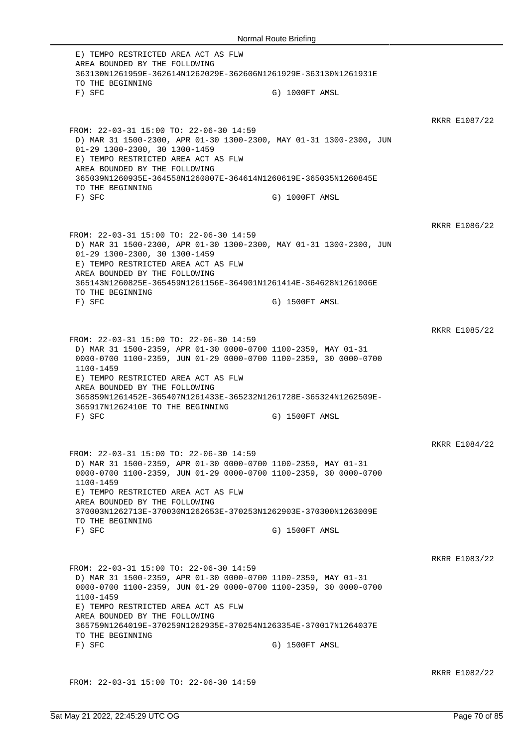E) TEMPO RESTRICTED AREA ACT AS FLW AREA BOUNDED BY THE FOLLOWING 363130N1261959E-362614N1262029E-362606N1261929E-363130N1261931E TO THE BEGINNING F) SFC G) 1000FT AMSL RKRR E1087/22 FROM: 22-03-31 15:00 TO: 22-06-30 14:59 D) MAR 31 1500-2300, APR 01-30 1300-2300, MAY 01-31 1300-2300, JUN 01-29 1300-2300, 30 1300-1459 E) TEMPO RESTRICTED AREA ACT AS FLW AREA BOUNDED BY THE FOLLOWING 365039N1260935E-364558N1260807E-364614N1260619E-365035N1260845E TO THE BEGINNING F) SFC G) 1000FT AMSL RKRR E1086/22 FROM: 22-03-31 15:00 TO: 22-06-30 14:59 D) MAR 31 1500-2300, APR 01-30 1300-2300, MAY 01-31 1300-2300, JUN 01-29 1300-2300, 30 1300-1459 E) TEMPO RESTRICTED AREA ACT AS FLW AREA BOUNDED BY THE FOLLOWING 365143N1260825E-365459N1261156E-364901N1261414E-364628N1261006E TO THE BEGINNING F) SFC G) 1500FT AMSL RKRR E1085/22 FROM: 22-03-31 15:00 TO: 22-06-30 14:59 D) MAR 31 1500-2359, APR 01-30 0000-0700 1100-2359, MAY 01-31 0000-0700 1100-2359, JUN 01-29 0000-0700 1100-2359, 30 0000-0700 1100-1459 E) TEMPO RESTRICTED AREA ACT AS FLW AREA BOUNDED BY THE FOLLOWING 365859N1261452E-365407N1261433E-365232N1261728E-365324N1262509E-365917N1262410E TO THE BEGINNING F) SFC G) 1500FT AMSL RKRR E1084/22 FROM: 22-03-31 15:00 TO: 22-06-30 14:59 D) MAR 31 1500-2359, APR 01-30 0000-0700 1100-2359, MAY 01-31 0000-0700 1100-2359, JUN 01-29 0000-0700 1100-2359, 30 0000-0700 1100-1459 E) TEMPO RESTRICTED AREA ACT AS FLW AREA BOUNDED BY THE FOLLOWING 370003N1262713E-370030N1262653E-370253N1262903E-370300N1263009E TO THE BEGINNING F) SFC G) 1500FT AMSL RKRR E1083/22 FROM: 22-03-31 15:00 TO: 22-06-30 14:59 D) MAR 31 1500-2359, APR 01-30 0000-0700 1100-2359, MAY 01-31 0000-0700 1100-2359, JUN 01-29 0000-0700 1100-2359, 30 0000-0700 1100-1459 E) TEMPO RESTRICTED AREA ACT AS FLW AREA BOUNDED BY THE FOLLOWING 365759N1264019E-370259N1262935E-370254N1263354E-370017N1264037E TO THE BEGINNING F) SFC G) 1500FT AMSL RKRR E1082/22

FROM: 22-03-31 15:00 TO: 22-06-30 14:59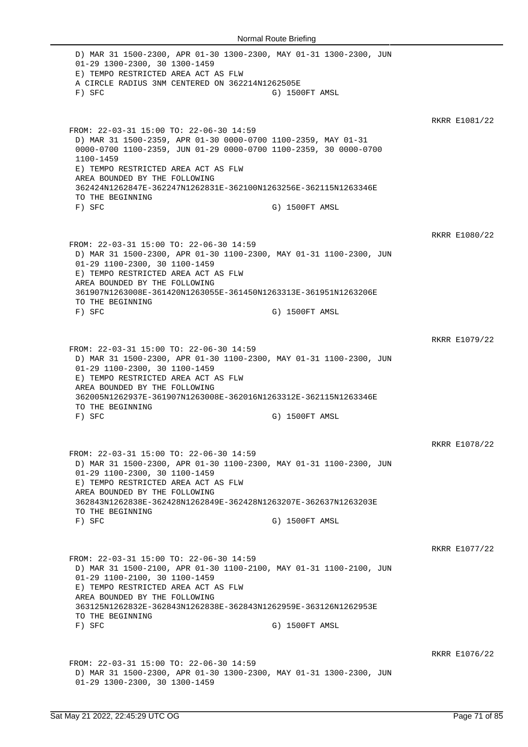D) MAR 31 1500-2300, APR 01-30 1300-2300, MAY 01-31 1300-2300, JUN 01-29 1300-2300, 30 1300-1459 E) TEMPO RESTRICTED AREA ACT AS FLW A CIRCLE RADIUS 3NM CENTERED ON 362214N1262505E F) SFC G) 1500FT AMSL RKRR E1081/22 FROM: 22-03-31 15:00 TO: 22-06-30 14:59 D) MAR 31 1500-2359, APR 01-30 0000-0700 1100-2359, MAY 01-31 0000-0700 1100-2359, JUN 01-29 0000-0700 1100-2359, 30 0000-0700 1100-1459 E) TEMPO RESTRICTED AREA ACT AS FLW AREA BOUNDED BY THE FOLLOWING 362424N1262847E-362247N1262831E-362100N1263256E-362115N1263346E TO THE BEGINNING F) SFC G) 1500FT AMSL RKRR E1080/22 FROM: 22-03-31 15:00 TO: 22-06-30 14:59 D) MAR 31 1500-2300, APR 01-30 1100-2300, MAY 01-31 1100-2300, JUN 01-29 1100-2300, 30 1100-1459 E) TEMPO RESTRICTED AREA ACT AS FLW AREA BOUNDED BY THE FOLLOWING 361907N1263008E-361420N1263055E-361450N1263313E-361951N1263206E TO THE BEGINNING F) SFC G) 1500FT AMSL RKRR E1079/22 FROM: 22-03-31 15:00 TO: 22-06-30 14:59 D) MAR 31 1500-2300, APR 01-30 1100-2300, MAY 01-31 1100-2300, JUN 01-29 1100-2300, 30 1100-1459 E) TEMPO RESTRICTED AREA ACT AS FLW AREA BOUNDED BY THE FOLLOWING 362005N1262937E-361907N1263008E-362016N1263312E-362115N1263346E TO THE BEGINNING F) SFC G) 1500FT AMSL RKRR E1078/22 FROM: 22-03-31 15:00 TO: 22-06-30 14:59 D) MAR 31 1500-2300, APR 01-30 1100-2300, MAY 01-31 1100-2300, JUN 01-29 1100-2300, 30 1100-1459 E) TEMPO RESTRICTED AREA ACT AS FLW AREA BOUNDED BY THE FOLLOWING 362843N1262838E-362428N1262849E-362428N1263207E-362637N1263203E TO THE BEGINNING F) SFC G) 1500FT AMSL RKRR E1077/22 FROM: 22-03-31 15:00 TO: 22-06-30 14:59 D) MAR 31 1500-2100, APR 01-30 1100-2100, MAY 01-31 1100-2100, JUN 01-29 1100-2100, 30 1100-1459 E) TEMPO RESTRICTED AREA ACT AS FLW AREA BOUNDED BY THE FOLLOWING 363125N1262832E-362843N1262838E-362843N1262959E-363126N1262953E TO THE BEGINNING<br>F) SFC G) 1500FT AMSL RKRR E1076/22 FROM: 22-03-31 15:00 TO: 22-06-30 14:59 D) MAR 31 1500-2300, APR 01-30 1300-2300, MAY 01-31 1300-2300, JUN 01-29 1300-2300, 30 1300-1459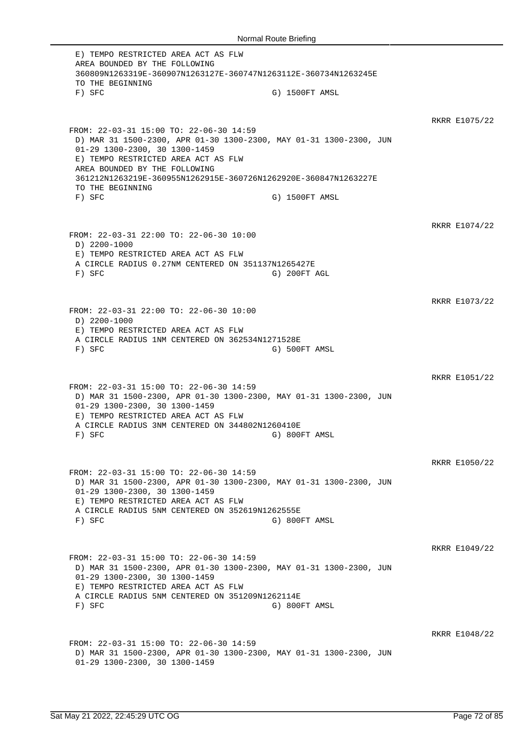E) TEMPO RESTRICTED AREA ACT AS FLW AREA BOUNDED BY THE FOLLOWING 360809N1263319E-360907N1263127E-360747N1263112E-360734N1263245E TO THE BEGINNING F) SFC G) 1500FT AMSL RKRR E1075/22 FROM: 22-03-31 15:00 TO: 22-06-30 14:59 D) MAR 31 1500-2300, APR 01-30 1300-2300, MAY 01-31 1300-2300, JUN 01-29 1300-2300, 30 1300-1459 E) TEMPO RESTRICTED AREA ACT AS FLW AREA BOUNDED BY THE FOLLOWING 361212N1263219E-360955N1262915E-360726N1262920E-360847N1263227E TO THE BEGINNING F) SFC G) 1500FT AMSL RKRR E1074/22 FROM: 22-03-31 22:00 TO: 22-06-30 10:00 D) 2200-1000 E) TEMPO RESTRICTED AREA ACT AS FLW A CIRCLE RADIUS 0.27NM CENTERED ON 351137N1265427E F) SFC G) 200FT AGL RKRR E1073/22 FROM: 22-03-31 22:00 TO: 22-06-30 10:00 D) 2200-1000 E) TEMPO RESTRICTED AREA ACT AS FLW A CIRCLE RADIUS 1NM CENTERED ON 362534N1271528E F) SFC G) 500FT AMSL RKRR E1051/22 FROM: 22-03-31 15:00 TO: 22-06-30 14:59 D) MAR 31 1500-2300, APR 01-30 1300-2300, MAY 01-31 1300-2300, JUN 01-29 1300-2300, 30 1300-1459 E) TEMPO RESTRICTED AREA ACT AS FLW A CIRCLE RADIUS 3NM CENTERED ON 344802N1260410E F) SFC G) 800FT AMSL RKRR E1050/22 FROM: 22-03-31 15:00 TO: 22-06-30 14:59 D) MAR 31 1500-2300, APR 01-30 1300-2300, MAY 01-31 1300-2300, JUN 01-29 1300-2300, 30 1300-1459 E) TEMPO RESTRICTED AREA ACT AS FLW A CIRCLE RADIUS 5NM CENTERED ON 352619N1262555E F) SFC G) 800FT AMSL RKRR E1049/22 FROM: 22-03-31 15:00 TO: 22-06-30 14:59 D) MAR 31 1500-2300, APR 01-30 1300-2300, MAY 01-31 1300-2300, JUN 01-29 1300-2300, 30 1300-1459 E) TEMPO RESTRICTED AREA ACT AS FLW A CIRCLE RADIUS 5NM CENTERED ON 351209N1262114E F) SFC G) 800FT AMSL RKRR E1048/22 FROM: 22-03-31 15:00 TO: 22-06-30 14:59 D) MAR 31 1500-2300, APR 01-30 1300-2300, MAY 01-31 1300-2300, JUN 01-29 1300-2300, 30 1300-1459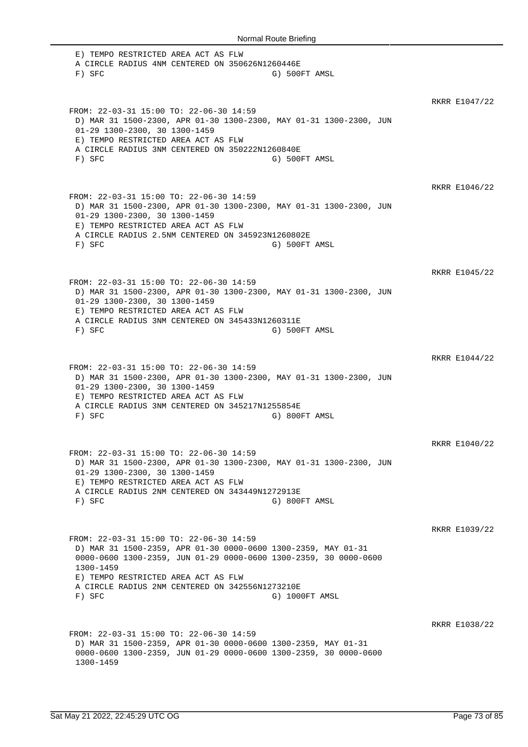E) TEMPO RESTRICTED AREA ACT AS FLW A CIRCLE RADIUS 4NM CENTERED ON 350626N1260446E F) SFC G) 500FT AMSL RKRR E1047/22 FROM: 22-03-31 15:00 TO: 22-06-30 14:59 D) MAR 31 1500-2300, APR 01-30 1300-2300, MAY 01-31 1300-2300, JUN 01-29 1300-2300, 30 1300-1459 E) TEMPO RESTRICTED AREA ACT AS FLW A CIRCLE RADIUS 3NM CENTERED ON 350222N1260840E F) SFC G) 500FT AMSL RKRR E1046/22 FROM: 22-03-31 15:00 TO: 22-06-30 14:59 D) MAR 31 1500-2300, APR 01-30 1300-2300, MAY 01-31 1300-2300, JUN 01-29 1300-2300, 30 1300-1459 E) TEMPO RESTRICTED AREA ACT AS FLW A CIRCLE RADIUS 2.5NM CENTERED ON 345923N1260802E F) SFC G) 500FT AMSL RKRR E1045/22 FROM: 22-03-31 15:00 TO: 22-06-30 14:59 D) MAR 31 1500-2300, APR 01-30 1300-2300, MAY 01-31 1300-2300, JUN 01-29 1300-2300, 30 1300-1459 E) TEMPO RESTRICTED AREA ACT AS FLW A CIRCLE RADIUS 3NM CENTERED ON 345433N1260311E F) SFC G) 500FT AMSL RKRR E1044/22 FROM: 22-03-31 15:00 TO: 22-06-30 14:59 D) MAR 31 1500-2300, APR 01-30 1300-2300, MAY 01-31 1300-2300, JUN 01-29 1300-2300, 30 1300-1459 E) TEMPO RESTRICTED AREA ACT AS FLW A CIRCLE RADIUS 3NM CENTERED ON 345217N1255854E F) SFC G) 800FT AMSL RKRR E1040/22 FROM: 22-03-31 15:00 TO: 22-06-30 14:59 D) MAR 31 1500-2300, APR 01-30 1300-2300, MAY 01-31 1300-2300, JUN 01-29 1300-2300, 30 1300-1459 E) TEMPO RESTRICTED AREA ACT AS FLW A CIRCLE RADIUS 2NM CENTERED ON 343449N1272913E F) SFC G) 800FT AMSL RKRR E1039/22 FROM: 22-03-31 15:00 TO: 22-06-30 14:59 D) MAR 31 1500-2359, APR 01-30 0000-0600 1300-2359, MAY 01-31 0000-0600 1300-2359, JUN 01-29 0000-0600 1300-2359, 30 0000-0600 1300-1459 E) TEMPO RESTRICTED AREA ACT AS FLW A CIRCLE RADIUS 2NM CENTERED ON 342556N1273210E F) SFC G) 1000FT AMSL RKRR E1038/22 FROM: 22-03-31 15:00 TO: 22-06-30 14:59 D) MAR 31 1500-2359, APR 01-30 0000-0600 1300-2359, MAY 01-31 0000-0600 1300-2359, JUN 01-29 0000-0600 1300-2359, 30 0000-0600 1300-1459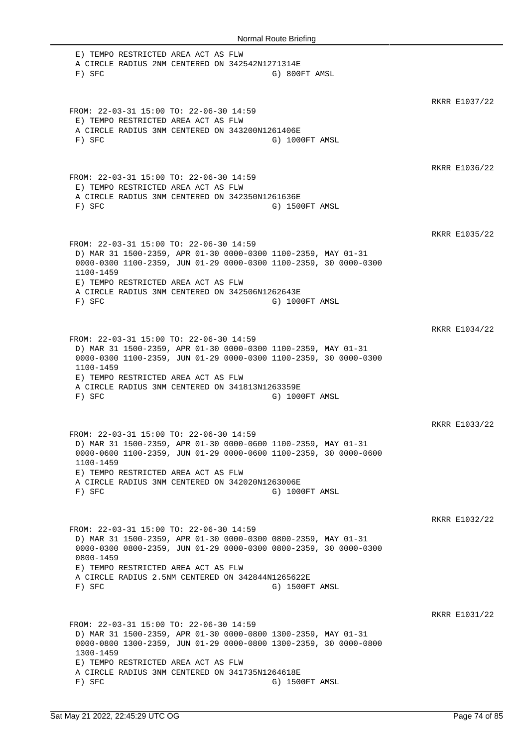E) TEMPO RESTRICTED AREA ACT AS FLW A CIRCLE RADIUS 2NM CENTERED ON 342542N1271314E F) SFC G) 800FT AMSL RKRR E1037/22 FROM: 22-03-31 15:00 TO: 22-06-30 14:59 E) TEMPO RESTRICTED AREA ACT AS FLW A CIRCLE RADIUS 3NM CENTERED ON 343200N1261406E F) SFC G) 1000FT AMSL RKRR E1036/22 FROM: 22-03-31 15:00 TO: 22-06-30 14:59 E) TEMPO RESTRICTED AREA ACT AS FLW A CIRCLE RADIUS 3NM CENTERED ON 342350N1261636E F) SFC G) 1500FT AMSL RKRR E1035/22 FROM: 22-03-31 15:00 TO: 22-06-30 14:59 D) MAR 31 1500-2359, APR 01-30 0000-0300 1100-2359, MAY 01-31 0000-0300 1100-2359, JUN 01-29 0000-0300 1100-2359, 30 0000-0300 1100-1459 E) TEMPO RESTRICTED AREA ACT AS FLW A CIRCLE RADIUS 3NM CENTERED ON 342506N1262643E F) SFC G) 1000FT AMSL RKRR E1034/22 FROM: 22-03-31 15:00 TO: 22-06-30 14:59 D) MAR 31 1500-2359, APR 01-30 0000-0300 1100-2359, MAY 01-31 0000-0300 1100-2359, JUN 01-29 0000-0300 1100-2359, 30 0000-0300 1100-1459 E) TEMPO RESTRICTED AREA ACT AS FLW A CIRCLE RADIUS 3NM CENTERED ON 341813N1263359E F) SFC G) 1000FT AMSL RKRR E1033/22 FROM: 22-03-31 15:00 TO: 22-06-30 14:59 D) MAR 31 1500-2359, APR 01-30 0000-0600 1100-2359, MAY 01-31 0000-0600 1100-2359, JUN 01-29 0000-0600 1100-2359, 30 0000-0600 1100-1459 E) TEMPO RESTRICTED AREA ACT AS FLW A CIRCLE RADIUS 3NM CENTERED ON 342020N1263006E F) SFC G) 1000FT AMSL RKRR E1032/22 FROM: 22-03-31 15:00 TO: 22-06-30 14:59 D) MAR 31 1500-2359, APR 01-30 0000-0300 0800-2359, MAY 01-31 0000-0300 0800-2359, JUN 01-29 0000-0300 0800-2359, 30 0000-0300 0800-1459 E) TEMPO RESTRICTED AREA ACT AS FLW A CIRCLE RADIUS 2.5NM CENTERED ON 342844N1265622E F) SFC G) 1500FT AMSL RKRR E1031/22 FROM: 22-03-31 15:00 TO: 22-06-30 14:59 D) MAR 31 1500-2359, APR 01-30 0000-0800 1300-2359, MAY 01-31 0000-0800 1300-2359, JUN 01-29 0000-0800 1300-2359, 30 0000-0800 1300-1459 E) TEMPO RESTRICTED AREA ACT AS FLW A CIRCLE RADIUS 3NM CENTERED ON 341735N1264618E F) SFC G) 1500FT AMSL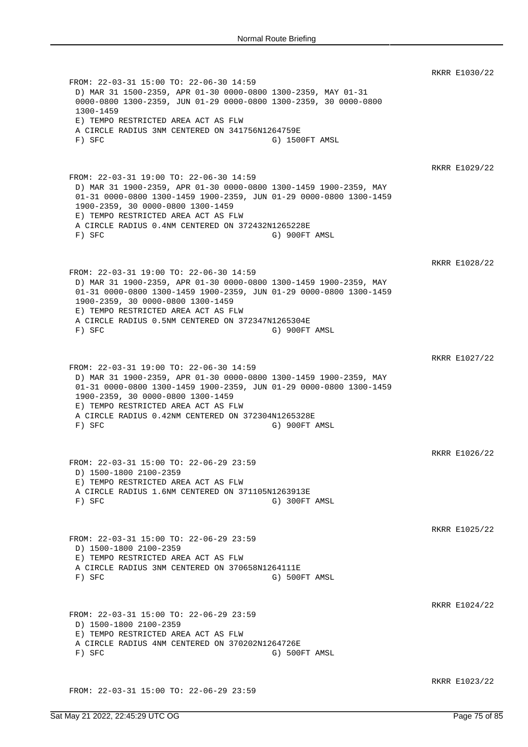RKRR E1030/22 FROM: 22-03-31 15:00 TO: 22-06-30 14:59 D) MAR 31 1500-2359, APR 01-30 0000-0800 1300-2359, MAY 01-31 0000-0800 1300-2359, JUN 01-29 0000-0800 1300-2359, 30 0000-0800 1300-1459 E) TEMPO RESTRICTED AREA ACT AS FLW A CIRCLE RADIUS 3NM CENTERED ON 341756N1264759E F) SFC G) 1500FT AMSL RKRR E1029/22 FROM: 22-03-31 19:00 TO: 22-06-30 14:59 D) MAR 31 1900-2359, APR 01-30 0000-0800 1300-1459 1900-2359, MAY 01-31 0000-0800 1300-1459 1900-2359, JUN 01-29 0000-0800 1300-1459 1900-2359, 30 0000-0800 1300-1459 E) TEMPO RESTRICTED AREA ACT AS FLW A CIRCLE RADIUS 0.4NM CENTERED ON 372432N1265228E F) SFC G) 900FT AMSL RKRR E1028/22 FROM: 22-03-31 19:00 TO: 22-06-30 14:59 D) MAR 31 1900-2359, APR 01-30 0000-0800 1300-1459 1900-2359, MAY 01-31 0000-0800 1300-1459 1900-2359, JUN 01-29 0000-0800 1300-1459 1900-2359, 30 0000-0800 1300-1459 E) TEMPO RESTRICTED AREA ACT AS FLW A CIRCLE RADIUS 0.5NM CENTERED ON 372347N1265304E F) SFC G) 900FT AMSL RKRR E1027/22 FROM: 22-03-31 19:00 TO: 22-06-30 14:59 D) MAR 31 1900-2359, APR 01-30 0000-0800 1300-1459 1900-2359, MAY 01-31 0000-0800 1300-1459 1900-2359, JUN 01-29 0000-0800 1300-1459 1900-2359, 30 0000-0800 1300-1459 E) TEMPO RESTRICTED AREA ACT AS FLW A CIRCLE RADIUS 0.42NM CENTERED ON 372304N1265328E F) SFC G) 900FT AMSL RKRR E1026/22 FROM: 22-03-31 15:00 TO: 22-06-29 23:59 D) 1500-1800 2100-2359 E) TEMPO RESTRICTED AREA ACT AS FLW A CIRCLE RADIUS 1.6NM CENTERED ON 371105N1263913E F) SFC G) 300FT AMSL RKRR E1025/22 FROM: 22-03-31 15:00 TO: 22-06-29 23:59 D) 1500-1800 2100-2359 E) TEMPO RESTRICTED AREA ACT AS FLW A CIRCLE RADIUS 3NM CENTERED ON 370658N1264111E F) SFC G) 500FT AMSL RKRR E1024/22 FROM: 22-03-31 15:00 TO: 22-06-29 23:59 D) 1500-1800 2100-2359 E) TEMPO RESTRICTED AREA ACT AS FLW A CIRCLE RADIUS 4NM CENTERED ON 370202N1264726E F) SFC G) 500FT AMSL RKRR E1023/22 FROM: 22-03-31 15:00 TO: 22-06-29 23:59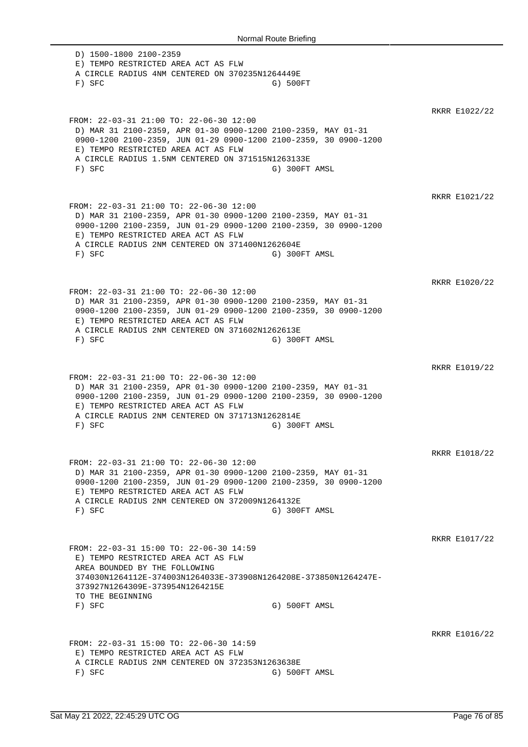D) 1500-1800 2100-2359 E) TEMPO RESTRICTED AREA ACT AS FLW A CIRCLE RADIUS 4NM CENTERED ON 370235N1264449E F) SFC G) 500FT RKRR E1022/22 FROM: 22-03-31 21:00 TO: 22-06-30 12:00 D) MAR 31 2100-2359, APR 01-30 0900-1200 2100-2359, MAY 01-31 0900-1200 2100-2359, JUN 01-29 0900-1200 2100-2359, 30 0900-1200 E) TEMPO RESTRICTED AREA ACT AS FLW A CIRCLE RADIUS 1.5NM CENTERED ON 371515N1263133E F) SFC G) 300FT AMSL RKRR E1021/22 FROM: 22-03-31 21:00 TO: 22-06-30 12:00 D) MAR 31 2100-2359, APR 01-30 0900-1200 2100-2359, MAY 01-31 0900-1200 2100-2359, JUN 01-29 0900-1200 2100-2359, 30 0900-1200 E) TEMPO RESTRICTED AREA ACT AS FLW A CIRCLE RADIUS 2NM CENTERED ON 371400N1262604E F) SFC G) 300FT AMSL RKRR E1020/22 FROM: 22-03-31 21:00 TO: 22-06-30 12:00 D) MAR 31 2100-2359, APR 01-30 0900-1200 2100-2359, MAY 01-31 0900-1200 2100-2359, JUN 01-29 0900-1200 2100-2359, 30 0900-1200 E) TEMPO RESTRICTED AREA ACT AS FLW A CIRCLE RADIUS 2NM CENTERED ON 371602N1262613E F) SFC G) 300FT AMSL RKRR E1019/22 FROM: 22-03-31 21:00 TO: 22-06-30 12:00 D) MAR 31 2100-2359, APR 01-30 0900-1200 2100-2359, MAY 01-31 0900-1200 2100-2359, JUN 01-29 0900-1200 2100-2359, 30 0900-1200 E) TEMPO RESTRICTED AREA ACT AS FLW A CIRCLE RADIUS 2NM CENTERED ON 371713N1262814E F) SFC G) 300FT AMSL RKRR E1018/22 FROM: 22-03-31 21:00 TO: 22-06-30 12:00 D) MAR 31 2100-2359, APR 01-30 0900-1200 2100-2359, MAY 01-31 0900-1200 2100-2359, JUN 01-29 0900-1200 2100-2359, 30 0900-1200 E) TEMPO RESTRICTED AREA ACT AS FLW A CIRCLE RADIUS 2NM CENTERED ON 372009N1264132E F) SFC G) 300FT AMSL RKRR E1017/22 FROM: 22-03-31 15:00 TO: 22-06-30 14:59 E) TEMPO RESTRICTED AREA ACT AS FLW AREA BOUNDED BY THE FOLLOWING 374030N1264112E-374003N1264033E-373908N1264208E-373850N1264247E-373927N1264309E-373954N1264215E TO THE BEGINNING<br>F) SFC G) 500FT AMSL RKRR E1016/22 FROM: 22-03-31 15:00 TO: 22-06-30 14:59 E) TEMPO RESTRICTED AREA ACT AS FLW A CIRCLE RADIUS 2NM CENTERED ON 372353N1263638E F) SFC G) 500FT AMSL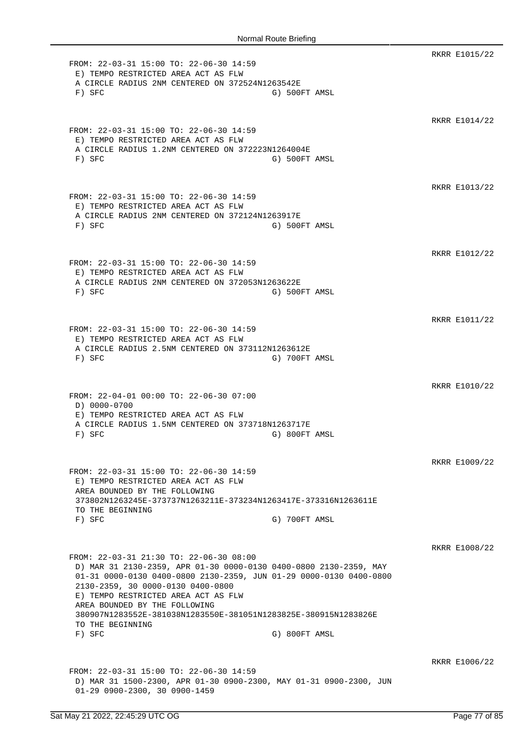RKRR E1015/22 FROM: 22-03-31 15:00 TO: 22-06-30 14:59 E) TEMPO RESTRICTED AREA ACT AS FLW A CIRCLE RADIUS 2NM CENTERED ON 372524N1263542E F) SFC G) 500FT AMSL RKRR E1014/22 FROM: 22-03-31 15:00 TO: 22-06-30 14:59 E) TEMPO RESTRICTED AREA ACT AS FLW A CIRCLE RADIUS 1.2NM CENTERED ON 372223N1264004E F) SFC G) 500FT AMSL RKRR E1013/22 FROM: 22-03-31 15:00 TO: 22-06-30 14:59 E) TEMPO RESTRICTED AREA ACT AS FLW A CIRCLE RADIUS 2NM CENTERED ON 372124N1263917E F) SFC G) 500FT AMSL RKRR E1012/22 FROM: 22-03-31 15:00 TO: 22-06-30 14:59 E) TEMPO RESTRICTED AREA ACT AS FLW A CIRCLE RADIUS 2NM CENTERED ON 372053N1263622E F) SFC G) 500FT AMSL RKRR E1011/22 FROM: 22-03-31 15:00 TO: 22-06-30 14:59 E) TEMPO RESTRICTED AREA ACT AS FLW A CIRCLE RADIUS 2.5NM CENTERED ON 373112N1263612E F) SFC G) 700FT AMSL RKRR E1010/22 FROM: 22-04-01 00:00 TO: 22-06-30 07:00 D) 0000-0700 E) TEMPO RESTRICTED AREA ACT AS FLW A CIRCLE RADIUS 1.5NM CENTERED ON 373718N1263717E F) SFC G) 800FT AMSL RKRR E1009/22 FROM: 22-03-31 15:00 TO: 22-06-30 14:59 E) TEMPO RESTRICTED AREA ACT AS FLW AREA BOUNDED BY THE FOLLOWING 373802N1263245E-373737N1263211E-373234N1263417E-373316N1263611E TO THE BEGINNING F) SFC G) 700FT AMSL RKRR E1008/22 FROM: 22-03-31 21:30 TO: 22-06-30 08:00 D) MAR 31 2130-2359, APR 01-30 0000-0130 0400-0800 2130-2359, MAY 01-31 0000-0130 0400-0800 2130-2359, JUN 01-29 0000-0130 0400-0800 2130-2359, 30 0000-0130 0400-0800 E) TEMPO RESTRICTED AREA ACT AS FLW AREA BOUNDED BY THE FOLLOWING 380907N1283552E-381038N1283550E-381051N1283825E-380915N1283826E TO THE BEGINNING F) SFC G) 800FT AMSL RKRR E1006/22 FROM: 22-03-31 15:00 TO: 22-06-30 14:59 D) MAR 31 1500-2300, APR 01-30 0900-2300, MAY 01-31 0900-2300, JUN 01-29 0900-2300, 30 0900-1459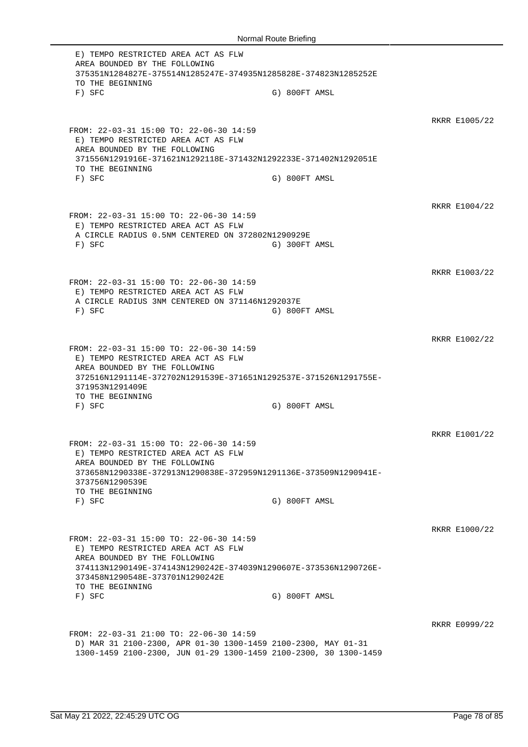E) TEMPO RESTRICTED AREA ACT AS FLW AREA BOUNDED BY THE FOLLOWING 375351N1284827E-375514N1285247E-374935N1285828E-374823N1285252E TO THE BEGINNING F) SFC G) 800FT AMSL RKRR E1005/22 FROM: 22-03-31 15:00 TO: 22-06-30 14:59 E) TEMPO RESTRICTED AREA ACT AS FLW AREA BOUNDED BY THE FOLLOWING 371556N1291916E-371621N1292118E-371432N1292233E-371402N1292051E TO THE BEGINNING F) SFC G) 800FT AMSL RKRR E1004/22 FROM: 22-03-31 15:00 TO: 22-06-30 14:59 E) TEMPO RESTRICTED AREA ACT AS FLW A CIRCLE RADIUS 0.5NM CENTERED ON 372802N1290929E F) SFC G) 300FT AMSL RKRR E1003/22 FROM: 22-03-31 15:00 TO: 22-06-30 14:59 E) TEMPO RESTRICTED AREA ACT AS FLW A CIRCLE RADIUS 3NM CENTERED ON 371146N1292037E F) SFC G) 800FT AMSL RKRR E1002/22 FROM: 22-03-31 15:00 TO: 22-06-30 14:59 E) TEMPO RESTRICTED AREA ACT AS FLW AREA BOUNDED BY THE FOLLOWING 372516N1291114E-372702N1291539E-371651N1292537E-371526N1291755E-371953N1291409E TO THE BEGINNING F) SFC G) 800FT AMSL RKRR E1001/22 FROM: 22-03-31 15:00 TO: 22-06-30 14:59 E) TEMPO RESTRICTED AREA ACT AS FLW AREA BOUNDED BY THE FOLLOWING 373658N1290338E-372913N1290838E-372959N1291136E-373509N1290941E-373756N1290539E TO THE BEGINNING F) SFC G) 800FT AMSL RKRR E1000/22 FROM: 22-03-31 15:00 TO: 22-06-30 14:59 E) TEMPO RESTRICTED AREA ACT AS FLW AREA BOUNDED BY THE FOLLOWING 374113N1290149E-374143N1290242E-374039N1290607E-373536N1290726E-373458N1290548E-373701N1290242E TO THE BEGINNING<br>F) SFC G) 800FT AMSL RKRR E0999/22 FROM: 22-03-31 21:00 TO: 22-06-30 14:59 D) MAR 31 2100-2300, APR 01-30 1300-1459 2100-2300, MAY 01-31 1300-1459 2100-2300, JUN 01-29 1300-1459 2100-2300, 30 1300-1459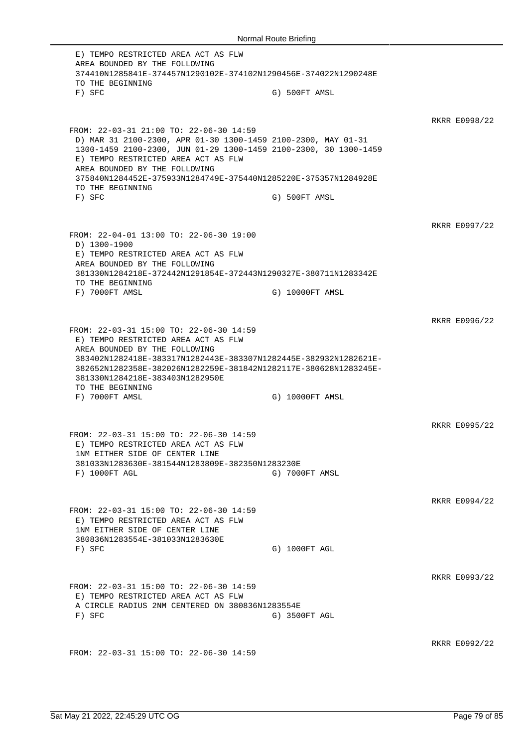E) TEMPO RESTRICTED AREA ACT AS FLW AREA BOUNDED BY THE FOLLOWING 374410N1285841E-374457N1290102E-374102N1290456E-374022N1290248E TO THE BEGINNING F) SFC G) 500FT AMSL RKRR E0998/22 FROM: 22-03-31 21:00 TO: 22-06-30 14:59 D) MAR 31 2100-2300, APR 01-30 1300-1459 2100-2300, MAY 01-31 1300-1459 2100-2300, JUN 01-29 1300-1459 2100-2300, 30 1300-1459 E) TEMPO RESTRICTED AREA ACT AS FLW AREA BOUNDED BY THE FOLLOWING 375840N1284452E-375933N1284749E-375440N1285220E-375357N1284928E TO THE BEGINNING F) SFC G) 500FT AMSL RKRR E0997/22 FROM: 22-04-01 13:00 TO: 22-06-30 19:00 D) 1300-1900 E) TEMPO RESTRICTED AREA ACT AS FLW AREA BOUNDED BY THE FOLLOWING 381330N1284218E-372442N1291854E-372443N1290327E-380711N1283342E TO THE BEGINNING F) 7000FT AMSL G) 10000FT AMSL RKRR E0996/22 FROM: 22-03-31 15:00 TO: 22-06-30 14:59 E) TEMPO RESTRICTED AREA ACT AS FLW AREA BOUNDED BY THE FOLLOWING 383402N1282418E-383317N1282443E-383307N1282445E-382932N1282621E-382652N1282358E-382026N1282259E-381842N1282117E-380628N1283245E-381330N1284218E-383403N1282950E TO THE BEGINNING F) 7000FT AMSL G) 10000FT AMSL RKRR E0995/22 FROM: 22-03-31 15:00 TO: 22-06-30 14:59 E) TEMPO RESTRICTED AREA ACT AS FLW 1NM EITHER SIDE OF CENTER LINE 381033N1283630E-381544N1283809E-382350N1283230E F) 1000FT AGL G) 7000FT AMSL RKRR E0994/22 FROM: 22-03-31 15:00 TO: 22-06-30 14:59 E) TEMPO RESTRICTED AREA ACT AS FLW 1NM EITHER SIDE OF CENTER LINE 380836N1283554E-381033N1283630E F) SFC G) 1000FT AGL RKRR E0993/22 FROM: 22-03-31 15:00 TO: 22-06-30 14:59 E) TEMPO RESTRICTED AREA ACT AS FLW A CIRCLE RADIUS 2NM CENTERED ON 380836N1283554E F) SFC G) 3500FT AGL RKRR E0992/22 FROM: 22-03-31 15:00 TO: 22-06-30 14:59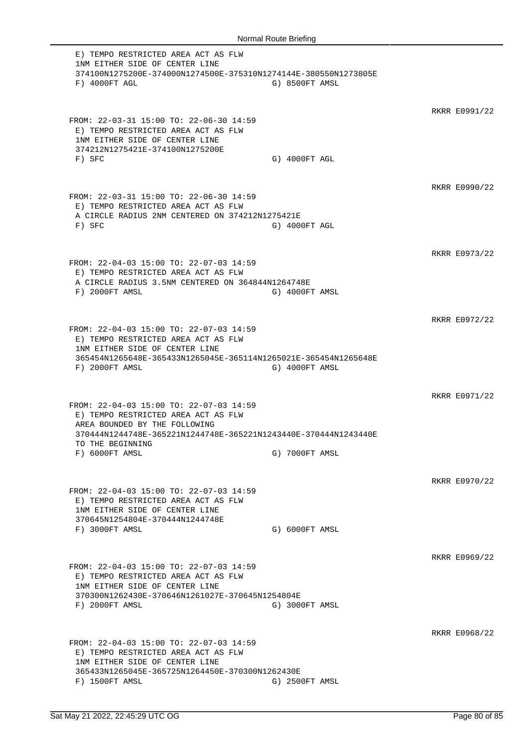E) TEMPO RESTRICTED AREA ACT AS FLW 1NM EITHER SIDE OF CENTER LINE 374100N1275200E-374000N1274500E-375310N1274144E-380550N1273805E F) 4000FT AGL G) 8500FT AMSL RKRR E0991/22 FROM: 22-03-31 15:00 TO: 22-06-30 14:59 E) TEMPO RESTRICTED AREA ACT AS FLW 1NM EITHER SIDE OF CENTER LINE 374212N1275421E-374100N1275200E F) SFC G) 4000FT AGL RKRR E0990/22 FROM: 22-03-31 15:00 TO: 22-06-30 14:59 E) TEMPO RESTRICTED AREA ACT AS FLW A CIRCLE RADIUS 2NM CENTERED ON 374212N1275421E F) SFC G) 4000FT AGL RKRR E0973/22 FROM: 22-04-03 15:00 TO: 22-07-03 14:59 E) TEMPO RESTRICTED AREA ACT AS FLW A CIRCLE RADIUS 3.5NM CENTERED ON 364844N1264748E F) 2000FT AMSL G) 4000FT AMSL RKRR E0972/22 FROM: 22-04-03 15:00 TO: 22-07-03 14:59 E) TEMPO RESTRICTED AREA ACT AS FLW 1NM EITHER SIDE OF CENTER LINE 365454N1265648E-365433N1265045E-365114N1265021E-365454N1265648E F) 2000FT AMSL G) 4000FT AMSL RKRR E0971/22 FROM: 22-04-03 15:00 TO: 22-07-03 14:59 E) TEMPO RESTRICTED AREA ACT AS FLW AREA BOUNDED BY THE FOLLOWING 370444N1244748E-365221N1244748E-365221N1243440E-370444N1243440E TO THE BEGINNING F) 6000FT AMSL G) 7000FT AMSL RKRR E0970/22 FROM: 22-04-03 15:00 TO: 22-07-03 14:59 E) TEMPO RESTRICTED AREA ACT AS FLW 1NM EITHER SIDE OF CENTER LINE 370645N1254804E-370444N1244748E F) 3000FT AMSL G) 6000FT AMSL RKRR E0969/22 FROM: 22-04-03 15:00 TO: 22-07-03 14:59 E) TEMPO RESTRICTED AREA ACT AS FLW 1NM EITHER SIDE OF CENTER LINE 370300N1262430E-370646N1261027E-370645N1254804E F) 2000FT AMSL G) 3000FT AMSL RKRR E0968/22 FROM: 22-04-03 15:00 TO: 22-07-03 14:59 E) TEMPO RESTRICTED AREA ACT AS FLW 1NM EITHER SIDE OF CENTER LINE 365433N1265045E-365725N1264450E-370300N1262430E F) 1500FT AMSL G) 2500FT AMSL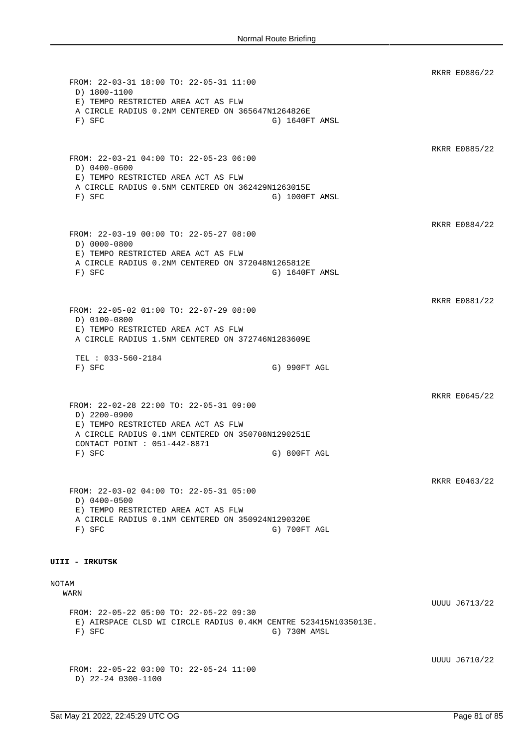RKRR E0886/22 FROM: 22-03-31 18:00 TO: 22-05-31 11:00 D) 1800-1100 E) TEMPO RESTRICTED AREA ACT AS FLW A CIRCLE RADIUS 0.2NM CENTERED ON 365647N1264826E F) SFC G) 1640FT AMSL RKRR E0885/22 FROM: 22-03-21 04:00 TO: 22-05-23 06:00 D) 0400-0600 E) TEMPO RESTRICTED AREA ACT AS FLW A CIRCLE RADIUS 0.5NM CENTERED ON 362429N1263015E F) SFC G) 1000FT AMSL RKRR E0884/22 FROM: 22-03-19 00:00 TO: 22-05-27 08:00 D) 0000-0800 E) TEMPO RESTRICTED AREA ACT AS FLW A CIRCLE RADIUS 0.2NM CENTERED ON 372048N1265812E F) SFC G) 1640FT AMSL RKRR E0881/22 FROM: 22-05-02 01:00 TO: 22-07-29 08:00 D) 0100-0800 E) TEMPO RESTRICTED AREA ACT AS FLW A CIRCLE RADIUS 1.5NM CENTERED ON 372746N1283609E TEL : 033-560-2184 F) SFC G) 990FT AGL RKRR E0645/22 FROM: 22-02-28 22:00 TO: 22-05-31 09:00 D) 2200-0900 E) TEMPO RESTRICTED AREA ACT AS FLW A CIRCLE RADIUS 0.1NM CENTERED ON 350708N1290251E CONTACT POINT : 051-442-8871 F) SFC G) 800FT AGL RKRR E0463/22 FROM: 22-03-02 04:00 TO: 22-05-31 05:00 D) 0400-0500 E) TEMPO RESTRICTED AREA ACT AS FLW A CIRCLE RADIUS 0.1NM CENTERED ON 350924N1290320E F) SFC G) 700FT AGL **UIII - IRKUTSK** NOTAM WARN UUUU J6713/22 FROM: 22-05-22 05:00 TO: 22-05-22 09:30 E) AIRSPACE CLSD WI CIRCLE RADIUS 0.4KM CENTRE 523415N1035013E. F) SFC G) 730M AMSL UUUU J6710/22 FROM: 22-05-22 03:00 TO: 22-05-24 11:00 D) 22-24 0300-1100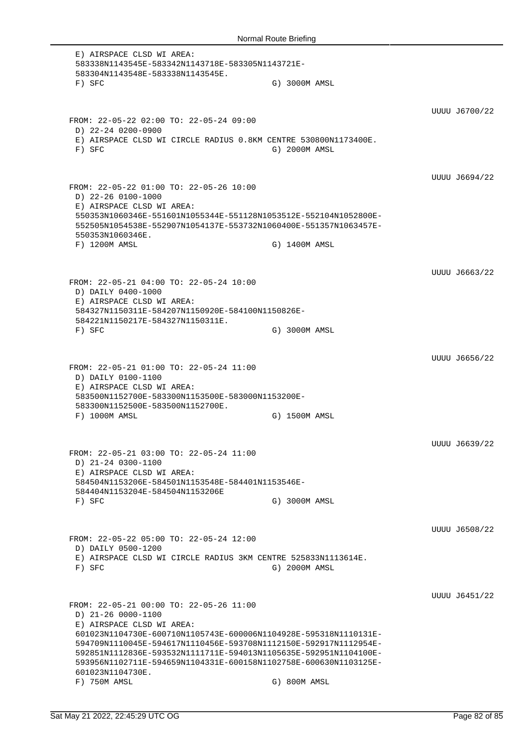E) AIRSPACE CLSD WI AREA: 583338N1143545E-583342N1143718E-583305N1143721E-583304N1143548E-583338N1143545E. F) SFC G) 3000M AMSL UUUU J6700/22 FROM: 22-05-22 02:00 TO: 22-05-24 09:00 D) 22-24 0200-0900 E) AIRSPACE CLSD WI CIRCLE RADIUS 0.8KM CENTRE 530800N1173400E. F) SFC G) 2000M AMSL UUUU J6694/22 FROM: 22-05-22 01:00 TO: 22-05-26 10:00 D) 22-26 0100-1000 E) AIRSPACE CLSD WI AREA: 550353N1060346E-551601N1055344E-551128N1053512E-552104N1052800E-552505N1054538E-552907N1054137E-553732N1060400E-551357N1063457E-550353N1060346E. F) 1200M AMSL G) 1400M AMSL UUUU J6663/22 FROM: 22-05-21 04:00 TO: 22-05-24 10:00 D) DAILY 0400-1000 E) AIRSPACE CLSD WI AREA: 584327N1150311E-584207N1150920E-584100N1150826E-584221N1150217E-584327N1150311E. F) SFC G) 3000M AMSL UUUU J6656/22 FROM: 22-05-21 01:00 TO: 22-05-24 11:00 D) DAILY 0100-1100 E) AIRSPACE CLSD WI AREA: 583500N1152700E-583300N1153500E-583000N1153200E-583300N1152500E-583500N1152700E. F) 1000M AMSL G) 1500M AMSL UUUU J6639/22 FROM: 22-05-21 03:00 TO: 22-05-24 11:00 D) 21-24 0300-1100 E) AIRSPACE CLSD WI AREA: 584504N1153206E-584501N1153548E-584401N1153546E-584404N1153204E-584504N1153206E F) SFC G) 3000M AMSL UUUU J6508/22 FROM: 22-05-22 05:00 TO: 22-05-24 12:00 D) DAILY 0500-1200 E) AIRSPACE CLSD WI CIRCLE RADIUS 3KM CENTRE 525833N1113614E. F) SFC G) 2000M AMSL UUUU J6451/22 FROM: 22-05-21 00:00 TO: 22-05-26 11:00 D) 21-26 0000-1100 E) AIRSPACE CLSD WI AREA: 601023N1104730E-600710N1105743E-600006N1104928E-595318N1110131E-594709N1110045E-594617N1110456E-593708N1112150E-592917N1112954E-592851N1112836E-593532N1111711E-594013N1105635E-592951N1104100E-593956N1102711E-594659N1104331E-600158N1102758E-600630N1103125E-601023N1104730E. F) 750M AMSL G) 800M AMSL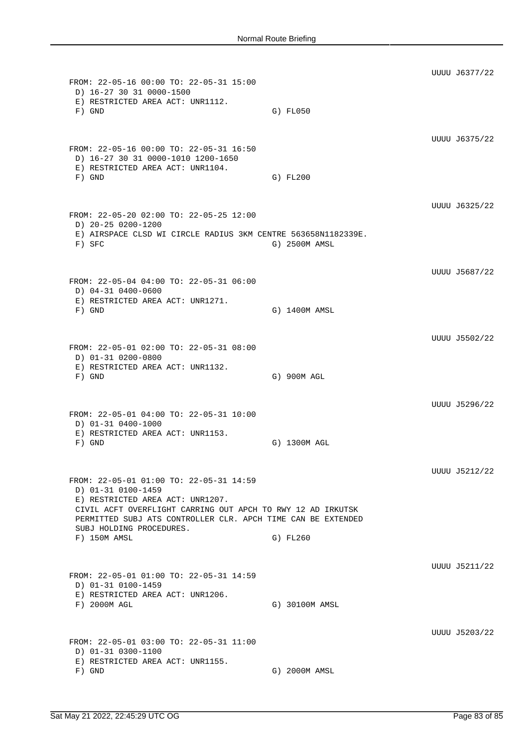UUUU J6377/22 FROM: 22-05-16 00:00 TO: 22-05-31 15:00 D) 16-27 30 31 0000-1500 E) RESTRICTED AREA ACT: UNR1112. F) GND G) FL050 UUUU J6375/22 FROM: 22-05-16 00:00 TO: 22-05-31 16:50 D) 16-27 30 31 0000-1010 1200-1650 E) RESTRICTED AREA ACT: UNR1104. F) GND G) FL200 UUUU J6325/22 FROM: 22-05-20 02:00 TO: 22-05-25 12:00 D) 20-25 0200-1200 E) AIRSPACE CLSD WI CIRCLE RADIUS 3KM CENTRE 563658N1182339E. F) SFC G) 2500M AMSL UUUU J5687/22 FROM: 22-05-04 04:00 TO: 22-05-31 06:00 D) 04-31 0400-0600 E) RESTRICTED AREA ACT: UNR1271. F) GND G) 1400M AMSL UUUU J5502/22 FROM: 22-05-01 02:00 TO: 22-05-31 08:00 D) 01-31 0200-0800 E) RESTRICTED AREA ACT: UNR1132. F) GND G) 900M AGL UUUU J5296/22 FROM: 22-05-01 04:00 TO: 22-05-31 10:00 D) 01-31 0400-1000 E) RESTRICTED AREA ACT: UNR1153. F) GND G) 1300M AGL UUUU J5212/22 FROM: 22-05-01 01:00 TO: 22-05-31 14:59 D) 01-31 0100-1459 E) RESTRICTED AREA ACT: UNR1207. CIVIL ACFT OVERFLIGHT CARRING OUT APCH TO RWY 12 AD IRKUTSK PERMITTED SUBJ ATS CONTROLLER CLR. APCH TIME CAN BE EXTENDED SUBJ HOLDING PROCEDURES. F) 150M AMSL G) FL260 UUUU J5211/22 FROM: 22-05-01 01:00 TO: 22-05-31 14:59 D) 01-31 0100-1459 E) RESTRICTED AREA ACT: UNR1206. F) 2000M AGL G) 30100M AMSL UUUU J5203/22 FROM: 22-05-01 03:00 TO: 22-05-31 11:00 D) 01-31 0300-1100 E) RESTRICTED AREA ACT: UNR1155. F) GND G) 2000M AMSL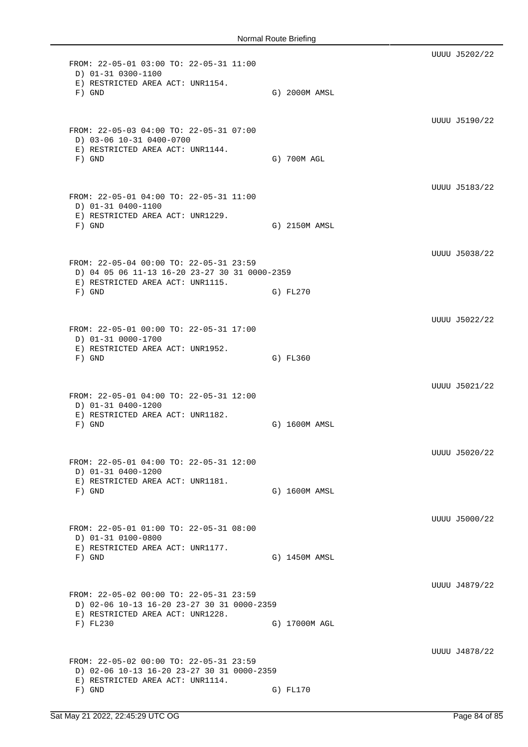UUUU J5202/22 FROM: 22-05-01 03:00 TO: 22-05-31 11:00 D) 01-31 0300-1100 E) RESTRICTED AREA ACT: UNR1154. F) GND G) 2000M AMSL UUUU J5190/22 FROM: 22-05-03 04:00 TO: 22-05-31 07:00 D) 03-06 10-31 0400-0700 E) RESTRICTED AREA ACT: UNR1144. F) GND G) 700M AGL UUUU J5183/22 FROM: 22-05-01 04:00 TO: 22-05-31 11:00 D) 01-31 0400-1100 E) RESTRICTED AREA ACT: UNR1229. F) GND G) 2150M AMSL UUUU J5038/22 FROM: 22-05-04 00:00 TO: 22-05-31 23:59 D) 04 05 06 11-13 16-20 23-27 30 31 0000-2359 E) RESTRICTED AREA ACT: UNR1115. F) GND G) FL270 UUUU J5022/22 FROM: 22-05-01 00:00 TO: 22-05-31 17:00 D) 01-31 0000-1700 E) RESTRICTED AREA ACT: UNR1952. F) GND G) FL360 UUUU J5021/22 FROM: 22-05-01 04:00 TO: 22-05-31 12:00 D) 01-31 0400-1200 E) RESTRICTED AREA ACT: UNR1182. F) GND G) 1600M AMSL UUUU J5020/22 FROM: 22-05-01 04:00 TO: 22-05-31 12:00 D) 01-31 0400-1200 E) RESTRICTED AREA ACT: UNR1181. F) GND G) 1600M AMSL UUUU J5000/22 FROM: 22-05-01 01:00 TO: 22-05-31 08:00 D) 01-31 0100-0800 E) RESTRICTED AREA ACT: UNR1177. F) GND G) 1450M AMSL UUUU J4879/22 FROM: 22-05-02 00:00 TO: 22-05-31 23:59 D) 02-06 10-13 16-20 23-27 30 31 0000-2359 E) RESTRICTED AREA ACT: UNR1228. F) FL230 G) 17000M AGL UUUU J4878/22 FROM: 22-05-02 00:00 TO: 22-05-31 23:59 D) 02-06 10-13 16-20 23-27 30 31 0000-2359 E) RESTRICTED AREA ACT: UNR1114. F) GND G) FL170